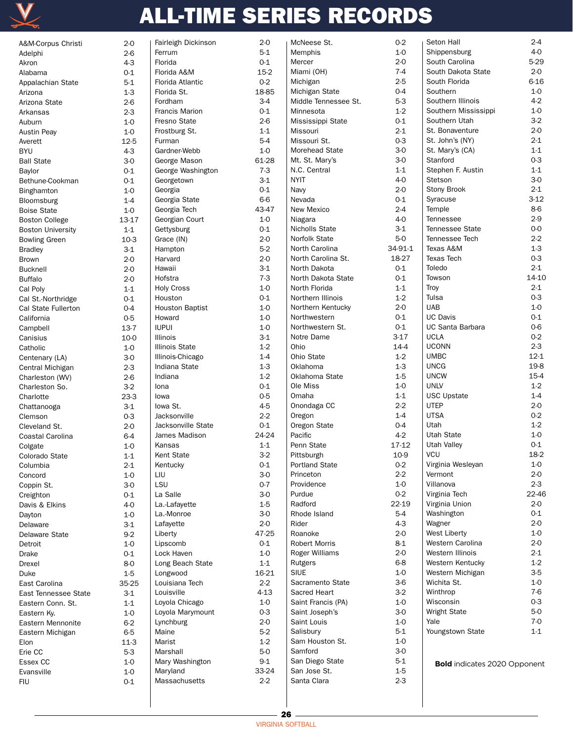

| A&M-Corpus Christi       | $2 - 0$ | Fairleigh Dickinson    | $2 - 0$ | McNeese St.           | $0-2$   | Seton Hall                          | $2 - 4$  |
|--------------------------|---------|------------------------|---------|-----------------------|---------|-------------------------------------|----------|
| Adelphi                  | $2-6$   | Ferrum                 | $5-1$   | Memphis               | $1-0$   | Shippensburg                        | $4-0$    |
| Akron                    | $4-3$   | Florida                | $0 - 1$ | Mercer                | $2-0$   | South Carolina                      | $5-29$   |
| Alabama                  | $0 - 1$ | Florida A&M            | $15-2$  | Miami (OH)            | $7 - 4$ | South Dakota State                  | $2 - 0$  |
|                          | $5-1$   | Florida Atlantic       | $0-2$   | Michigan              | $2-5$   | South Florida                       | $6 - 16$ |
| Appalachian State        |         |                        |         | Michigan State        | $0 - 4$ | Southern                            | $1-0$    |
| Arizona                  | $1-3$   | Florida St.            | 18-85   |                       |         |                                     |          |
| Arizona State            | $2-6$   | Fordham                | $3-4$   | Middle Tennessee St.  | $5-3$   | Southern Illinois                   | $4-2$    |
| Arkansas                 | $2-3$   | <b>Francis Marion</b>  | $0-1$   | Minnesota             | $1-2$   | Southern Mississippi                | 1-0      |
| Auburn                   | $1-0$   | Fresno State           | $2-6$   | Mississippi State     | $0 - 1$ | Southern Utah                       | $3-2$    |
| <b>Austin Peay</b>       | $1-0$   | Frostburg St.          | $1 - 1$ | Missouri              | $2 - 1$ | St. Bonaventure                     | $2-0$    |
| Averett                  | 12-5    | Furman                 | $5-4$   | Missouri St.          | $0-3$   | St. John's (NY)                     | $2 - 1$  |
| <b>BYU</b>               | $4-3$   | Gardner-Webb           | $1-0$   | Morehead State        | $3-0$   | St. Mary's (CA)                     | $1 - 1$  |
| <b>Ball State</b>        | $3-0$   | George Mason           | 61-28   | Mt. St. Mary's        | 3-0     | Stanford                            | $0-3$    |
| Baylor                   | $0 - 1$ | George Washington      | $7-3$   | N.C. Central          | $1 - 1$ | Stephen F. Austin                   | $1 - 1$  |
| Bethune-Cookman          | $0 - 1$ | Georgetown             | $3-1$   | <b>NYIT</b>           | $4-0$   | Stetson                             | $3-0$    |
|                          | $1-0$   | Georgia                | $0 - 1$ | Navy                  | $2 - 0$ | Stony Brook                         | $2 - 1$  |
| <b>Binghamton</b>        |         |                        | $6-6$   | Nevada                | $0-1$   | Syracuse                            | $3-12$   |
| Bloomsburg               | $1-4$   | Georgia State          |         |                       | $2 - 4$ |                                     | 8-6      |
| <b>Boise State</b>       | $1-0$   | Georgia Tech           | 43-47   | New Mexico            |         | Temple                              |          |
| <b>Boston College</b>    | 13-17   | Georgian Court         | $1-0$   | Niagara               | $4-0$   | Tennessee                           | $2-9$    |
| <b>Boston University</b> | $1 - 1$ | Gettysburg             | $0-1$   | Nicholls State        | $3-1$   | <b>Tennessee State</b>              | $0-0$    |
| <b>Bowling Green</b>     | $10-3$  | Grace (IN)             | $2 - 0$ | Norfolk State         | $5-0$   | Tennessee Tech                      | $2 - 2$  |
| <b>Bradley</b>           | $3-1$   | Hampton                | $5-2$   | North Carolina        | 34-91-1 | Texas A&M                           | $1-3$    |
| Brown                    | $2-0$   | Harvard                | $2-0$   | North Carolina St.    | 18-27   | <b>Texas Tech</b>                   | $0-3$    |
| <b>Bucknell</b>          | $2-0$   | Hawaii                 | $3-1$   | North Dakota          | $0-1$   | Toledo                              | $2 - 1$  |
| <b>Buffalo</b>           | $2-0$   | Hofstra                | $7-3$   | North Dakota State    | $0 - 1$ | Towson                              | 14-10    |
| Cal Poly                 | $1 - 1$ | <b>Holy Cross</b>      | $1-0$   | North Florida         | $1 - 1$ | Troy                                | $2 - 1$  |
| Cal St.-Northridge       | $0 - 1$ | Houston                | $0-1$   | Northern Illinois     | $1-2$   | Tulsa                               | $0-3$    |
|                          |         | <b>Houston Baptist</b> | $1-0$   | Northern Kentucky     | $2 - 0$ | <b>UAB</b>                          | $1-0$    |
| Cal State Fullerton      | $0 - 4$ |                        |         |                       |         | <b>UC Davis</b>                     | $0-1$    |
| California               | $0-5$   | Howard                 | $1-0$   | Northwestern          | $0 - 1$ |                                     |          |
| Campbell                 | $13-7$  | <b>IUPUI</b>           | $1-0$   | Northwestern St.      | $0 - 1$ | <b>UC Santa Barbara</b>             | $0-6$    |
| Canisius                 | 10-0    | <b>Illinois</b>        | $3-1$   | Notre Dame            | $3-17$  | <b>UCLA</b>                         | $0 - 2$  |
| Catholic                 | $1-0$   | <b>Illinois State</b>  | $1 - 2$ | Ohio                  | $14-4$  | <b>UCONN</b>                        | $2 - 3$  |
| Centenary (LA)           | $3-0$   | Illinois-Chicago       | $1-4$   | Ohio State            | $1-2$   | <b>UMBC</b>                         | $12 - 1$ |
| Central Michigan         | $2 - 3$ | Indiana State          | $1-3$   | Oklahoma              | $1-3$   | <b>UNCG</b>                         | 19-8     |
| Charleston (WV)          | $2-6$   | Indiana                | $1-2$   | Oklahoma State        | $1-5$   | <b>UNCW</b>                         | $15 - 4$ |
| Charleston So.           | $3-2$   | Iona                   | $0-1$   | Ole Miss              | $1-0$   | <b>UNLV</b>                         | $1-2$    |
| Charlotte                | $23-3$  | lowa                   | $0-5$   | Omaha                 | $1 - 1$ | <b>USC Upstate</b>                  | $1 - 4$  |
| Chattanooga              | $3-1$   | lowa St.               | $4-5$   | Onondaga CC           | $2 - 2$ | UTEP                                | $2 - 0$  |
| Clemson                  | $0-3$   | Jacksonville           | $2 - 2$ | Oregon                | $1 - 4$ | <b>UTSA</b>                         | $0-2$    |
|                          |         | Jacksonville State     | $0 - 1$ | Oregon State          | $0 - 4$ | Utah                                | $1-2$    |
| Cleveland St.            | $2-0$   |                        |         |                       | $4-2$   |                                     | $1-0$    |
| Coastal Carolina         | $6 - 4$ | James Madison          | 24-24   | Pacific               |         | Utah State                          |          |
| Colgate                  | $1-0$   | Kansas                 | $1 - 1$ | Penn State            | 17-12   | Utah Valley                         | $0 - 1$  |
| Colorado State           | $1-1$   | Kent State             | $3-2$   | Pittsburgh            | 10-9    | <b>VCU</b>                          | 18-2     |
| Columbia                 | $2 - 1$ | Kentucky               | 0-1     | <b>Portland State</b> | $0-2$   | Virginia Wesleyan                   | 1-0      |
| Concord                  | $1-0$   | LIU                    | $3-0$   | Princeton             | $2 - 2$ | Vermont                             | $2 - 0$  |
| Coppin St.               | $3-0$   | LSU                    | $0 - 7$ | Providence            | $1-0$   | Villanova                           | $2 - 3$  |
| Creighton                | $0 - 1$ | La Salle               | $3-0$   | Purdue                | $0-2$   | Virginia Tech                       | 22-46    |
| Davis & Elkins           | $4-0$   | La.-Lafayette          | $1-5$   | Radford               | 22-19   | Virginia Union                      | 2-0      |
| Dayton                   | $1-0$   | La.-Monroe             | $3-0$   | Rhode Island          | $5-4$   | Washington                          | $0 - 1$  |
| Delaware                 | $3-1$   | Lafayette              | $2 - 0$ | Rider                 | $4-3$   | Wagner                              | $2 - 0$  |
| Delaware State           | $9-2$   | Liberty                | 47-25   | Roanoke               | $2 - 0$ | <b>West Liberty</b>                 | $1-0$    |
|                          |         | Lipscomb               | $0-1$   | <b>Robert Morris</b>  | $8-1$   | Western Carolina                    | 2-0      |
| Detroit                  | $1-0$   |                        |         |                       |         | Western Illinois                    | $2 - 1$  |
| Drake                    | $0-1$   | Lock Haven             | $1-0$   | Roger Williams        | $2 - 0$ |                                     |          |
| Drexel                   | $8-0$   | Long Beach State       | $1 - 1$ | Rutgers               | $6 - 8$ | Western Kentucky                    | $1 - 2$  |
| Duke                     | $1-5$   | Longwood               | 16-21   | <b>SIUE</b>           | $1-0$   | Western Michigan                    | $3-5$    |
| East Carolina            | 35-25   | Louisiana Tech         | $2 - 2$ | Sacramento State      | $3-6$   | Wichita St.                         | 1-0      |
| East Tennessee State     | $3-1$   | Louisville             | 4-13    | Sacred Heart          | $3-2$   | Winthrop                            | 7-6      |
| Eastern Conn. St.        | $1 - 1$ | Loyola Chicago         | $1-0$   | Saint Francis (PA)    | $1-0$   | Wisconsin                           | $0 - 3$  |
| Eastern Ky.              | $1-0$   | Loyola Marymount       | $0-3$   | Saint Joseph's        | $3-0$   | <b>Wright State</b>                 | $5-0$    |
| Eastern Mennonite        | $6-2$   | Lynchburg              | $2 - 0$ | Saint Louis           | $1-0$   | Yale                                | 7-0      |
| Eastern Michigan         | $6-5$   | Maine                  | $5-2$   | Salisbury             | $5-1$   | Youngstown State                    | $1 - 1$  |
| Elon                     | $11-3$  | Marist                 | $1-2$   | Sam Houston St.       | $1-0$   |                                     |          |
|                          | $5-3$   | Marshall               | $5-0$   | Samford               | $3-0$   |                                     |          |
| Erie CC                  |         | Mary Washington        | $9-1$   | San Diego State       | $5-1$   |                                     |          |
| Essex CC                 | $1-0$   |                        |         |                       |         | <b>Bold</b> indicates 2020 Opponent |          |
| Evansville               | $1-0$   | Maryland               | 33-24   | San Jose St.          | $1-5$   |                                     |          |
| <b>FIU</b>               | $0-1$   | Massachusetts          | $2 - 2$ | Santa Clara           | $2 - 3$ |                                     |          |
|                          |         |                        |         |                       |         |                                     |          |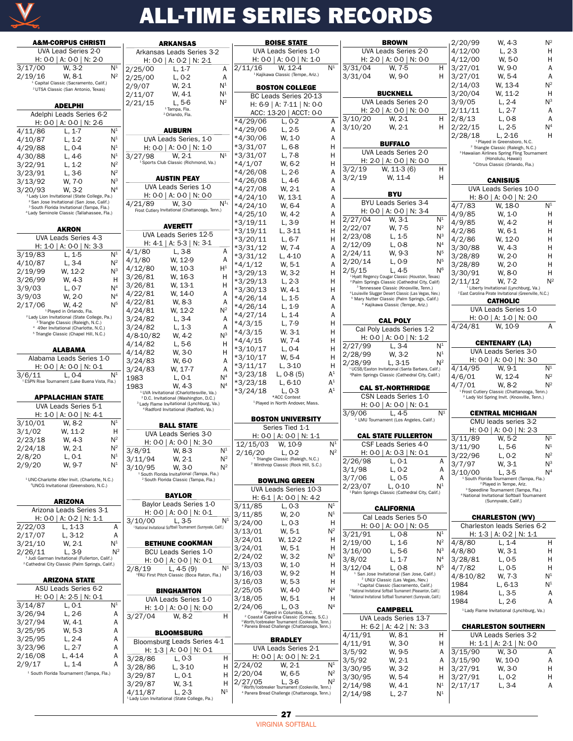

|         |                                                                                                                | <b>A&amp;M-CORPUS CHRISTI</b> |                                    |
|---------|----------------------------------------------------------------------------------------------------------------|-------------------------------|------------------------------------|
|         | UVA Lead Series 2-0                                                                                            |                               | Ark                                |
|         | H: 0-0   A: 0-0   N: 2-0                                                                                       |                               | ł                                  |
| 3/17/00 | W. 3-2                                                                                                         | N <sup>1</sup>                | 2/25/                              |
| 2/19/16 | W, 8-1                                                                                                         | $\mathsf{N}^2$                | 2/25/                              |
|         | <sup>1</sup> Capital Classic (Sacramento, Calif.)<br><sup>2</sup> UTSA Classic (San Antonio, Texas)            |                               | 2/9/0                              |
|         |                                                                                                                |                               | 2/11/                              |
|         | <b>ADELPHI</b>                                                                                                 |                               | 2/21/                              |
|         |                                                                                                                |                               |                                    |
|         | Adelphi Leads Series 6-2                                                                                       |                               |                                    |
|         | H: 0-0   A: 0-0   N: 2-6                                                                                       |                               |                                    |
| 4/11/86 | $L, 1-7$                                                                                                       | N <sup>1</sup>                |                                    |
| 4/10/87 | $L, 1-2$                                                                                                       | N <sup>1</sup>                | ι                                  |
| 4/29/88 | L, 0-4                                                                                                         | N <sup>1</sup>                | ŀ                                  |
| 4/30/88 | L, 4-6                                                                                                         | N <sup>1</sup>                | 3/21                               |
| 3/22/91 | $L, 1-2$                                                                                                       | $\mathsf{N}^2$                | $\overline{\mathbf{S}}$            |
| 3/23/91 | $L, 3-6$                                                                                                       | $\mathsf{N}^2$                |                                    |
| 3/13/92 | W, 7-0                                                                                                         | Nз                            |                                    |
| 3/20/93 | W, 3-2                                                                                                         | $\mathsf{N}^4$                |                                    |
|         | <sup>1</sup> Lady Lion Invitational (State College, Pa.)                                                       |                               | ł                                  |
|         | <sup>2</sup> San Jose Invitational (San Jose, Calif.)<br><sup>3</sup> South Florida Invitational (Tampa, Fla.) |                               | 4,<br>21                           |
|         | <sup>4</sup> Lady Seminole Classic (Tallahassee, Fla.)                                                         |                               | Frost                              |
|         |                                                                                                                |                               |                                    |
|         | <b>AKRON</b>                                                                                                   |                               |                                    |
|         | UVA Leads Series 4-3                                                                                           |                               | ι                                  |
|         | H: 1-0   A: 0-0   N: 3-3                                                                                       |                               | ł                                  |
| 3/19/83 | L, 1-5                                                                                                         | N <sup>1</sup>                | 4/1/8                              |
| 4/10/87 | L, 3-4                                                                                                         | $\mathsf{N}^2$                | 4/1/8                              |
|         |                                                                                                                | $N^3$                         | 4/12/                              |
| 2/19/99 | W, 12-2                                                                                                        |                               | 3/26/                              |
| 3/26/99 | W, 4-3                                                                                                         | н                             | 3/26/                              |
| 3/9/03  | $L, 0-7$                                                                                                       | N <sup>4</sup>                | 4/22/                              |
| 3/9/03  | W, 2-0                                                                                                         | $\mathsf{N}^4$                |                                    |
| 2/17/06 | W. 4-2                                                                                                         | N5                            | 4/22/                              |
|         | <sup>1</sup> Played in Orlando, Fla.<br><sup>2</sup> Lady Lion Invitational (State College, Pa.)               |                               | 4/24/                              |
|         | <sup>3</sup> Triangle Classic (Raleigh, N.C.)                                                                  |                               | 3/24/                              |
|         | 4 49er Invitational (Charlotte, N.C.)                                                                          |                               | 3/24/                              |
|         | <sup>5</sup> Triangle Classic (Chapel Hill, N.C.)                                                              |                               | 4/8-10                             |
|         |                                                                                                                |                               | 4/14/                              |
|         | ALABAMA                                                                                                        |                               | 4/14/                              |
|         | Alabama Leads Series 1-0                                                                                       |                               | 3/24/                              |
|         | H: 0-0   A: 0-0   N: 0-1                                                                                       |                               | 3/24/                              |
| 3/6/11  | L, 0-4                                                                                                         | N <sup>1</sup>                | 1983                               |
|         |                                                                                                                |                               |                                    |
|         | <sup>1</sup> ESPN Rise Tournament (Lake Buena Vista, Fla.)                                                     |                               | 1983                               |
|         |                                                                                                                |                               | 1U                                 |
|         | <b>APPALACHIAN STATE</b>                                                                                       |                               | 2 <sub>l</sub><br><sup>3</sup> Lac |
|         | UVA Leads Series 5-1                                                                                           |                               | $\overline{a}$                     |
|         | H: 1-0   A: 0-0   N: 4-1                                                                                       |                               |                                    |
| 3/10/01 | W. 8-2                                                                                                         | N <sup>1</sup>                |                                    |
| 3/1/02  | W, 11-2                                                                                                        | н                             |                                    |
| 2/23/18 | W, 4-3                                                                                                         | $N^2$                         |                                    |
| 2/24/18 | W. 2-1                                                                                                         | $N^2$                         | 3/8/9                              |
| 2/8/20  |                                                                                                                | N <sup>1</sup>                |                                    |
| 2/9/20  | L, 0-1<br>W, 9-7                                                                                               | N <sup>1</sup>                | 3/11/<br>3/10/                     |
|         |                                                                                                                |                               | 1 S <sub>0</sub>                   |
|         | <sup>1</sup> UNC-Charlotte 49er Invit. (Charlotte, N.C.)<br><sup>2</sup> UNCG Invitational (Greensboro, N.C.)  |                               | $^{2}S$                            |
|         |                                                                                                                |                               |                                    |
|         | ARIZONA                                                                                                        |                               |                                    |
|         | Arizona Leads Series 3-1                                                                                       |                               | В                                  |
|         | H: 0-0   A: 0-2   N: 1-1                                                                                       |                               | I                                  |
|         |                                                                                                                | А                             | з,<br>10/                          |
| 2/22/03 | L, 1-13                                                                                                        | A                             | <sup>1</sup> Nation                |
| 2/17/07 | $L, 3-12$                                                                                                      |                               |                                    |
| 3/21/10 | W, 2-1                                                                                                         | N <sup>1</sup><br>$N^2$       |                                    |
| 2/26/11 | L, 3-9<br><sup>1</sup> Judi Garman Invitational (Fullerton, Calif.)                                            |                               |                                    |
|         | <sup>2</sup> Cathedral City Classic (Palm Springs, Calif.)                                                     |                               |                                    |
|         |                                                                                                                |                               | Ί<br>1FAU                          |
|         | ARIZONA STATE                                                                                                  |                               |                                    |
|         | ASU Leads Series 6-2                                                                                           |                               |                                    |
|         | H: 0-0   A: 2-5   N: 0-1                                                                                       |                               |                                    |
| 3/14/87 | L, 0-1                                                                                                         | N <sup>1</sup>                |                                    |
| 3/26/94 | $L, 2-6$                                                                                                       | А                             |                                    |
| 3/27/94 | W, 4-1                                                                                                         | A                             |                                    |
| 3/25/95 | W, 5-3                                                                                                         | A                             |                                    |
| 3/25/95 | $L, 2-4$                                                                                                       | Α                             | Bloc                               |
| 3/23/96 | $L, 2-7$                                                                                                       | A                             |                                    |
| 2/16/08 | L, 4-14                                                                                                        | А                             | 3/28/                              |

1 South Florida Tournament (Tampa, Fla.)

| <b>ARKANSAS</b><br>Arkansas Leads Series 3-2                                                              |                                  |                          | <b>BOISE STATE</b>                                                                                                                                                               |                |                     | <b>BROWN</b>                                                                                                                |                                  | 2/20/99           | W. 4-3                                                                                                    | $N^2$          |
|-----------------------------------------------------------------------------------------------------------|----------------------------------|--------------------------|----------------------------------------------------------------------------------------------------------------------------------------------------------------------------------|----------------|---------------------|-----------------------------------------------------------------------------------------------------------------------------|----------------------------------|-------------------|-----------------------------------------------------------------------------------------------------------|----------------|
|                                                                                                           |                                  |                          | UVA Leads Series 1-0                                                                                                                                                             |                |                     | UVA Leads Series 2-0                                                                                                        |                                  | 4/12/00           | $L, 2-3$                                                                                                  | Н              |
| H: $0-0$   A: $0-2$   N: 2-1                                                                              |                                  |                          | H: $0-0$   A: $0-0$   N: 1-0                                                                                                                                                     |                |                     | H: 2-0   A: 0-0   N: 0-0                                                                                                    |                                  | 4/12/00           | W, 5-0                                                                                                    | H              |
| 2/25/00<br>$L, 1-7$                                                                                       | Α                                | 2/11/16                  | W. 12-4                                                                                                                                                                          | N <sup>1</sup> | 3/31/04             | W, 7-5                                                                                                                      | H.                               | 3/27/01           | W. 9-0                                                                                                    | A              |
| $L, 0-2$<br>2/25/00                                                                                       | A                                |                          | <sup>1</sup> Kajikawa Classic (Tempe, Ariz.)                                                                                                                                     |                | 3/31/04             | W. 9-0                                                                                                                      | H                                | 3/27/01           | W. 5-4                                                                                                    | A              |
| 2/9/07<br>W. 2-1                                                                                          | N <sup>1</sup>                   |                          |                                                                                                                                                                                  |                |                     |                                                                                                                             |                                  | 2/14/03           | W, 13-4                                                                                                   | $N^2$          |
| 2/11/07<br>W. 4-1                                                                                         | N <sup>1</sup>                   |                          | <b>BOSTON COLLEGE</b>                                                                                                                                                            |                |                     | <b>BUCKNELL</b>                                                                                                             |                                  | 3/20/04           | W, 11-2                                                                                                   | H              |
| $L.5-6$<br>2/21/15                                                                                        | $N^2$                            |                          | BC Leads Series 20-13                                                                                                                                                            |                |                     | <b>UVA Leads Series 2-0</b>                                                                                                 |                                  | 3/9/05            | $L, 2-4$                                                                                                  | $N^3$          |
| <sup>1</sup> Tampa, Fla.                                                                                  |                                  |                          | H: 6-9   A: 7-11   N: 0-0                                                                                                                                                        |                |                     | H: 2-0   A: 0-0   N: 0-0                                                                                                    |                                  | 2/11/11           | $L, 2-7$                                                                                                  | A              |
| <sup>2</sup> Orlando, Fla.                                                                                |                                  |                          | ACC: 13-20   ACCT: 0-0                                                                                                                                                           |                | $\frac{1}{3}$ 10/20 | W, 2-1                                                                                                                      | H                                | 2/8/13            | L, 0-8                                                                                                    | A              |
|                                                                                                           |                                  | *4/29/06                 | $L, 0-2$                                                                                                                                                                         | Α              | 3/10/20             | W. 2-1                                                                                                                      | H                                | 2/22/15           | $L, 2-5$                                                                                                  | N <sup>4</sup> |
| <b>AUBURN</b>                                                                                             |                                  | *4/29/06                 | $L, 2-5$                                                                                                                                                                         | A              |                     |                                                                                                                             |                                  | 2/28/18           | $L. 2 - 16$                                                                                               | Н              |
| UVA Leads Series, 1-0                                                                                     |                                  | *4/30/06                 | W. 1-0                                                                                                                                                                           | A              |                     | <b>BUFFALO</b>                                                                                                              |                                  |                   | <sup>1</sup> Played in Greensboro, N.C.                                                                   |                |
| H: $0-0$   A: $0-0$   N: 1-0                                                                              |                                  | *3/31/07                 | L, 6-8                                                                                                                                                                           | Н              |                     | <b>UVA Leads Series 2-0</b>                                                                                                 |                                  |                   | <sup>2</sup> Triangle Classic (Raleigh, N.C.)<br><sup>3</sup> Hawaiian Airlines Spring Fling Tournament   |                |
| 3/27/98<br>$W. 2-1$                                                                                       | $N^1$                            | *3/31/07                 | $L, 7-8$                                                                                                                                                                         | H              |                     | H: 2-0   A: 0-0   N: 0-0                                                                                                    |                                  |                   | (Honolulu, Hawaii)                                                                                        |                |
| <sup>1</sup> Sports Club Classic (Richmond, Va.)                                                          |                                  | $*4/1/07$                | W. 6-2                                                                                                                                                                           | Н              | $\frac{1}{3}/2/19$  | W, 11-3 (6)                                                                                                                 | H.                               |                   | <sup>4</sup> Citrus Classic (Orlando, Fla.)                                                               |                |
| <b>AUSTIN PEAY</b>                                                                                        |                                  | $*4/26/08$               | $L, 2-6$                                                                                                                                                                         | A              | 3/2/19              | W. 11-4                                                                                                                     | H                                |                   |                                                                                                           |                |
| UVA Leads Series 1-0                                                                                      |                                  | $*4/26/08$               | $L, 4-6$                                                                                                                                                                         | A              |                     |                                                                                                                             |                                  |                   | <b>CANISIUS</b>                                                                                           |                |
| H: $0-0$   A: $0-0$   N: $0-0$                                                                            |                                  | $*4/27/08$               | W. 2-1                                                                                                                                                                           | A              |                     | <b>BYU</b>                                                                                                                  |                                  |                   | UVA Leads Series 10-0                                                                                     |                |
| 4/21/89<br>W. 3-0                                                                                         | $N^{1_1}$                        | $*4/24/10$               | W. 13-1                                                                                                                                                                          | A              |                     | BYU Leads Series 3-4                                                                                                        |                                  |                   | H: 8-0   A: 0-0   N: 2-0                                                                                  |                |
| Frost Cutlery Invitational (Chattanooga, Tenn.)                                                           |                                  | $*4/24/10$               | W. 6-4                                                                                                                                                                           | A              |                     | H: $0-0$   A: $0-0$   N: 3-4                                                                                                |                                  | 4/7/83            | W, 18-0                                                                                                   | N <sup>1</sup> |
|                                                                                                           |                                  | $*4/25/10$               | W. 4-2                                                                                                                                                                           | A              | 2/27/04             | W, 3-1                                                                                                                      | N <sup>1</sup>                   | 4/9/85            | W. 1-0                                                                                                    | Н              |
| <b>AVERETT</b>                                                                                            |                                  | $*3/19/11$               | $L, 3-9$                                                                                                                                                                         | Н              | 2/22/07             | W. 7-5                                                                                                                      | $N^2$                            | 4/9/85            | W. 4-2                                                                                                    | Н              |
| UVA Leads Series 12-5                                                                                     |                                  | $*3/19/11$               | $L, 3-11$                                                                                                                                                                        | H              | 2/23/08             | $L, 1-5$                                                                                                                    | $N^3$                            | 4/2/86            | W. 6-1                                                                                                    | Н              |
| H: $4-1$   A: $5-3$   N: $3-1$                                                                            |                                  | *3/20/11                 | $L, 6-7$                                                                                                                                                                         | H              | 2/12/09             | $L, 0-8$                                                                                                                    | N <sup>4</sup>                   | 4/2/86            | W. 12-0                                                                                                   | H              |
| 4/1/80<br>$L, 3-8$                                                                                        | Α                                | $*3/31/12$               | W. 7-4                                                                                                                                                                           | A              | 2/24/11             | W, 9-3                                                                                                                      | N <sup>5</sup>                   | 3/30/88           | W. 4-3                                                                                                    | Н              |
| W. 12-9<br>4/1/80                                                                                         | Α                                | $*3/31/12$               | $L, 4-10$                                                                                                                                                                        | A              | 2/20/14             | $L, 0-9$                                                                                                                    | N <sup>5</sup>                   | 3/28/89           | W. 2-0                                                                                                    | H              |
| W, 10-3<br>4/12/80                                                                                        | $H^1$                            | $*4/1/12$                | W, 5-1                                                                                                                                                                           | A              | 2/5/15              | $L.4-5$                                                                                                                     | N <sup>6</sup>                   | 3/28/89           | W. 2-0                                                                                                    | Н              |
| 3/26/81<br>W, 16-3                                                                                        | Н                                | $*3/29/13$               | W. 3-2                                                                                                                                                                           | Н              |                     | <sup>1</sup> Hyatt Regency Cougar Classic (Houston, Texas)                                                                  |                                  | 3/30/91           | W. 8-0                                                                                                    | Н              |
| 3/26/81<br>W, 13-1                                                                                        | H                                | $*3/29/13$               | $L, 2-3$                                                                                                                                                                         | н              |                     | <sup>2</sup> Palm Springs Classic (Cathedral City, Calif)<br><sup>3</sup> Tennessee Classic (Knoxville, Tenn.)              |                                  | 2/11/12           | W. 7-2<br><sup>i</sup> Liberty Invitational (Lynchburg, Va.)                                              | $N^2$          |
| 4/22/81<br>W. 14-0                                                                                        | Α                                | $*3/30/13$               | W. 4-1                                                                                                                                                                           | н              |                     | <sup>4</sup> Louisville Slugger Desert Classic (Las Vegas, Nev.)                                                            |                                  |                   | <sup>2</sup> East Carolina Pirate Invitational (Greenville, N.C.)                                         |                |
| 4/22/81<br>W. 8-3                                                                                         | Α                                | $*4/26/14$<br>$*4/26/14$ | $L, 1-5$                                                                                                                                                                         | A<br>A         |                     | <sup>5</sup> Mary Nutter Classic (Palm Springs, Calif.)<br><sup>6</sup> Kajikawa Classic (Tempe, Ariz.)                     |                                  |                   | <b>CATHOLIC</b>                                                                                           |                |
| 4/24/81<br>W. 12-2                                                                                        | $N^2$                            | $*4/27/14$               | $L, 1-9$<br>$L, 1-4$                                                                                                                                                             | A              |                     |                                                                                                                             |                                  |                   | UVA Leads Series 1-0                                                                                      |                |
| $L, 3-4$<br>3/24/82                                                                                       | Α                                | $*4/3/15$                | $L, 7-9$                                                                                                                                                                         | Н              |                     | <b>CAL POLY</b>                                                                                                             |                                  |                   | H: $0-0$   A: $1-0$   N: $0-0$                                                                            |                |
| 3/24/82<br>$L, 1-3$                                                                                       | Α                                | $*4/3/15$                | W. 3-1                                                                                                                                                                           | H              |                     | Cal Poly Leads Series 1-2                                                                                                   |                                  | 4/24/81           | W, 10-9                                                                                                   | Α              |
| 4/8-10/82<br>W. 4-2                                                                                       | $N^3$                            | *4/4/15                  | W. 7-4                                                                                                                                                                           | H              |                     | H: 0-0   A: 0-0   N: 1-2                                                                                                    |                                  |                   |                                                                                                           |                |
| 4/14/82<br>$L, 5-6$                                                                                       | H                                | $*3/10/17$               | $L, 0-4$                                                                                                                                                                         | H              | 2/27/99             | $L, 3-4$                                                                                                                    | N <sup>1</sup>                   |                   | <b>CENTENARY (LA)</b>                                                                                     |                |
| W. 3-0<br>4/14/82                                                                                         | Н                                | $*3/10/17$               | W. 5-4                                                                                                                                                                           | H              | 2/28/99             | W, 3-2                                                                                                                      | N <sup>1</sup>                   |                   | UVA Leads Series 3-0                                                                                      |                |
| 3/24/83<br>W. 6-0                                                                                         | Α                                | $*3/11/17$               | $L, 3-10$                                                                                                                                                                        | Н              | 2/28/99             | $L, 3-15$                                                                                                                   | $N^2$                            |                   | H: 0-0   A: 0-0   N: 3-0                                                                                  | N <sup>1</sup> |
| 3/24/83<br>W. 17-7                                                                                        | Α                                | $*3/23/18$               | $L, 0-8(5)$                                                                                                                                                                      | A <sup>1</sup> |                     | <sup>1</sup> UCSB/Easton Invitational (Santa Barbara, Calif.)<br><sup>2</sup> Palm Springs Classic (Cathedral City, Calif.) |                                  | 4/14/95<br>4/6/01 | W. 9-1<br>W. 12-4                                                                                         | $N^2$          |
| 1983<br>$L, 0-1$                                                                                          | N <sup>4</sup><br>N <sup>4</sup> | *3/23/18                 | L, 6-10                                                                                                                                                                          | A <sup>1</sup> |                     |                                                                                                                             |                                  | 4/7/01            | W. 8-2                                                                                                    | $N^2$          |
| 1983<br>W. 4-3<br><sup>1</sup> UVA Invitational (Charlottesville, Va.)                                    |                                  | *3/24/18                 | $L. 0-3$                                                                                                                                                                         | A <sup>1</sup> |                     | <b>CAL ST.-NORTHRIDGE</b>                                                                                                   |                                  |                   | <sup>1</sup> Frost Cutlery Classic (Chattanooga, Tenn.)                                                   |                |
| <sup>2</sup> D.C. Invitational (Washington, D.C.)                                                         |                                  |                          | *ACC Contest<br><sup>1</sup> Played in North Andover, Mass.                                                                                                                      |                |                     | CSN Leads Series 1-0                                                                                                        |                                  |                   | <sup>2</sup> Lady Vol Spring Invit. (Knoxville, Tenn.)                                                    |                |
| <sup>3</sup> Lady Flame Invitational (Lynchburg, Va.)<br><sup>4</sup> Radford Invitational (Radford, Va.) |                                  |                          |                                                                                                                                                                                  |                |                     | H: 0-0   A: 0-0   N: 0-1                                                                                                    |                                  |                   |                                                                                                           |                |
|                                                                                                           |                                  |                          | <b>BOSTON UNIVERSITY</b>                                                                                                                                                         |                | 3/9/06              | $L.4-5$<br><sup>1</sup> LMU Tournament (Los Angeles, Calif.)                                                                | N <sup>1</sup>                   |                   | <b>CENTRAL MICHIGAN</b>                                                                                   |                |
| <b>BALL STATE</b>                                                                                         |                                  |                          | Series Tied 1-1                                                                                                                                                                  |                |                     |                                                                                                                             |                                  |                   | CMU leads series 3-2<br>H: $0-0$   A: $0-0$   N: 2-3                                                      |                |
| UVA Leads Series 3-0                                                                                      |                                  |                          | H: 0-0   A: 0-0   N: 1-1                                                                                                                                                         |                |                     | <b>CAL STATE FULLERTON</b>                                                                                                  |                                  | 3/11/89           | W, 5-2                                                                                                    | N <sup>1</sup> |
| H: 0-0   A: 0-0   N: 3-0                                                                                  |                                  | 12/15/03                 | W, 10-9                                                                                                                                                                          | N <sup>1</sup> |                     | CSF Leads Series 4-0                                                                                                        |                                  |                   |                                                                                                           | N <sup>1</sup> |
| 3/8/91<br>W. 8-3                                                                                          |                                  |                          |                                                                                                                                                                                  |                |                     |                                                                                                                             |                                  |                   |                                                                                                           |                |
|                                                                                                           | N <sup>1</sup>                   | 2/16/20                  | $L, 0-2$                                                                                                                                                                         | $N^2$          |                     | H: 0-0   A: 0-3   N: 0-1                                                                                                    |                                  | 3/11/90           | $L, 5-6$                                                                                                  |                |
| 3/11/94<br>W, 2-1                                                                                         | $N^2$                            |                          | <sup>1</sup> Triangle Classic (Raleigh, N.C.)                                                                                                                                    |                | 2/26/98             | $L, 0-1$                                                                                                                    | Α                                | 3/22/96           | $L, 0-2$                                                                                                  | $N^2$          |
| 3/10/95<br>W. 3-0                                                                                         | $N^2$                            |                          | <sup>2</sup> Winthrop Classic (Rock Hill, S.C.)                                                                                                                                  |                | 3/1/98              | $L, 0-2$                                                                                                                    | Α                                | 3/7/97            | W, 3-1                                                                                                    | $N^3$          |
| <sup>1</sup> South Florida Invitational (Tampa, Fla.)<br><sup>2</sup> South Florida Classic (Tampa, Fla.) |                                  |                          |                                                                                                                                                                                  |                | 3/7/06              | $L, 0-5$                                                                                                                    | A                                | 3/10/00           | L, 3-5<br><sup>1</sup> South Florida Tournament (Tampa, Fla.)                                             | N <sup>4</sup> |
|                                                                                                           |                                  |                          | <b>BOWLING GREEN</b>                                                                                                                                                             |                | 2/23/07             | L, 0-10                                                                                                                     | N <sup>1</sup>                   |                   | <sup>2</sup> Played in Tempe, Ariz.                                                                       |                |
| <b>BAYLOR</b>                                                                                             |                                  |                          | UVA Leads Series 10-3<br>H: $6-1$   A: $0-0$   N: 4-2                                                                                                                            |                |                     | <sup>1</sup> Palm Springs Classic (Cathedral City, Calif.)                                                                  |                                  |                   | <sup>3</sup> Speedline Tournament (Tampa, Fla.)<br><sup>4</sup> National Invitational Softball Tournament |                |
| Baylor Leads Series 1-0                                                                                   |                                  | 3/11/85                  | $L, 0-3$                                                                                                                                                                         | N <sup>1</sup> |                     |                                                                                                                             |                                  |                   | (Sunnyvale, Calif.)                                                                                       |                |
| H: $0-0$   A: $0-0$   N: $0-1$                                                                            |                                  | 3/11/85                  | W. 2-0                                                                                                                                                                           | N <sup>1</sup> |                     | <b>CALIFORNIA</b>                                                                                                           |                                  |                   |                                                                                                           |                |
| 3/10/00<br>L. 3-5                                                                                         | N <sup>1</sup>                   | 3/24/00                  | $L, 0-3$                                                                                                                                                                         | H              |                     | Cal Leads Series 5-0                                                                                                        |                                  |                   | <b>CHARLESTON (WV)</b>                                                                                    |                |
| <sup>1</sup> National Invitational Softball Tournament (Sunnyvale, Calif.)                                |                                  | 3/13/01                  | W, 5-1                                                                                                                                                                           | $N^2$          |                     | H: 0-0   A: 0-0   N: 0-5<br>$L, 0-8$                                                                                        | N <sup>1</sup>                   |                   | Charleston leads Series 6-2                                                                               |                |
|                                                                                                           |                                  | 3/24/01                  | W, 12-2                                                                                                                                                                          | H              | 3/21/91             |                                                                                                                             |                                  |                   | H: 1-3   A: 0-2   N: 1-1                                                                                  |                |
| <b>BETHUNE COOKMAN</b>                                                                                    |                                  | 3/24/01                  | W, 5-1                                                                                                                                                                           | H              | 2/19/00             | $L, 1-6$                                                                                                                    | $N^2$                            | 4/8/80            | $L, 1-4$                                                                                                  | н              |
| <b>BCU Leads Series 1-0</b>                                                                               |                                  | 2/24/02                  | W, 3-2                                                                                                                                                                           | $N^3$          | 3/16/00             | $L, 5-6$<br>$L, 1-7$                                                                                                        | $N^3$<br>N <sup>4</sup>          | 4/8/80<br>3/28/81 | W, 3-1<br>L, 0-5                                                                                          | H<br>Н         |
| H: 0-0   A: 0-0   N: 0-1<br>L. $4-5(9)$                                                                   | N <sup>1</sup>                   | 3/13/03                  | W, 1-0                                                                                                                                                                           | H              | 3/8/02<br>3/12/04   | $L.0-8$                                                                                                                     | N <sup>5</sup>                   | 4/7/82            | L, 0-5                                                                                                    | H              |
| 2/8/19<br><sup>1</sup> FAU First Pitch Classic (Boca Raton, Fla.)                                         |                                  | 3/16/03                  | W, 9-2                                                                                                                                                                           | н              |                     | <sup>1</sup> San Jose Invitational (San Jose, Calif.)                                                                       |                                  | 4/8-10/82         | W. 7-3                                                                                                    | $\mathsf{N}^1$ |
|                                                                                                           |                                  | 3/16/03                  | W. 5-3                                                                                                                                                                           | Н              |                     | <sup>2</sup> UNLV Classic (Las Vegas, Nev.)<br><sup>3</sup> Capital Classic (Sacramento, Calif.)                            |                                  | 1984              | L, 6-13                                                                                                   | N <sup>1</sup> |
| <b>BINGHAMTON</b>                                                                                         |                                  | 2/25/05                  | W. 4-0                                                                                                                                                                           | N <sup>4</sup> |                     | <sup>4</sup> National Invitational Softball Tournament (Pleasanton, Calif.)                                                 |                                  | 1984              | $L, 3-5$                                                                                                  | A              |
| UVA Leads Series 1-0                                                                                      |                                  | 3/18/05                  | W, 5-1                                                                                                                                                                           | Н              |                     | <sup>5</sup> National Invitational Softball Tournament (Sunnyvale, Calif.)                                                  |                                  | 1984              | L, 2-6                                                                                                    | А              |
| H: 1-0   A: 0-0   N: 0-0                                                                                  |                                  | 2/24/06                  | L, 0-3<br>Played in Columbia, S.C.                                                                                                                                               | N <sup>4</sup> |                     | <b>CAMPBELL</b>                                                                                                             |                                  |                   | <sup>1</sup> Lady Flame Invitational (Lynchburg, Va.)                                                     |                |
| 3/27/04<br>W. 8-2                                                                                         | н                                |                          |                                                                                                                                                                                  |                |                     | UVA Leads Series 13-7                                                                                                       |                                  |                   |                                                                                                           |                |
|                                                                                                           |                                  |                          | <sup>2</sup> Coastal Carolina Classic (Conway, S.C.)<br><sup>3</sup> Worth/Icebreaker Tournament (Cookeville, Tenn.)<br><sup>4</sup> Panera Bread Challenge (Chattanooga, Tenn.) |                |                     | H: 6-2   A: 4-2   N: 3-3                                                                                                    |                                  |                   | <b>CHARLESTON SOUTHERN</b>                                                                                |                |
| <b>BLOOMSBURG</b>                                                                                         |                                  |                          |                                                                                                                                                                                  |                | 4/11/91             | W, 8-1                                                                                                                      | H.                               |                   | UVA Leads Series 3-2                                                                                      |                |
| Bloomsburg Leads Series 4-1                                                                               |                                  |                          | <b>BRADLEY</b>                                                                                                                                                                   |                | 4/11/91             | W, 3-0                                                                                                                      | H                                |                   | H: 1-1   A: 2-1   N: 0-0                                                                                  |                |
| H: 1-3   A: 0-0   N: 0-1                                                                                  |                                  |                          | UVA Leads Series 2-1                                                                                                                                                             |                | 3/5/92              | W, 9-5                                                                                                                      | A                                | 3/15/90           | W, 3-0                                                                                                    | Α              |
| 3/28/86<br>L, 0-3                                                                                         | н                                | 2/24/02                  | H: 0-0   A: 0-0   N: 2-1<br>W, 2-1                                                                                                                                               | N <sup>1</sup> | 3/5/92              | W, 2-1                                                                                                                      | A                                | 3/15/90           | W, 10-0                                                                                                   | Α              |
| $L, 3-10$<br>3/28/86                                                                                      | н                                | 2/20/04                  | W, 6-5                                                                                                                                                                           | $N^2$          | 3/30/95             | W, 3-2                                                                                                                      | н                                | 3/27/91           | W, 3-0                                                                                                    | н              |
| 3/29/87<br>$L, 0-1$                                                                                       | н                                | 2/27/05                  | $L.3-6$                                                                                                                                                                          | $N^2$          | 3/30/95             | W, 5-4                                                                                                                      | н                                | 3/27/91           | $L, 0-2$                                                                                                  | Н              |
| 3/29/87<br>W, 3-1<br>4/11/87<br>$L. 2-3$                                                                  | H<br>N <sup>1</sup>              |                          | Worth/Icebreaker Tournament (Cookeville, Tenn.)<br><sup>4</sup> Panera Bread Challenge (Chattanooga, Tenn.)                                                                      |                | 2/14/98<br>2/14/98  | W, 4-1<br>$L, 2-7$                                                                                                          | N <sup>1</sup><br>N <sup>1</sup> | 2/17/17           | $L, 3-4$                                                                                                  | Α              |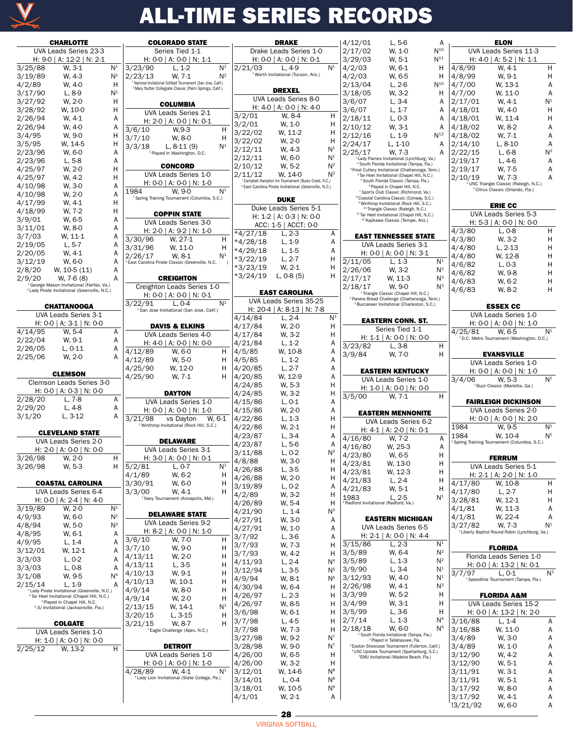

|         | <b>CHARLOTTE</b>                                                                                                  |                |                                                             | <b>COLORADO STATE</b>                                                                                                              |                   | <b>DRAKE</b>                                                                |                         | 4/12/01                             | L, 5-6                                                                                                                 | A                                |                    | <b>ELON</b>                                                                         |                |
|---------|-------------------------------------------------------------------------------------------------------------------|----------------|-------------------------------------------------------------|------------------------------------------------------------------------------------------------------------------------------------|-------------------|-----------------------------------------------------------------------------|-------------------------|-------------------------------------|------------------------------------------------------------------------------------------------------------------------|----------------------------------|--------------------|-------------------------------------------------------------------------------------|----------------|
|         | UVA Leads Series 23-3                                                                                             |                |                                                             | Series Tied 1-1                                                                                                                    |                   | Drake Leads Series 1-0                                                      |                         | 2/17/02                             | W. 1-0                                                                                                                 | $N^{10}$                         |                    | UVA Leads Series 11-3                                                               |                |
|         | H: 9-0   A: 12-2   N: 2-1                                                                                         |                |                                                             | H: $0-0$   A: $0-0$   N: 1-1                                                                                                       |                   | H: $0-0$   A: $0-0$   N: $0-1$                                              |                         | 3/29/03                             | W. 5-1                                                                                                                 | $N^{11}$                         |                    | H: $4-0$   A: $5-2$   N: 1-1                                                        |                |
| 3/25/88 | W. 3-1                                                                                                            | N <sup>1</sup> | $\frac{1}{3}/23/90$                                         | N <sup>1</sup><br>$L, 1-2$                                                                                                         | 2/21/03           | $L.4-9$                                                                     | $N^1$                   | 4/2/03                              | W. 6-1                                                                                                                 | H                                | 4/8/99             | W. 4-1                                                                              | H              |
| 3/19/89 | W. 4-3                                                                                                            | $N^2$          | 2/23/13                                                     | $N^2$<br>W. 7-1                                                                                                                    |                   | <sup>1</sup> Worth Invitational (Tucson, Ariz.)                             |                         | 4/2/03                              | W. 6-5                                                                                                                 | H                                | 4/8/99             | W, 9-1                                                                              | н              |
| 4/2/89  | W. 4-0                                                                                                            | H              |                                                             | National Invitational Softball Tournament (San Jose, Calif.)<br><sup>2</sup> Mary Nutter Collegiate Classic (Palm Springs, Calif.) |                   |                                                                             |                         | 2/13/04                             | $L, 2-6$                                                                                                               | $N^{10}$                         | 4/7/00             | W. 13-1                                                                             | Α              |
| 3/17/90 | $L, 8-9$                                                                                                          | $N^2$          |                                                             |                                                                                                                                    |                   | <b>DREXEL</b>                                                               |                         | 3/18/05                             | W. 3-2                                                                                                                 | н                                | 4/7/00             | W. 11-0                                                                             | Α              |
| 3/27/92 | W. 2-0                                                                                                            | н              |                                                             | <b>COLUMBIA</b>                                                                                                                    |                   | UVA Leads Series 8-0                                                        |                         | 3/6/07                              | $L, 3-4$                                                                                                               | Α                                | 2/17/01            | W. 4-1                                                                              | N <sup>1</sup> |
| 3/28/92 | W, 10-0                                                                                                           | Η              |                                                             | UVA Leads Series 2-1                                                                                                               |                   | H: 4-0   A: 0-0   N: 4-0                                                    |                         | 3/6/07                              | $L, 1-7$                                                                                                               | Α                                | 4/18/01            | W. 4-0                                                                              | Η              |
| 2/26/94 | W. 4-1                                                                                                            | Α              |                                                             | H: 2-0   A: 0-0   N: 0-1                                                                                                           | 3/2/01            | W. 8-4                                                                      | н                       | 2/18/11                             | $L, 0-3$                                                                                                               | Α                                | 4/18/01            | W. 11-4                                                                             | н              |
| 2/26/94 | W. 4-0                                                                                                            | Α              | 3/6/10                                                      | H<br>$W, 9-3$                                                                                                                      | 3/2/01            | W, 1-0                                                                      | н                       | 2/10/12                             | W. 3-1                                                                                                                 | Α                                | 4/18/02            | W. 8-2                                                                              | Α              |
| 3/4/95  | W, 9-0                                                                                                            | Η              | 3/7/10                                                      | W. 8-0<br>н                                                                                                                        | 3/22/02           | W, 11-2                                                                     | н                       | 2/12/16                             | L, 1-9                                                                                                                 | $N^{12}$                         | 4/18/02            | W. 7-1                                                                              | Α              |
| 3/5/95  | W. 14-5                                                                                                           | Η              | 3/3/18                                                      | N <sup>1</sup><br>L, $8-11(9)$                                                                                                     | 3/22/02           | W, 2-0                                                                      | H                       | 2/24/17                             | $L, 1-10$                                                                                                              | Α                                | 2/14/10            | $L, 8-10$                                                                           | Α              |
| 2/23/96 | W. 6-0                                                                                                            | Α              |                                                             | <sup>1</sup> Played in Washington, D.C.                                                                                            | 2/12/11           | W. 4-3                                                                      | N <sup>1</sup>          | 2/25/17                             | W, 7-3                                                                                                                 | Α                                | 2/22/15            | L, 6-8                                                                              | $N^2$          |
| 2/23/96 | $L, 5-8$                                                                                                          | Α              |                                                             |                                                                                                                                    | 2/12/11           | W. 6-0                                                                      | N <sup>1</sup>          |                                     | Lady Flames Invitational (Lynchburg, Va.)<br><sup>2</sup> South Florida Invitational (Tampa, Fla.)                     |                                  | 2/19/17            | L, 4-6                                                                              | Α              |
| 4/25/97 | W. 2-0                                                                                                            | Η              |                                                             | <b>CONCORD</b>                                                                                                                     | 2/10/12           | W, 5-2                                                                      | $N^2$                   |                                     | <sup>3</sup> Frost Cutlery Invitational (Chattanooga, Tenn.)                                                           |                                  | 2/19/17            | W. 7-5                                                                              | Α              |
| 4/25/97 | W. 4-2                                                                                                            | Η              |                                                             | UVA Leads Series 1-0                                                                                                               | 2/11/12           | W. 14-0<br><sup>1</sup> Campbell Hampton Inn Tournament (Buies Creek, N.C.) | $N^2$                   |                                     | <sup>4</sup> Tar Heel Invitational (Chapel Hill, N.C.)<br><sup>5</sup> South Florida Classic (Tampa, Fla.)             |                                  | 2/10/19            | W. 7-3                                                                              | A              |
| 4/10/98 | W. 3-0                                                                                                            | Α              |                                                             | H: $0-0$   A: $0-0$   N: 1-0                                                                                                       |                   | <sup>2</sup> East Carolina Pirate Invitational (Greenville, N.C.)           |                         |                                     | <sup>6</sup> Played in Chapel Hill, N.C.                                                                               |                                  |                    | UNC Triangle Classic (Raleigh, N.C.)<br><sup>2</sup> Citrus Classic (Orlando, Fla.) |                |
| 4/10/98 | W. 2-0                                                                                                            | Α              | 1984                                                        | N <sup>1</sup><br>W. 9-0<br><sup>1</sup> Spring Training Tournament (Columbia, S.C.)                                               |                   |                                                                             |                         |                                     | <sup>7</sup> Sports Club Classic (Richmond, Va.)<br><sup>8</sup> Coastal Carolina Classic (Conway, S.C.)               |                                  |                    |                                                                                     |                |
| 4/17/99 | W. 4-1                                                                                                            | Η              |                                                             |                                                                                                                                    |                   | <b>DUKE</b>                                                                 |                         |                                     | <sup>9</sup> Winthrop Invitational (Rock Hill, S.C.)                                                                   |                                  |                    | <b>ERIE CC</b>                                                                      |                |
| 4/18/99 | W. 7-2                                                                                                            | Η              |                                                             | <b>COPPIN STATE</b>                                                                                                                |                   | Duke Leads Series 5-1                                                       |                         |                                     | <sup>10</sup> Triangle Classic (Raleigh, N.C.)<br><sup>11</sup> Tar Heel Invitational (Chapel Hill, N.C.)              |                                  |                    | UVA Leads Series 5-3                                                                |                |
| 3/9/01  | W. 6-5                                                                                                            | Α              |                                                             | UVA Leads Series 3-0                                                                                                               |                   | H: 1-2   A: 0-3   N: 0-0                                                    |                         |                                     | <sup>12</sup> Kajikawa Classic (Tempe, Ariz.)                                                                          |                                  |                    | H: 5-3   A: 0-0   N: 0-0                                                            |                |
| 3/11/01 | W. 8-0                                                                                                            | Α              |                                                             | H: 2-0   A: 9-2   N: 1-0                                                                                                           |                   | ACC: 1-5   ACCT: 0-0                                                        |                         |                                     |                                                                                                                        |                                  | 4/3/80             | L, 0-8                                                                              | H              |
| 3/7/03  | W. 11-1                                                                                                           | Α              | 3/30/96                                                     | W. 27-1<br>н                                                                                                                       | *4/27/18          | $L, 2-3$                                                                    | Α                       |                                     | <b>EAST TENNESSEE STATE</b>                                                                                            |                                  | 4/3/80             | W. 3-2                                                                              | н              |
| 2/19/05 | $L, 5-7$                                                                                                          | Α              | 3/31/96                                                     | W. 11-0<br>н                                                                                                                       | $*4/28/18$        | $L, 1-9$                                                                    | Α                       |                                     | UVA Leads Series 3-1                                                                                                   |                                  | 4/4/80             | $L, 2-13$                                                                           | н              |
| 2/20/05 | W. 4-1                                                                                                            | Α              | 2/26/17                                                     | W. 8-1<br>N <sup>1</sup>                                                                                                           | *4/29/18          | $L, 1-5$                                                                    | Α                       |                                     | H: 0-0   A: 0-0   N: 3-1                                                                                               |                                  | 4/4/80             | W. 12-8                                                                             | Η              |
| 3/12/19 | W. 6-0                                                                                                            | Α              | <sup>1</sup> East Carolina Pirate Classic (Greenville, N.C. |                                                                                                                                    | *3/22/19          | $L, 2-7$                                                                    | Η                       | 2/11/05                             | $L, 1-3$                                                                                                               | N <sup>1</sup>                   | 4/6/82             | $L, 0-3$                                                                            | Η              |
| 2/8/20  | W, 10-5 (11)                                                                                                      | Α              |                                                             |                                                                                                                                    | $*3/23/19$        | W. 2-1                                                                      | Η                       | 2/26/06                             | W, 3-2                                                                                                                 | $N^2$                            | 4/6/82             | W. 9-8                                                                              | Η              |
| 2/9/20  | W, 7-6 (8)                                                                                                        | Α              |                                                             | <b>CREIGHTON</b>                                                                                                                   | *3/24/19          | $L, 0-8(5)$                                                                 | н                       | 2/17/17                             | W. 11-3                                                                                                                | $N^3$                            | 4/6/83             | W. 6-2                                                                              | Η              |
|         | <sup>i</sup> George Mason Invitational (Fairfax, Va.)<br><sup>2</sup> Lady Pirate Invitational (Greenville, N.C.) |                |                                                             | Creighton Leads Series 1-0                                                                                                         |                   |                                                                             |                         | 2/18/17                             | W. 9-0                                                                                                                 | $N^3$                            | 4/6/83             | W. 8-2                                                                              | H              |
|         |                                                                                                                   |                |                                                             | H: 0-0   A: 0-0   N: 0-1                                                                                                           |                   | <b>EAST CAROLINA</b>                                                        |                         |                                     | <sup>1</sup> Triangle Classic (Chapel Hill, N.C.)<br><sup>2</sup> Panera Bread Challenge (Chattanooga, Tenn.)          |                                  |                    |                                                                                     |                |
|         | <b>CHATTANOOGA</b>                                                                                                |                | 3/22/91                                                     | N <sup>1</sup><br>L, 0-4                                                                                                           |                   | UVA Leads Series 35-25                                                      |                         |                                     | <sup>3</sup> Buccaneer Invitational (Charleston, S.C.)                                                                 |                                  |                    | <b>ESSEX CC</b>                                                                     |                |
|         | UVA Leads Series 3-1                                                                                              |                |                                                             | <sup>1</sup> San Jose Invitational (San Jose, Calif.)                                                                              | 4/14/84           | H: 20-4   A: 8-13   N: 7-8<br>$L, 2-4$                                      | N <sup>1</sup>          |                                     |                                                                                                                        |                                  |                    | UVA Leads Series 1-0                                                                |                |
|         | H: $0-0$   A: $3-1$   N: $0-0$                                                                                    |                |                                                             | <b>DAVIS &amp; ELKINS</b>                                                                                                          | 4/17/84           | W, 2-0                                                                      | Η                       |                                     | <b>EASTERN CONN. ST.</b>                                                                                               |                                  |                    | H: $0-0$   A: $0-0$   N: 1-0                                                        |                |
| 4/14/95 | W, 5-4                                                                                                            | Α              |                                                             | UVA Leads Series 4-0                                                                                                               | 4/17/84           | W, 3-2                                                                      | Η                       |                                     | Series Tied 1-1                                                                                                        |                                  | 4/25/81            | W, 6-5                                                                              | $N^1$          |
| 2/22/04 | W. 9-1                                                                                                            | Α              |                                                             | H: $4-0$   A: $0-0$   N: $0-0$                                                                                                     | 4/21/84           | $L, 1-2$                                                                    | Α                       |                                     | H: 1-1   A: 0-0   N: 0-0                                                                                               |                                  |                    | <sup>1</sup> D.C. Metro Tournament (Washington, D.C.)                               |                |
| 2/26/05 | L, 0-11                                                                                                           | Α              | 4/12/89                                                     | W. 6-0<br>H                                                                                                                        | 4/5/85            | W, 10-8                                                                     | Α                       | 3/23/82                             | $L, 3-8$                                                                                                               | Н                                |                    |                                                                                     |                |
| 2/25/06 | W. 2-0                                                                                                            | Α              | 4/12/89                                                     | W, 5-0<br>н                                                                                                                        | 4/5/85            | $L, 1-2$                                                                    | Α                       | 3/9/84                              | W, 7-0                                                                                                                 | H                                |                    | <b>EVANSVILLE</b>                                                                   |                |
|         |                                                                                                                   |                | 4/25/90                                                     | W. 12-0<br>н                                                                                                                       | 4/20/85           | $L, 2-7$                                                                    | Α                       |                                     |                                                                                                                        |                                  |                    | UVA Leads Series 1-0                                                                |                |
|         | <b>CLEMSON</b>                                                                                                    |                | 4/25/90                                                     | H<br>W. 7-1                                                                                                                        | 4/20/85           | W. 12-9                                                                     | Α                       |                                     | <b>EASTERN KENTUCKY</b>                                                                                                |                                  |                    | H: 0-0   A: 0-0   N: 1-0                                                            |                |
|         | Clemson Leads Series 3-0                                                                                          |                |                                                             |                                                                                                                                    | 4/24/85           | W. 5-3                                                                      | Η                       |                                     | UVA Leads Series 1-0                                                                                                   |                                  | 3/4/06             | W. 5-3<br><sup>1</sup> Buzz Classic (Marietta, Ga.)                                 | $N^1$          |
|         | H: $0-0$   A: $0-3$   N: $0-0$                                                                                    |                |                                                             | <b>DAYTON</b>                                                                                                                      | 4/24/85           | W, 3-2                                                                      | Η                       |                                     | H: 1-0   A: 0-0   N: 0-0                                                                                               |                                  |                    |                                                                                     |                |
| 2/28/20 | $L, 7-8$                                                                                                          | Α              |                                                             | UVA Leads Series 1-0                                                                                                               | 4/15/86           | $L, 0-1$                                                                    | Α                       | 3/5/00                              | W. 7-1                                                                                                                 | H                                |                    | <b>FAIRLEIGH DICKINSON</b>                                                          |                |
| 2/29/20 | $L, 4-8$                                                                                                          | Α              |                                                             | H: 0-0   A: 0-0   N: 1-0                                                                                                           | 4/15/86           | W, 2-0                                                                      | Α                       |                                     | <b>EASTERN MENNONITE</b>                                                                                               |                                  |                    | UVA Leads Series 2-0                                                                |                |
| 3/1/20  | L, 3-12                                                                                                           | Α              | 3/21/98                                                     | vs Dayton<br>W. 6-1                                                                                                                | 4/22/86           | $L, 1-3$                                                                    | Η                       |                                     | UVA Leads Series 6-2                                                                                                   |                                  |                    | H: 0-0   A: 0-0   N: 2-0                                                            |                |
|         |                                                                                                                   |                |                                                             | <sup>1</sup> Winthrop Invitational (Rock Hill, S.C.)                                                                               | 4/22/86           | W, 2-1                                                                      | Η                       |                                     | H: $4-1$   A: $2-0$   N: $0-1$                                                                                         |                                  | 1984               | W, 9-5                                                                              | $N^1$          |
|         | <b>CLEVELAND STATE</b>                                                                                            |                |                                                             |                                                                                                                                    | 4/23/87           | $L, 3-4$                                                                    | Α                       | 4/16/80                             | W. 7-2                                                                                                                 | Α                                | 1984               | W. 10-4                                                                             | N <sup>1</sup> |
|         | UVA Leads Series 2-0                                                                                              |                |                                                             | <b>DELAWARE</b>                                                                                                                    | 4/23/87           | $L, 5-6$                                                                    | Α                       | 4/16/80                             | W, 25-3                                                                                                                | Α                                |                    | Spring Training Tournament (Columbia, S.C.)                                         |                |
| 3/26/98 | H: 2-0   A: 0-0   N: 0-0                                                                                          |                |                                                             | UVA Leads Series 3-1                                                                                                               | 3/11/88           | $L, 0-2$                                                                    | $N^2$                   | 4/23/80                             | W, 6-5                                                                                                                 | H                                |                    | <b>FERRUM</b>                                                                       |                |
|         | W, 2-0                                                                                                            | н              |                                                             | H: 3-0   A: 0-0   N: 0-1<br>N <sup>1</sup>                                                                                         | 4/8/88            | W, 3-0                                                                      | н                       | 4/23/81                             | W, 13-0                                                                                                                | н                                |                    | UVA Leads Series 5-1                                                                |                |
| 3/26/98 | W, 5-3                                                                                                            | н              | 5/2/81                                                      | $L, 0-7$                                                                                                                           | 4/26/88           | L, 3-5                                                                      | н                       | 4/23/81                             | W, 12-3                                                                                                                | н                                |                    |                                                                                     |                |
|         | <b>COASTAL CAROLINA</b>                                                                                           |                | 4/1/89<br>3/30/91                                           | W, 6-2<br>H                                                                                                                        | 4/26/88           | W, 2-0                                                                      | н                       | 4/21/83                             | $L, 2-4$                                                                                                               | H                                | 4/17/80            | H: 2-1   A: 2-0   N: 1-0                                                            |                |
|         |                                                                                                                   |                | 3/3/00                                                      | W, 6-0<br>н                                                                                                                        | 3/19/89           | $L, 0-2$                                                                    | Α                       | 4/21/83                             | W, 5-1                                                                                                                 | H                                |                    | W, 10-8                                                                             | H              |
|         | UVA Leads Series 6-4<br>H: 0-0   A: 2-4   N: 4-0                                                                  |                |                                                             | W. 4-1<br>н<br><sup>1</sup> Navy Tournament (Annapolis, Md.)                                                                       | 4/2/89            | W, 3-2                                                                      | н                       | 1983                                | L, 2-5                                                                                                                 | $\mathsf{N}^1$                   | 4/17/80<br>3/28/81 | $L, 2-7$<br>W, 12-1                                                                 | н<br>н         |
| 3/19/89 | W. 2-0                                                                                                            | $\mathsf{N}^1$ |                                                             |                                                                                                                                    | 4/26/89           | W, 5-4                                                                      | н                       | Radford Invitational (Radford, Va.) |                                                                                                                        |                                  | 4/1/81             | W, 11-3                                                                             | Α              |
| 4/9/93  | W. 6-0                                                                                                            | $\mathsf{N}^2$ |                                                             | <b>DELAWARE STATE</b>                                                                                                              | 4/21/90           | $L, 1-4$                                                                    | $N^3$                   |                                     |                                                                                                                        |                                  | 4/1/81             | W, 22-4                                                                             | Α              |
| 4/8/94  | W, 5-0                                                                                                            | $N^3$          |                                                             | UVA Leads Series 9-2                                                                                                               | 4/27/91           | W, 3-0                                                                      | Α                       |                                     | <b>EASTERN MICHIGAN</b>                                                                                                |                                  | 3/27/82            | W. 7-3                                                                              | N <sup>1</sup> |
| 4/8/95  | W, 6-1                                                                                                            | Α              |                                                             | H: 8-2   A: 0-0   N: 1-0                                                                                                           | 4/27/91           | W, 1-0                                                                      | Α                       |                                     | UVA Leads Series 6-5                                                                                                   |                                  |                    | <sup>1</sup> Liberty Baptist Round Robin (Lynchburg, Va.)                           |                |
| 4/9/95  | $L, 1-4$                                                                                                          | Α              | 3/6/10                                                      | W, 7-0<br>H                                                                                                                        | 3/7/92            | $L, 3-6$                                                                    | Α                       |                                     | H: 2-1   A: 0-0   N: 4-4                                                                                               |                                  |                    |                                                                                     |                |
| 3/12/01 | W, 12-1                                                                                                           | Α              | 3/7/10                                                      | W, 9-0<br>н                                                                                                                        | 3/7/93            | W, 7-3                                                                      | Η                       | 3/15/86                             | $L, 2-3$                                                                                                               | N <sup>1</sup>                   |                    | <b>FLORIDA</b>                                                                      |                |
| 3/3/03  | $L, 0-2$                                                                                                          | Α              | 4/13/11                                                     | W, 2-0<br>н                                                                                                                        | 3/7/93            | W, 4-2                                                                      | н                       | 3/5/89                              | W, 6-4                                                                                                                 | $N^2$                            |                    | Florida Leads Series 1-0                                                            |                |
| 3/3/03  | $L, 0-8$                                                                                                          | Α              | 4/13/11                                                     | Н<br>L, 3-5                                                                                                                        | 4/11/93           | $L, 2-4$                                                                    | N <sup>4</sup>          | 3/5/89                              | $L, 1-3$                                                                                                               | $N^2$                            |                    | H: 0-0   A: 13-2   N: 0-1                                                           |                |
| 3/1/08  | W, 9-5                                                                                                            | N <sup>4</sup> | 4/10/13                                                     | Н<br>W, 9-1                                                                                                                        | 3/12/94           | $L, 3-5$                                                                    | N <sup>5</sup>          | 3/9/90                              | $L, 3-4$                                                                                                               | N <sup>1</sup>                   | 3/7/97             | $L, 0-1$                                                                            | $N^1$          |
| 2/15/14 | $L, 1-9$                                                                                                          | Α              | 4/10/13                                                     | Н<br>W, 10-1                                                                                                                       | 4/9/94            | W, 8-1                                                                      | N <sup>6</sup>          | 3/12/93                             | W, 4-0                                                                                                                 | N <sup>1</sup>                   |                    | <sup>1</sup> Speedline Tournament (Tampa, Fla.)                                     |                |
|         | <sup>1</sup> Lady Pirate Invitational (Greenville, N.C.)                                                          |                | 4/9/14                                                      | W, 8-0<br>н                                                                                                                        | 4/30/94           | W, 6-4                                                                      | н                       | 2/26/98                             | W, 4-1                                                                                                                 | $N^3$                            |                    |                                                                                     |                |
|         | <sup>2</sup> Tar Heel Invitational (Chapel Hill, N.C.)<br><sup>3</sup> Played in Chapel Hill, N.C.                |                | 4/9/14                                                      | Н<br>W, 2-0                                                                                                                        | 4/26/97           | $L, 2-3$                                                                    | н                       | 3/3/99                              | W, 5-2                                                                                                                 | н                                |                    | <b>FLORIDA A&amp;M</b>                                                              |                |
|         | <sup>4</sup> JU Invitational (Jacksonville, Fla.)                                                                 |                | 2/13/15                                                     | N <sup>1</sup><br>W, 14-1                                                                                                          | 4/26/97           | W, 8-5                                                                      | Η                       | 3/4/99                              | W, 3-1                                                                                                                 | H                                |                    | UVA Leads Series 15-2                                                               |                |
|         |                                                                                                                   |                | 3/20/15                                                     | $L, 3-15$<br>Н                                                                                                                     | 3/6/98            | W, 6-1                                                                      | н                       | 3/5/99                              | $L, 3-6$                                                                                                               | н                                |                    | H: 0-0   A: 13-2   N: 2-0                                                           |                |
|         | <b>COLGATE</b>                                                                                                    |                | 3/21/15                                                     | Н<br>W. 8-7                                                                                                                        | 3/7/98            | L, 4-5                                                                      | Η                       | 2/7/14                              | $L, 1-3$<br>W. 6-0                                                                                                     | N <sup>4</sup><br>N <sup>5</sup> | 3/16/88            | $L, 1-4$                                                                            | A              |
|         | UVA Leads Series 1-0                                                                                              |                |                                                             | Eagle Challenge (Apex, N.C.)                                                                                                       | 3/7/98            | W, 7-3                                                                      | н                       | 2/18/18                             | South Florida Invitational (Tampa, Fla.)                                                                               |                                  | 3/16/88            | W, 11-0                                                                             | Α              |
|         | H: 1-0   A: 0-0   N: 0-0                                                                                          |                |                                                             |                                                                                                                                    | 3/27/98           | W, 9-2                                                                      | $N^7$                   |                                     | <sup>2</sup> Played in Tallahassee, Fla.                                                                               |                                  | 3/4/89             | W, 3-0                                                                              | Α              |
| 2/25/12 | W, 13-2                                                                                                           | H              |                                                             | <b>DETROIT</b>                                                                                                                     | 3/28/98           | W, 9-0                                                                      | $N^7$                   |                                     | <sup>3</sup> Easton Showcase Tournament (Fullerton, Calif.)<br><sup>4</sup> USC Upstate Tournament (Spartanburg, S.C.) |                                  | 3/4/89             | W, 1-0                                                                              | Α              |
|         |                                                                                                                   |                |                                                             | UVA Leads Series 1-0                                                                                                               | 4/26/00           | W, 6-5                                                                      | H                       |                                     | <b>EMU Invitational (Madeira Beach, Fla.)</b>                                                                          |                                  | 3/12/90            | W, 4-2                                                                              | Α              |
|         |                                                                                                                   |                |                                                             | H: 0-0   A: 0-0   N: 1-0                                                                                                           | 4/26/00           | W, 3-2                                                                      | H                       |                                     |                                                                                                                        |                                  | 3/12/90            | W, 5-1                                                                              | Α              |
|         |                                                                                                                   |                | 4/28/89                                                     | $N^1$<br>W. 4-1<br><sup>1</sup> Lady Lion Invitational (State College, Pa.)                                                        | 3/12/01           | W, 14-6                                                                     | $N^8$                   |                                     |                                                                                                                        |                                  | 3/11/91            | W, 3-1                                                                              | Α              |
|         |                                                                                                                   |                |                                                             |                                                                                                                                    | 3/14/01           | L, 0-4                                                                      | $N^8$<br>N <sup>9</sup> |                                     |                                                                                                                        |                                  | 3/11/91            | W, 5-1                                                                              | Α              |
|         |                                                                                                                   |                |                                                             |                                                                                                                                    | 3/18/01<br>4/1/01 | W, 10-5                                                                     | A                       |                                     |                                                                                                                        |                                  | 3/17/92<br>3/17/92 | W, 8-0<br>W, 4-1                                                                    | Α<br>Α         |
|         |                                                                                                                   |                |                                                             |                                                                                                                                    |                   | W, 2-1                                                                      |                         |                                     |                                                                                                                        |                                  |                    |                                                                                     |                |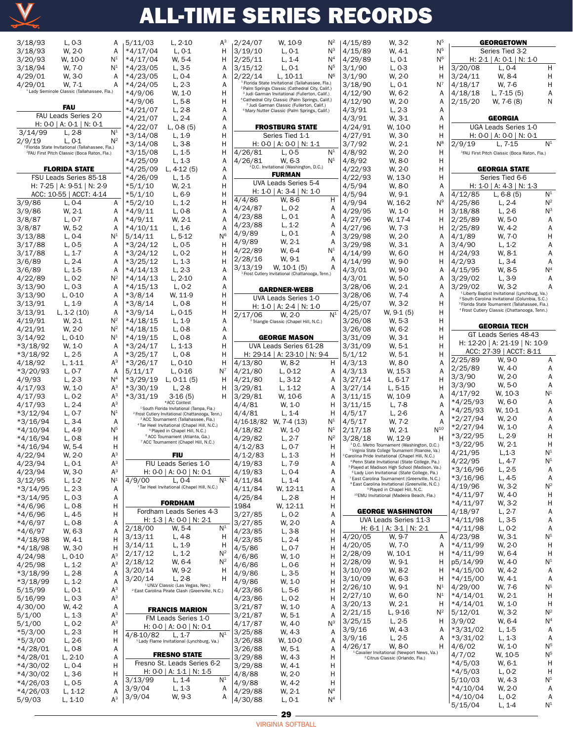

| 3/18/93                | L, 0-3                                                                | А                                | 5/11/03                  | L, 2-10                                                                                                               | A <sup>3</sup>            |
|------------------------|-----------------------------------------------------------------------|----------------------------------|--------------------------|-----------------------------------------------------------------------------------------------------------------------|---------------------------|
| 3/18/93                | W, 2-0                                                                | А<br>$\mathsf{N}^1$              | $*4/17/04$               | L, 0-1                                                                                                                | Н                         |
| 3/20/93<br>3/18/94     | W, 10-0<br>W. 7-0                                                     | $\mathsf{N}^{\mathsf{1}}$        | *4/17/04<br>$*4/23/05$   | W, 5-4<br>L, 3-5                                                                                                      | Н<br>A                    |
| 4/29/01                | W, 3-0                                                                | Α                                | *4/23/05                 | L, 0-4                                                                                                                | Α                         |
| 4/29/01                | W. 7-1                                                                | А                                | *4/24/05                 | L, 2-3                                                                                                                | Α                         |
|                        | <sup>1</sup> Lady Seminole Classic (Tallahassee, Fla.)                |                                  | $*4/9/06$                | W, 1-0                                                                                                                | Н                         |
|                        | FAU                                                                   |                                  | $*4/9/06$                | L, 5-8                                                                                                                | Н                         |
|                        | FAU Leads Series 2-0                                                  |                                  | $*4/21/07$<br>$*4/21/07$ | L, 2-8                                                                                                                | Α<br>Α                    |
|                        | H: 0-0   A: 0-1   N: 0-1                                              |                                  | *4/22/07                 | L, 2-4<br>L, 0-8 (5)                                                                                                  | Α                         |
| 3/14/99                | L, 2-8                                                                | $N^1$                            | *3/14/08                 | L, 1-9                                                                                                                | Н                         |
| 2/9/19                 | L, 0-1<br><sup>1</sup> Florida State Invitational (Tallahassee, Fla.) | $N^2$                            | $*3/14/08$               | L, 3-8                                                                                                                | Н                         |
|                        | <sup>2</sup> FAU First Pitch Classic (Boca Raton, Fla.)               |                                  | *3/15/08                 | L, 1-5                                                                                                                | Н                         |
|                        |                                                                       |                                  | $*4/25/09$               | L, 1-3                                                                                                                | Α<br>Α                    |
|                        | <b>FLORIDA STATE</b><br>FSU Leads Series 85-18                        |                                  | $*4/25/09$<br>$*4/26/09$ | L, 4-12 (5)<br>L, 1-5                                                                                                 | Α                         |
|                        | H: 7-25   A: 9-51   N: 2-9                                            |                                  | $*5/1/10$                | W, 2-1                                                                                                                | Н                         |
|                        | ACC: 10-55   ACCT: 4-14                                               |                                  | $*5/1/10$                | L, 6-9                                                                                                                | Н                         |
| 3/9/86                 | L, 0-4                                                                | Α                                | $*5/2/10$                | $L, 1-2$                                                                                                              | Н                         |
| 3/9/86<br>3/8/87       | W, 2-1<br>L, 0-7                                                      | Α<br>Α                           | *4/9/11<br>*4/9/11       | L, 0-8<br>W, 2-1                                                                                                      | Α<br>Α                    |
| 3/8/87                 | W, 5-2                                                                | Α                                | $*4/10/11$               | L, 1-6                                                                                                                | Α                         |
| 3/13/88                | L, 0-4                                                                | $\mathsf{N}^{\mathtt{1}}$        | 5/14/11                  | L, 5-12                                                                                                               | N <sup>6</sup>            |
| 3/17/88                | L, 0-5                                                                | Α                                | $*3/24/12$               | L, 0-5                                                                                                                | Н                         |
| 3/17/88                | L, 1-7                                                                | Α                                | *3/24/12                 | L, 0-2                                                                                                                | Н                         |
| 3/6/89<br>3/6/89       | L, 2-4<br>L, 1-5                                                      | Α<br>Α                           | $*3/25/12$<br>*4/14/13   | L, 1-3<br>L, 2-3                                                                                                      | Н<br>Α                    |
| 4/22/89                | $L, 0-2$                                                              | $N^2$                            | *4/14/13                 | L, 2-10                                                                                                               | Α                         |
| 3/13/90                | L, 0-3                                                                | Α                                | *4/15/13                 | $L, 0-2$                                                                                                              | Α                         |
| 3/13/90                | L, 0-10                                                               | Α                                | *3/8/14                  | W, 11-9                                                                                                               | Н                         |
| 3/13/91<br>3/13/91     | $L, 1-9$<br>$L, 1-2(10)$                                              | Α<br>Α                           | *3/8/14                  | L, 0-8<br>L, 0-15                                                                                                     | Н<br>Н                    |
| 4/19/91                | W, 2-1                                                                | $\mathsf{N}^2$                   | *3/9/14<br>*4/18/15      | L, 1-9                                                                                                                | Α                         |
| 4/21/91                | W, 2-0                                                                | $N^2$                            | $*4/18/15$               | L, 0-8                                                                                                                | Α                         |
| 3/14/92                | L, 0-10                                                               | $\mathsf{N}^{\mathsf{1}}$        | *4/19/15                 | L, 0-8                                                                                                                | Α                         |
| *3/18/92               | W, 1-0                                                                | Α<br>Α                           | $*3/24/17$               | L, 1-13                                                                                                               | н<br>Н                    |
| *3/18/92<br>4/18/92    | L, 2-5<br>L, 1-11                                                     | $A^3$                            | $*3/25/17$<br>*3/26/17   | L, 0-8<br>L, 0-10                                                                                                     | Η                         |
| *3/20/93               | L, 0-7                                                                | A                                | 5/11/17                  | L, 0-16                                                                                                               | N <sup>7</sup>            |
| 4/9/93                 | L, 2-3                                                                | N <sup>4</sup>                   | $*3/29/19$               | L, 0-11 (5)                                                                                                           | Н                         |
| 4/17/93                | W, 1-0                                                                | А <sup>з</sup>                   | *3/30/19                 | L, 2-8                                                                                                                | Н                         |
| 4/17/93<br>4/17/93     | L, 0-2<br>L, 2-4                                                      | А <sup>з</sup><br>А <sup>з</sup> | $*3/31/19$               | 3-16 (5)<br>*ACC Contest                                                                                              | Н                         |
| *3/12/94               | L, 0-7                                                                | $\mathsf{N}^{\mathsf{1}}$        |                          | <sup>1</sup> South Florida Invitational (Tampa, Fla.)<br><sup>2</sup> Frost Cutlery Invitational (Chattanooga, Tenn.) |                           |
| *3/16/94               | L, 3-4                                                                | A                                |                          | <sup>3</sup> ACC Tournament (Tallahassee, Fla.)<br><sup>4</sup> Tar Heel Invitational (Chapel Hill, N.C.)             |                           |
| $*4/10/94$             | L, 4-9                                                                | N5                               |                          | <sup>5</sup> Played in Chapel Hill, N.C.)<br><sup>6</sup> ACC Tournament (Atlanta, Ga.)                               |                           |
| *4/16/94<br>$*4/16/94$ | L, 0-8<br>W, 5-4                                                      | н<br>н                           |                          | 7 ACC Tournament (Chapel Hill, N.C.)                                                                                  |                           |
| 4/22/94                | W. 2-0                                                                | $A^3$                            |                          | FIU                                                                                                                   |                           |
| 4/23/94                | $L, 0-1$                                                              | А <sup>з</sup>                   |                          | FIU Leads Series 1-0                                                                                                  |                           |
| 4/23/94                | W, 3-0                                                                |                                  |                          | H: 0-0   A: 0-0   N: 0-1                                                                                              |                           |
|                        |                                                                       | $\mathsf{A}^3$                   |                          |                                                                                                                       |                           |
| 3/12/95                | $L, 1-2$                                                              | $\mathsf{N}^1$                   | 4/9/00                   | L, 0-4                                                                                                                |                           |
| *3/14/95               | $L, 2-3$                                                              | A                                |                          | <sup>1</sup> Tar Heel Invitational (Chapel Hill, N.C.)                                                                |                           |
| *3/14/95<br>*4/6/96    | L, 0-3<br>$L, 0-8$                                                    | A<br>н                           |                          | <b>FORDHAM</b>                                                                                                        |                           |
| *4/6/96                | $L, 4-5$                                                              | н                                |                          | Fordham Leads Series 4-3                                                                                              |                           |
| $*4/6/97$              | $L, 0-8$                                                              | Α                                |                          | H: 1-3   A: 0-0   N: 2-1                                                                                              | N <sup>1</sup>            |
| *4/6/97                | W, 6-3                                                                | Α                                | 2/18/00<br>3/13/11       | W, 5-4<br>L, 4-8                                                                                                      | Η                         |
| *4/18/98               | W, 4-1                                                                | н<br>н                           | 3/14/11                  | $L, 1-9$                                                                                                              | Н                         |
| *4/18/98<br>4/24/98    | W, 3-0<br>L, 0-10                                                     | $A^3$                            | 2/17/12                  | L, 1-2                                                                                                                | $N^2$                     |
| 4/25/98                | $L, 1-2$                                                              | $A^3$                            | 2/18/12                  | W, 6-4                                                                                                                | N <sup>1</sup><br>$N^2$   |
| *3/18/99               | $L, 2-8$                                                              | A                                | 3/20/14                  | W, 9-2<br>L, 2-8                                                                                                      | Н<br>Н                    |
| *3/18/99               | $L, 1-2$                                                              | A                                | 3/20/14                  | <sup>1</sup> UNLV Classic (Las Vegas, Nev.)                                                                           |                           |
| 5/15/99<br>5/16/99     | $L, 0-1$<br>$L, 0-3$                                                  | $A^3$<br>$\mathsf{A}^3$          |                          | <sup>2</sup> East Carolina Pirate Clash (Greenville, N.C.)                                                            |                           |
| 4/30/00                | W, 4-2                                                                | A                                |                          | <b>FRANCIS MARION</b>                                                                                                 |                           |
| 5/1/00                 | $L, 1-3$                                                              | $A^3$                            |                          | FM Leads Series 1-0                                                                                                   |                           |
| 5/1/00                 | L, 0-2                                                                | $\mathsf{A}^3$                   |                          | H: 0-0   A: 0-0   N: 0-1                                                                                              |                           |
| *5/3/00                | $L, 2-3$<br>$L, 2-6$                                                  | н<br>н                           | 4/8-10/82                | $L, 1-7$<br><sup>1</sup> Lady Flame Invitational (Lynchburg, Va.)                                                     | N <sup>1</sup>            |
| $*5/3/00$<br>*4/28/01  | L, 0-8                                                                | Α                                |                          |                                                                                                                       |                           |
| $*4/28/01$             | L, 2-10                                                               | Α                                |                          | <b>FRESNO STATE</b>                                                                                                   |                           |
| *4/30/02               | L, 0-4                                                                | н                                |                          | Fresno St. Leads Series 6-2<br>H: 0-0   A: 1-1   N: 1-5                                                               |                           |
| $*4/30/02$             | L, 3-6                                                                | н<br>Α                           | 3/13/99                  | $L, 1-4$                                                                                                              | $\mathsf{N}^{\mathsf{1}}$ |
| *4/26/03<br>*4/26/03   | L, 0-5<br>L, 1-12                                                     | A                                | 3/9/04<br>3/9/04         | L, 1-3<br>W, 9-3                                                                                                      | Α<br>Α                    |

|                                                        | $A^3$          |              |                                                                                                                           |                           | 4/15/89                                                                                     | W. 3-2                            |
|--------------------------------------------------------|----------------|--------------|---------------------------------------------------------------------------------------------------------------------------|---------------------------|---------------------------------------------------------------------------------------------|-----------------------------------|
| L, 2-10                                                |                | 2/24/07      | W, 10-9                                                                                                                   | $\mathsf{N}^2$            |                                                                                             |                                   |
| $L, 0-1$                                               | н              | 3/19/10      | L, 0-1                                                                                                                    | $\mathsf{N}^3$            | 4/15/89                                                                                     | W, 4-:                            |
| W, 5-4                                                 | н              | 2/25/11      | $L, 1-4$                                                                                                                  | $\mathsf{N}^4$            | 4/29/89                                                                                     | L, 0-1                            |
| L, 3-5                                                 | Α              | 3/15/12      | L, 0-1                                                                                                                    | N <sup>5</sup>            | 3/1/90                                                                                      | L, 0-3                            |
| $L, 0-4$                                               | Α              | 2/22/14      | L, 10-11                                                                                                                  | N <sup>6</sup>            | 3/1/90                                                                                      | W, 2-                             |
| $L, 2-3$                                               | А              |              | <sup>1</sup> Florida State Invitational (Tallahassee, Fla.)<br><sup>2</sup> Palm Springs Classic (Cathedral City, Calif.) |                           | 3/18/90                                                                                     | L, 0-1                            |
| W. 1-0                                                 | н              |              | <sup>3</sup> Judi Garman Invitational (Fullerton, Calif.)                                                                 |                           | 4/12/90                                                                                     | W, 6-:                            |
| L, 5-8                                                 | H.             |              | <sup>4</sup> Cathedral City Classic (Palm Springs, Calif.)                                                                |                           | 4/12/90                                                                                     | W, 2-                             |
| $L, 2-8$                                               | Α              |              | <sup>5</sup> Judi Garman Classic (Fullerton, Calif.)<br><sup>6</sup> Mary Nutter Classic (Palm Springs, Calif.)           |                           | 4/3/91                                                                                      | L, 2-3                            |
| L, 2-4                                                 | Α              |              |                                                                                                                           |                           | 4/3/91                                                                                      | W, 3-:                            |
| L, 0.8(5)                                              | Α              |              | <b>FROSTBURG STATE</b>                                                                                                    |                           | 4/24/91                                                                                     | W, 10                             |
| L, 1-9                                                 | Н              |              | Series Tied 1-1                                                                                                           |                           | 4/27/91                                                                                     | W, 3-                             |
| L, 3-8                                                 | Н              |              | H: 0-0   A: 0-0   N: 1-1                                                                                                  |                           | 3/7/92                                                                                      | W, 2-:                            |
|                                                        |                |              |                                                                                                                           | $\mathsf{N}^1$            |                                                                                             |                                   |
| L, 1-5                                                 | Н              | 4/26/81      | $L, 0-5$                                                                                                                  |                           | 4/8/92                                                                                      | W, 2-                             |
| $L, 1-3$                                               | А              | 4/26/81      | W. 6-3                                                                                                                    | $\mathsf{N}^{\mathtt{1}}$ | 4/8/92                                                                                      | W, 8-0                            |
| ., 4-12 (5)                                            | А              |              | <sup>3</sup> D.C. Invitational (Washington, D.C.)                                                                         |                           | 4/22/93                                                                                     | W, 2-                             |
| $L, 1-5$                                               | Α              |              | <b>FURMAN</b>                                                                                                             |                           | 4/22/93                                                                                     | W, 13                             |
| W, 2-1                                                 | Н              |              | UVA Leads Series 5-4                                                                                                      |                           | 4/5/94                                                                                      | W, 8-0                            |
| $L, 6-9$                                               | Н              |              | H: 1-0   A: 3-4   N: 1-0                                                                                                  |                           | 4/5/94                                                                                      | W, 9-:                            |
| $L, 1-2$                                               | Н              | 4/4/86       | W, 8-6                                                                                                                    | н                         | 4/9/94                                                                                      | W, 16                             |
| $L, 0-8$                                               | A              | 4/24/87      | L, 0-2                                                                                                                    | А                         | 4/29/95                                                                                     | W, 1-                             |
| W, 2-1                                                 | Α              | 4/23/88      | L, 0-1                                                                                                                    | А                         | 4/27/96                                                                                     | W, 17                             |
| $L, 1-6$                                               | А              | 4/23/88      | L. 1-2                                                                                                                    | А                         | 4/27/96                                                                                     | W, 7-3                            |
|                                                        |                | 4/9/89       | L, 0-1                                                                                                                    | Α                         |                                                                                             |                                   |
| L, 5-12                                                | N <sup>6</sup> | 4/9/89       | W, 2-1                                                                                                                    | А                         | 3/29/98                                                                                     | W, 2-                             |
| L, 0-5                                                 | Н              | 4/22/89      | W, 6-4                                                                                                                    | $\mathsf{N}^{\mathtt{1}}$ | 3/29/98                                                                                     | W. 3-                             |
| $L, 0-2$                                               | Н              |              |                                                                                                                           |                           | 4/14/99                                                                                     | W, 6-                             |
| $L, 1-3$                                               | Н              | 2/28/16      | W, 9-1                                                                                                                    | Α                         | 4/14/99                                                                                     | W, 9-0                            |
| L, 2-3                                                 | Α              | 3/13/19      | W, 10-1 (5)<br><sup>1</sup> Frost Cutlery Invitational (Chattanooga, Tenn.)                                               | А                         | 4/3/01                                                                                      | W, 9-0                            |
| L, 2-10                                                | Α              |              |                                                                                                                           |                           | 4/3/01                                                                                      | W, 5-0                            |
| $L, 0-2$                                               | Α              |              |                                                                                                                           |                           | 3/28/06                                                                                     | W, 2-:                            |
| W, 11-9                                                | н              |              | <b>GARDNER-WEBB</b>                                                                                                       |                           | 3/28/06                                                                                     | W, 7-                             |
| L, 0-8                                                 | Н              |              | UVA Leads Series 1-0                                                                                                      |                           | 4/25/07                                                                                     | W. 3-2                            |
| L, 0-15                                                | Н              |              | H: 1-0   A: 2-4   N: 1-0                                                                                                  |                           |                                                                                             | W, 9-1                            |
|                                                        |                | 2/17/06      | W, 2-0                                                                                                                    | N <sup>1</sup>            | 4/25/07                                                                                     |                                   |
| L, 1-9                                                 | А              |              | <sup>1</sup> Triangle Classic (Chapel Hill, N.C.)                                                                         |                           | 3/26/08                                                                                     | W, 5-3                            |
| $L, 0-8$                                               | Α              |              |                                                                                                                           |                           | 3/26/08                                                                                     | W, 6-:                            |
| L, 0-8                                                 | Α              |              | <b>GEORGE MASON</b>                                                                                                       |                           | 3/31/09                                                                                     | W, 3-:                            |
| $L, 1-13$                                              | н              |              | UVA Leads Series 61-28                                                                                                    |                           | 3/31/09                                                                                     | W, 5-:                            |
| L, 0-8                                                 | Н              |              | H: 29-14   A: 23-10   N: 9-4                                                                                              |                           | 5/1/12                                                                                      | W, 5-3                            |
| $L, 0-10$                                              | Н              | 4/13/80      | W, 8-2                                                                                                                    | H                         | 4/3/13                                                                                      | W, 8-0                            |
| L, 0-16                                                | $N^7$          | 4/21/80      | $L, 0-12$                                                                                                                 | Α                         | 4/3/13                                                                                      | W, 15                             |
| ., 0-11 (5)                                            | н              | 4/21/80      | $L, 3-12$                                                                                                                 | А                         | 3/27/14                                                                                     | L, 6-1                            |
| L, 2-8                                                 | Н              | 3/29/81      | L, 1-12                                                                                                                   | А                         | 3/27/14                                                                                     | $L, 5-1$                          |
| $3-16(5)$                                              | н              | 3/29/81      | W, 10-6                                                                                                                   | А                         | 3/11/15                                                                                     | W, 10                             |
| <b>ICC Contest</b>                                     |                |              |                                                                                                                           |                           |                                                                                             |                                   |
| Invitational (Tampa, Fla.)                             |                | 4/4/81       | W, 1-0                                                                                                                    | H                         | 3/11/15                                                                                     | $L, 7-8$                          |
| ational (Chattanooga, Tenn.)                           |                | 4/4/81       | L, 1-4                                                                                                                    | н                         | 4/5/17                                                                                      | $L, 2-6$                          |
| nent (Tallahassee, Fla.)<br>tional (Chapel Hill, N.C.) |                | 4/16-18/82   | W, 7-4 (13)                                                                                                               | $\mathsf{N}^1$            | 4/5/17                                                                                      | W, 7-:                            |
| Chapel Hill, N.C.)                                     |                | 4/18/82      | W, 1-0                                                                                                                    | $\mathsf{N}^1$            | 2/17/18                                                                                     | W, 2-                             |
| ament (Atlanta, Ga.)<br>nent (Chapel Hill, N.C.)       |                | 4/29/82      | L, 2-7                                                                                                                    | $\mathsf{N}^2$            | 3/28/18                                                                                     | W, 12                             |
|                                                        |                | 4/1-2/83     | L, 0-7                                                                                                                    | н                         | <sup>1</sup> D.C. Metro Tournament (V                                                       |                                   |
| FIU                                                    |                | $4/1 - 2/83$ | L, 1-3                                                                                                                    | Н                         | <sup>2</sup> Virginia State College Tournan<br><sup>3</sup> Carolina Pride Invitational (Ch |                                   |
| ds Series 1-0                                          |                | 4/19/83      | L, 7-9                                                                                                                    | Α                         | <sup>4</sup> Penn State Invitational (St                                                    |                                   |
| A: 0-0   N: 0-1                                        |                | 4/19/83      | L, 0-4                                                                                                                    | Α                         | <sup>5</sup> Played at Madison High Sch<br><sup>6</sup> Lady Lion Invitational (Sta         |                                   |
| L, 0-4                                                 | N <sup>1</sup> | 4/11/84      | L, 1-4                                                                                                                    | А                         | <sup>7</sup> East Carolina Tournament                                                       |                                   |
| tional (Chapel Hill, N.C.)                             |                |              |                                                                                                                           |                           | <sup>8</sup> East Carolina Invitational                                                     |                                   |
|                                                        |                | 4/11/84      | W, 12-11                                                                                                                  | Α                         | <sup>10</sup> EMU Invitational (Made                                                        | <sup>9</sup> Played in Chapel     |
| RDHAM                                                  |                | 4/25/84      | L, 2-8                                                                                                                    | н                         |                                                                                             |                                   |
| eads Series 4-3                                        |                | 1984         | W, 12-11                                                                                                                  | H                         |                                                                                             | <b>GEORGE WASH</b>                |
| A: 0-0   N: 2-1                                        |                | 3/27/85      | L, 0-2                                                                                                                    | А                         |                                                                                             | <b>UVA Leads Ser</b>              |
|                                                        | N <sup>1</sup> | 3/27/85      | W. 2-0                                                                                                                    | Α                         |                                                                                             |                                   |
| W, 5-4                                                 |                | 4/23/85      | L, 3-8                                                                                                                    | н                         |                                                                                             | H: 6-1   A: 3-1                   |
| L, 4-8                                                 | н              | 4/23/85      | L, 2-4                                                                                                                    | н                         | 4/20/05                                                                                     | W, 9-                             |
| L, 1-9                                                 | Н              | 4/5/86       | L, 0-7                                                                                                                    | н                         | 4/20/05                                                                                     | W, 7-0                            |
| $L, 1-2$                                               | $\mathsf{N}^2$ | 4/6/86       | W, 1-0                                                                                                                    | н                         | 2/28/09                                                                                     | W, 10                             |
| W, 6-4                                                 | $N^2$          | 4/6/86       | L, 0-6                                                                                                                    | н                         | 2/28/09                                                                                     | W, 9-:                            |
| W, 9-2                                                 | н              | 4/9/86       | L, 3-5                                                                                                                    | н                         | 3/10/09                                                                                     | W, 8-2                            |
| L, 2-8                                                 | Н              | 4/9/86       | W, 1-0                                                                                                                    | н                         | 3/10/09                                                                                     | W, 6-3                            |
| sic (Las Vegas, Nev.)                                  |                |              |                                                                                                                           | н                         | 2/26/10                                                                                     | W, 9-:                            |
| ate Clash (Greenville, N.C.)                           |                | 4/23/86      | L, 5-6                                                                                                                    |                           | 2/27/10                                                                                     | W, 6-0                            |
|                                                        |                | 4/23/86      | L, 0-2                                                                                                                    | н                         | 3/20/13                                                                                     | W, 2-:                            |
| CIS MARION                                             |                | 3/21/87      | W, 1-0                                                                                                                    | Α                         | 2/21/15                                                                                     | L, 9-1                            |
| ds Series 1-0                                          |                | 3/21/87      | W, 5-1                                                                                                                    | A                         |                                                                                             |                                   |
| A: 0-0   N: 0-1                                        |                | 4/17/87      | W, 4-0                                                                                                                    | $\mathsf{N}^3$            | 3/25/15                                                                                     | L, 2-5                            |
| L, 1-7                                                 | N <sup>1</sup> | 3/25/88      | W, 4-3                                                                                                                    | Α                         | 3/9/16                                                                                      | W, 4-3                            |
| itational (Lynchburg, Va.)                             |                | 3/26/88      | W, 10-0                                                                                                                   | А                         | 3/9/16                                                                                      | L, 2-5                            |
|                                                        |                | 3/26/88      | W, 5-1                                                                                                                    | Α                         | 4/26/17                                                                                     | W. 8-0                            |
| SNO STATE                                              |                | 3/29/88      | W, 4-3                                                                                                                    | н                         | <sup>1</sup> Cavalier Invitational (Nev                                                     | <sup>2</sup> Citrus Classic (Orla |
| Leads Series 6-2                                       |                | 3/29/88      | W, 4-1                                                                                                                    | н                         |                                                                                             |                                   |
| A: 1-1   N: 1-5                                        |                | 4/8/88       | W, 2-0                                                                                                                    | Н                         |                                                                                             |                                   |
| L, 1-4                                                 | N <sup>1</sup> |              | W, 4-2                                                                                                                    | н                         |                                                                                             |                                   |
| $L, 1-3$                                               | А              | 4/9/88       |                                                                                                                           |                           |                                                                                             |                                   |
| W, 9-3                                                 | А              | 4/29/88      | W, 2-1                                                                                                                    | $\mathsf{N}^4$            |                                                                                             |                                   |
|                                                        |                | 4/30/88      | L, 0-1                                                                                                                    | $\mathsf{N}^4$            |                                                                                             |                                   |

| 15/89                                                            |                                                                                                                       |                |                     |                                                            |                           |
|------------------------------------------------------------------|-----------------------------------------------------------------------------------------------------------------------|----------------|---------------------|------------------------------------------------------------|---------------------------|
|                                                                  | W, 3-2                                                                                                                | N <sup>5</sup> |                     | <b>GEORGETOWN</b>                                          |                           |
| 15/89                                                            | W, 4-1                                                                                                                | N <sup>5</sup> |                     | Series Tied 3-2                                            |                           |
| ′29/89                                                           | $L, 0-1$                                                                                                              | N <sup>6</sup> |                     | H: 2-1   A: 0-1   N: 1-0                                   |                           |
|                                                                  |                                                                                                                       |                |                     |                                                            |                           |
| 1/90                                                             | $L, 0-3$                                                                                                              | н              | 3/20/08             | $L, 0-4$                                                   | H                         |
| 1/90                                                             | W, 2-0                                                                                                                | н              | 3/24/11             | W, 8-4                                                     | H                         |
| 18/90                                                            | $L, 0-1$                                                                                                              | $N^7$          | 4/18/17             | W, 7-6                                                     | н                         |
| 12/90                                                            | W, 6-2                                                                                                                | Α              | 4/18/18             | L, 7-15 (5)                                                | A                         |
|                                                                  |                                                                                                                       |                |                     |                                                            | N                         |
| 12/90                                                            | W, 2-0                                                                                                                | A              | 2/15/20             | W, 7-6 (8)                                                 |                           |
| ′3/91                                                            | L, 2-3                                                                                                                | Α              |                     |                                                            |                           |
| 3/91                                                             | W, 3-1                                                                                                                | A              |                     | <b>GEORGIA</b>                                             |                           |
| ′24/91                                                           | W, 10-0                                                                                                               | н              |                     | UGA Leads Series 1-0                                       |                           |
|                                                                  |                                                                                                                       |                |                     |                                                            |                           |
| ′27/91                                                           | W, 3-0                                                                                                                | н              |                     | H: 0-0   A: 0-0   N: 0-1                                   |                           |
| ′7/92                                                            | W, 2-1                                                                                                                | $N^8$          | 2/9/19              | L. 7-15                                                    | $\mathsf{N}^1$            |
| 8/92                                                             | W, 2-0                                                                                                                | н              |                     | <sup>1</sup> FAU First Pitch Classic (Boca Raton, Fla.)    |                           |
| 8/92                                                             | W, 8-0                                                                                                                | H              |                     |                                                            |                           |
|                                                                  |                                                                                                                       |                |                     |                                                            |                           |
| 22/93                                                            | W, 2-0                                                                                                                | н              |                     | <b>GEORGIA STATE</b>                                       |                           |
| ′22/93                                                           | W, 13-0                                                                                                               | н              |                     | Series Tied 6-6                                            |                           |
| 5/94                                                             | W, 8-0                                                                                                                | A              |                     | H: 1-0   A: 4-3   N: 1-3                                   |                           |
| 5/94                                                             | W, 9-1                                                                                                                | A              | 4/12/85             | $L, 6-8(5)$                                                | N <sup>1</sup>            |
|                                                                  |                                                                                                                       |                |                     |                                                            |                           |
| ′9/94                                                            | W, 16-2                                                                                                               | N <sup>9</sup> | 4/25/86             | L, 2-4                                                     | $N^2$                     |
| ′29/95                                                           | W, 1-0                                                                                                                | н              | 3/18/88             | L, 2-6                                                     | $N^3$                     |
| 27/96                                                            | W, 17-4                                                                                                               | н              | 2/25/89             | W, 5-0                                                     | A                         |
| 27/96                                                            | W, 7-3                                                                                                                | н              | 2/25/89             | W, 4-2                                                     | A                         |
|                                                                  |                                                                                                                       |                |                     |                                                            |                           |
| 29/98                                                            | W, 2-0                                                                                                                | A              | 4/1/89              | W, 7-0                                                     | н                         |
| ′29/98                                                           | W, 3-1                                                                                                                | A              | 3/4/90              | L, 1-2                                                     | A                         |
| 14/99                                                            | W, 6-0                                                                                                                | н              | 4/24/93             | W, 8-1                                                     | A                         |
|                                                                  |                                                                                                                       |                |                     |                                                            | A                         |
| 14/99                                                            | W, 9-0                                                                                                                | н              | 4/2/93              | L, 3-4                                                     |                           |
| ′3/01                                                            | W, 9-0                                                                                                                | Α              | 4/15/95             | W, 8-5                                                     | N <sup>4</sup>            |
| ′3/01                                                            | W, 5-0                                                                                                                | A              | 3/29/02             | L, 3-9                                                     | A                         |
| 28/06                                                            | W, 2-1                                                                                                                | A              | 3/29/02             | W, 3-2                                                     | А                         |
|                                                                  |                                                                                                                       |                |                     | <sup>1</sup> Liberty Baptist Invitational (Lynchburg, Va.) |                           |
| ′28/06                                                           | W, 7-4                                                                                                                | A              |                     | <sup>2</sup> South Carolina Invitational (Columbia, S.C.)  |                           |
| 25/07                                                            | W, 3-2                                                                                                                | н              |                     | <sup>3</sup> Florida State Tournament (Tallahassee, Fla.)  |                           |
| 25/07                                                            | W, 9-1 (5)                                                                                                            | H.             |                     | <sup>4</sup> Frost Cutlery Classic (Chattanooga, Tenn.)    |                           |
| ′26/08                                                           | W, 5-3                                                                                                                | н              |                     |                                                            |                           |
|                                                                  |                                                                                                                       |                |                     | <b>GEORGIA TECH</b>                                        |                           |
| ′26/08                                                           | W, 6-2                                                                                                                | н              |                     | GT Leads Series 48-43                                      |                           |
| 31/09                                                            | W, 3-1                                                                                                                | н              |                     |                                                            |                           |
| ′31/09                                                           | W, 5-1                                                                                                                | н              |                     | H: 12-20   A: 21-19   N: 10-9                              |                           |
| '1/12                                                            | W, 5-1                                                                                                                | Н              |                     | ACC: 27-39   ACCT: 8-11                                    |                           |
|                                                                  |                                                                                                                       |                | 2/25/89             | W, 9-0                                                     | A                         |
| 3/13                                                             | W, 8-0                                                                                                                | Α              |                     | W, 4-0                                                     | А                         |
| ′3/13                                                            | W, 15-3                                                                                                               | A              | 2/25/89             |                                                            |                           |
| ′27/14                                                           | L, 6-17                                                                                                               | Н              | 3/3/90              | W, 2-0                                                     | A                         |
| 27/14                                                            | L, 5-15                                                                                                               | Н              | 3/3/90              | W, 5-0                                                     | A                         |
|                                                                  |                                                                                                                       |                | 4/17/92             | W, 10-3                                                    | $\mathsf{N}^{\mathsf{1}}$ |
| 11/15                                                            | W, 10-9                                                                                                               | A              | *4/25/93            |                                                            | A                         |
| 11/15                                                            | L, 7-8                                                                                                                | A              |                     | W, 6-0                                                     |                           |
| 5/17                                                             | $L, 2-6$                                                                                                              | A              | *4/25/93            | W, 10-1                                                    | A                         |
|                                                                  |                                                                                                                       |                | *2/27/94            | W, 2-0                                                     | A                         |
|                                                                  |                                                                                                                       |                |                     | W, 1-0                                                     | A                         |
|                                                                  | W, 7-2                                                                                                                | А              |                     |                                                            |                           |
| 5/17<br>17/18                                                    | W, 2-1                                                                                                                | $N^{10}$       | *2/27/94            |                                                            |                           |
| 28/18                                                            | W, 12-9                                                                                                               | н              | *3/22/95            | L, 2-9                                                     | н                         |
|                                                                  | <sup>1</sup> D.C. Metro Tournament (Washington, D.C.)                                                                 |                | *3/22/95            | W, 2-1                                                     | н                         |
|                                                                  | ${}^{2}\mathrm{V}$ irginia State College Tournament (Roanoke, Va.)                                                    |                | 4/21/95             | $L, 1-3$                                                   |                           |
|                                                                  | arolina Pride Invitational (Chapel Hill, N.C.)                                                                        |                |                     |                                                            | N <sup>1</sup>            |
|                                                                  | <sup>4</sup> Penn State Invitational (State College, Pa.)                                                             |                | 4/22/95             | $L, 4-7$                                                   | $\mathsf{N}^{\mathsf{1}}$ |
|                                                                  | <sup>5</sup> Played at Madison High School (Madison, Va.)<br><sup>6</sup> Lady Lion Invitational (State College, Pa.) |                | *3/16/96            | L, 2-5                                                     | Α                         |
|                                                                  | <sup>7</sup> East Carolina Tournament (Greenville, N.C.)                                                              |                | *3/16/96            | L, 4-5                                                     | A                         |
|                                                                  | <sup>8</sup> East Carolina Invitational (Greenville, N.C.)                                                            |                |                     | W, 3-2                                                     | $N^2$                     |
|                                                                  | <sup>9</sup> Played in Chapel Hill, N.C.                                                                              |                | 4/19/96             |                                                            |                           |
|                                                                  | <sup>10</sup> EMU Invitational (Madeira Beach, Fla.)                                                                  |                | *4/11/97            | W, 4-0                                                     | н                         |
|                                                                  |                                                                                                                       |                | *4/11/97            | W, 3-2                                                     | н                         |
|                                                                  | <b>GEORGE WASHINGTON</b>                                                                                              |                | 4/18/97             | L, 2-7                                                     | A                         |
|                                                                  | UVA Leads Series 11-3                                                                                                 |                | *4/11/98            | L, 3-5                                                     | Α                         |
|                                                                  |                                                                                                                       |                | *4/11/98            | L, 0-2                                                     | A                         |
|                                                                  | H: 6-1   A: 3-1   N: 2-1                                                                                              |                |                     |                                                            |                           |
|                                                                  | W, 9-7                                                                                                                | Α              | 4/23/98             | W, 3-1                                                     | $\mathsf{N}^{\mathsf{1}}$ |
| ′20/05<br>′20/05                                                 | W, 7-0                                                                                                                | Α              | *4/11/99            | W, 2-0                                                     | н                         |
|                                                                  | W, 10-1                                                                                                               | н              | *4/11/99            | W, 6-4                                                     | н                         |
|                                                                  |                                                                                                                       |                |                     |                                                            | $\mathsf{N}^{\mathsf{1}}$ |
|                                                                  | W, 9-1                                                                                                                | н              | p5/14/99            | W, 4-0                                                     |                           |
| ′28/09<br>28/09<br>10/09                                         | W, 8-2                                                                                                                | н              | $*4/15/00$          | W, 4-2                                                     | Α                         |
| 10/09/                                                           | W, 6-3                                                                                                                | н              | *4/15/00            | W, 4-1                                                     | A                         |
|                                                                  | W, 9-1                                                                                                                | N <sup>1</sup> |                     | W, 7-6                                                     | $\mathsf{N}^1$            |
| 26/10                                                            |                                                                                                                       |                | 4/29/00             |                                                            |                           |
|                                                                  | W, 6-0                                                                                                                | N <sup>1</sup> | *4/14/01            | W, 2-1                                                     | н                         |
|                                                                  | W, 2-1                                                                                                                | н              | *4/14/01            | W, 1-0                                                     | н                         |
|                                                                  | L, 9-16                                                                                                               | $N^2$          | 5/12/01             | W, 3-2                                                     | $\mathsf{N}^2$            |
|                                                                  | L, 2-5                                                                                                                | н              | 3/9/02              | W, 6-4                                                     | N <sup>4</sup>            |
|                                                                  |                                                                                                                       |                |                     |                                                            |                           |
|                                                                  | W, 4-3                                                                                                                | A              | *3/31/02            | L, 1-5                                                     | Α                         |
|                                                                  | L, 2-5                                                                                                                | A              | *3/31/02            | L, 1-3                                                     | A                         |
|                                                                  | W, 8-0                                                                                                                | н              | 4/6/02              | W, 1-0                                                     | N <sup>5</sup>            |
|                                                                  | <sup>1</sup> Cavalier Invitational (Newport News, Va.)                                                                |                | 4/7/02              | W, 10-5                                                    | N <sup>5</sup>            |
| ′27/10<br>′20/13<br>′21/15<br>′25/15<br>′9/16<br>'9/16<br>′26/17 | <sup>2</sup> Citrus Classic (Orlando, Fla.)                                                                           |                |                     |                                                            |                           |
|                                                                  |                                                                                                                       |                | *4/5/03             | W, 6-1                                                     | н                         |
|                                                                  |                                                                                                                       |                | $*4/5/03$           | L, 0-2                                                     | н                         |
|                                                                  |                                                                                                                       |                | 5/10/03             | W, 4-3                                                     | $\mathsf{N}^{\mathsf{1}}$ |
|                                                                  |                                                                                                                       |                |                     |                                                            | Α                         |
|                                                                  |                                                                                                                       |                | *4/10/04            | W, 2-0                                                     |                           |
|                                                                  |                                                                                                                       |                | *4/10/04<br>5/15/04 | L, 0-2<br>$L, 1-4$                                         | A<br>N <sup>1</sup>       |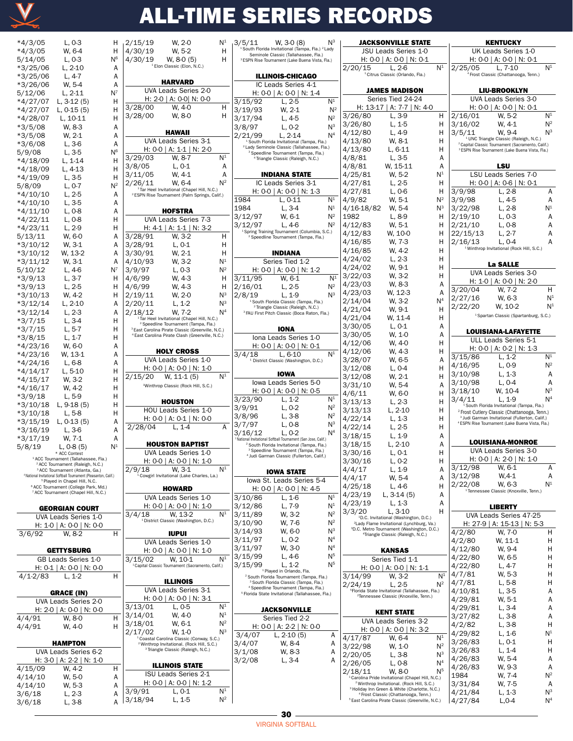

| *4/3/05<br>*4/3/05<br>5/14/05<br>$*3/25/06$<br>*3/25/06<br>$*3/26/06$<br>5/12/06<br>$*4/27/07$<br>$*4/27/07$<br>$*4/28/07$<br>*3/5/08<br>*3/5/08<br>*3/6/08<br>5/9/08<br>$*4/18/09$<br>$*4/18/09$<br>$*4/19/09$<br>5/8/09<br>$*4/10/10$<br>$*4/10/10$<br>$*4/11/10$<br>*4/22/11<br>$*4/23/11$<br>5/13/11<br>$*3/10/12$<br>$*3/10/12$<br>$*3/11/12$<br>5/10/12<br>*3/9/13<br>$*3/9/13$<br>$*3/10/13$<br>$*3/12/14$<br>$*3/12/14$ | L, 0-3<br>W, 6-4<br>L, 0-3<br>$L, 2-10$<br>L, 4-7<br>W, 5-4<br>L, 2-11<br>L, 3-12 (5)<br>L, 0-15 (5)<br>L, 10-11<br>W, 8-3<br>W, 2-1<br>L, 3-6<br>L, 3-5<br>L, 1-14<br>L, 4-13<br>L, 3-5<br>L, 0-7<br>L, 2-5<br>L, 3-5<br>L, 0-8<br>L, 0-8<br>L, 2-9<br>W, 6-0<br>W, 3-1<br>W, 13-2<br>W, 3-1<br>L, 4-6<br>L, 3-7<br>L, 2-5<br>W, 4-2<br>L, 2-10<br>L, 2-3 | Н<br>Н<br>N6<br>Α<br>Α<br>А<br>N <sup>7</sup><br>н<br>Н<br>Η<br>Α<br>Α<br>Α<br>N6<br>Н<br>Н<br>н<br>$\mathsf{N}^2$<br>Α<br>Α<br>А<br>Η<br>Н<br>Α<br>А<br>А<br>Α<br>N <sup>7</sup><br>н<br>н<br>Η<br>Α<br>А |
|---------------------------------------------------------------------------------------------------------------------------------------------------------------------------------------------------------------------------------------------------------------------------------------------------------------------------------------------------------------------------------------------------------------------------------|------------------------------------------------------------------------------------------------------------------------------------------------------------------------------------------------------------------------------------------------------------------------------------------------------------------------------------------------------------|------------------------------------------------------------------------------------------------------------------------------------------------------------------------------------------------------------|
| $*3/7/15$<br>$*3/7/15$<br>$*3/8/15$                                                                                                                                                                                                                                                                                                                                                                                             | L, 3-4<br>L, 5-7<br>L, 1-7                                                                                                                                                                                                                                                                                                                                 | Η<br>Н<br>Н                                                                                                                                                                                                |
| $*4/23/16$<br>*4/23/16                                                                                                                                                                                                                                                                                                                                                                                                          | W, 6-0<br>W, 13-1                                                                                                                                                                                                                                                                                                                                          | А<br>А                                                                                                                                                                                                     |
| $*4/24/16$<br>*4/14/17                                                                                                                                                                                                                                                                                                                                                                                                          | L, 6-8<br>L, 5-10                                                                                                                                                                                                                                                                                                                                          | А<br>Η                                                                                                                                                                                                     |
| $*4/15/17$<br>$*4/16/17$                                                                                                                                                                                                                                                                                                                                                                                                        | W, 3-2<br>W, 4-2                                                                                                                                                                                                                                                                                                                                           | Н<br>Н                                                                                                                                                                                                     |
| $*3/9/18$<br>$*3/10/18$                                                                                                                                                                                                                                                                                                                                                                                                         | L, 5-9<br>L, 9-18 (5)                                                                                                                                                                                                                                                                                                                                      | Н<br>Н                                                                                                                                                                                                     |
| $*3/10/18$                                                                                                                                                                                                                                                                                                                                                                                                                      | L, 5-8                                                                                                                                                                                                                                                                                                                                                     | Η                                                                                                                                                                                                          |
| *3/15/19<br>$*3/16/19$                                                                                                                                                                                                                                                                                                                                                                                                          | L, 0-13 (5)<br>$L, 3-6$                                                                                                                                                                                                                                                                                                                                    | Α<br>А                                                                                                                                                                                                     |
| $*3/17/19$                                                                                                                                                                                                                                                                                                                                                                                                                      | W, 7-1                                                                                                                                                                                                                                                                                                                                                     | Α                                                                                                                                                                                                          |
| 5/8/19                                                                                                                                                                                                                                                                                                                                                                                                                          | L, 0-8 (5)<br>* ACC Contest                                                                                                                                                                                                                                                                                                                                | $\mathsf{N}^{\mathsf{1}}$                                                                                                                                                                                  |
| $1$ ACC. To                                                                                                                                                                                                                                                                                                                                                                                                                     | (Tallah<br>Fla.)<br><sup>2</sup> ACC Tournament (Raleigh, N.C.)<br><sup>3</sup> ACC Tournament (Atlanta, Ga.)                                                                                                                                                                                                                                              |                                                                                                                                                                                                            |
|                                                                                                                                                                                                                                                                                                                                                                                                                                 | 4 National Invitational Softball Tournament (Pleasanton, Calif.)<br><sup>5</sup> Played in Chapel Hill, N.C.                                                                                                                                                                                                                                               |                                                                                                                                                                                                            |
|                                                                                                                                                                                                                                                                                                                                                                                                                                 | <sup>6</sup> ACC Tournament (College Park, Md.)<br>7 ACC Tournament (Chapel Hill, N.C.)                                                                                                                                                                                                                                                                    |                                                                                                                                                                                                            |
|                                                                                                                                                                                                                                                                                                                                                                                                                                 | <b>GEORGIAN COURT</b>                                                                                                                                                                                                                                                                                                                                      |                                                                                                                                                                                                            |
|                                                                                                                                                                                                                                                                                                                                                                                                                                 | UVA Leads Series 1-0<br>H: 1-0   A: 0-0   N: 0-0                                                                                                                                                                                                                                                                                                           |                                                                                                                                                                                                            |
| 3/6/92                                                                                                                                                                                                                                                                                                                                                                                                                          | W. 8-2                                                                                                                                                                                                                                                                                                                                                     | н                                                                                                                                                                                                          |
|                                                                                                                                                                                                                                                                                                                                                                                                                                 | <b>GETTYSBURG</b><br>GB Leads Series 1-0                                                                                                                                                                                                                                                                                                                   |                                                                                                                                                                                                            |
|                                                                                                                                                                                                                                                                                                                                                                                                                                 | H: 0-1   A: 0-0   N: 0-0                                                                                                                                                                                                                                                                                                                                   |                                                                                                                                                                                                            |
| $4/1 - 2/83$                                                                                                                                                                                                                                                                                                                                                                                                                    | $L, 1-2$                                                                                                                                                                                                                                                                                                                                                   | н                                                                                                                                                                                                          |
|                                                                                                                                                                                                                                                                                                                                                                                                                                 | GRACE (IN)<br>UVA Leads Series 2-0                                                                                                                                                                                                                                                                                                                         |                                                                                                                                                                                                            |
|                                                                                                                                                                                                                                                                                                                                                                                                                                 | H: 2-0   A: 0-0   N: 0-0                                                                                                                                                                                                                                                                                                                                   |                                                                                                                                                                                                            |
| 4/4/91<br>4/4/91                                                                                                                                                                                                                                                                                                                                                                                                                | W. 8-0<br>W. 4-0                                                                                                                                                                                                                                                                                                                                           | н<br>н                                                                                                                                                                                                     |
|                                                                                                                                                                                                                                                                                                                                                                                                                                 | HAMPTON                                                                                                                                                                                                                                                                                                                                                    |                                                                                                                                                                                                            |
|                                                                                                                                                                                                                                                                                                                                                                                                                                 | UVA Leads Series 6-2<br>H: 3-0   A: 2-2   N: 1-0                                                                                                                                                                                                                                                                                                           |                                                                                                                                                                                                            |
| $\frac{1}{4}$ /15/09                                                                                                                                                                                                                                                                                                                                                                                                            | $W, 4-2$                                                                                                                                                                                                                                                                                                                                                   | н                                                                                                                                                                                                          |
| 4/14/10                                                                                                                                                                                                                                                                                                                                                                                                                         | W, 5-0                                                                                                                                                                                                                                                                                                                                                     | Α                                                                                                                                                                                                          |

4/14/10 W, 5-0 A<br>4/14/10 W, 5-3 A  $4/14/10$  W, 5-3 A<br>3/6/18 L, 2-3 A 3/6/18 L, 2-3 A

 $3/6/18$ 

| W. 2-0<br>N <sup>1</sup><br>2/15/19                                                                                | $N^3$<br>3/5/11<br>W, 3-0 (8)                                                                                      | <b>JACKSONVILLE STATE</b>                                                                                         | <b>KENTUCKY</b>                                                                                                   |
|--------------------------------------------------------------------------------------------------------------------|--------------------------------------------------------------------------------------------------------------------|-------------------------------------------------------------------------------------------------------------------|-------------------------------------------------------------------------------------------------------------------|
| 4/30/19<br>W. 5-2<br>н                                                                                             | <sup>1</sup> South Florida Invitational (Tampa, Fla.) <sup>2</sup> Lady                                            | JSU Leads Series 1-0                                                                                              | UK Leads Series 1-0                                                                                               |
| 4/30/19<br>$W. 8-0(5)$<br>н                                                                                        | Seminole Classic (Tallahassee, Fla.)<br><sup>3</sup> ESPN Rise Tournament (Lake Buena Vista, Fla.)                 | H: $0 - 0$   A: $0 - 0$   N: $0 - 1$                                                                              | H: 0-0   A: 0-0   N: 0-1                                                                                          |
| <sup>1</sup> Elon Classic (Elon, N.C.)                                                                             |                                                                                                                    | N <sup>1</sup><br>2/20/15<br>$L. 2-6$                                                                             | N <sup>1</sup><br>2/25/05<br>$L. 7-10$                                                                            |
|                                                                                                                    | <b>ILLINOIS-CHICAGO</b>                                                                                            | <sup>1</sup> Citrus Classic (Orlando, Fla.)                                                                       | <sup>4</sup> Frost Classic (Chattanooga, Tenn.)                                                                   |
| <b>HARVARD</b><br>UVA Leads Series 2-0                                                                             | IC Leads Series 4-1                                                                                                |                                                                                                                   |                                                                                                                   |
| H: 2-0   A: 0-0  N: 0-0                                                                                            | H: 0-0   A: 0-0   N: 1-4                                                                                           | <b>JAMES MADISON</b><br>Series Tied 24-24                                                                         | <b>LIU-BROOKLYN</b><br>UVA Leads Series 3-0                                                                       |
| 3/28/00<br>W. 4-0<br>н                                                                                             | N <sup>1</sup><br>3/15/92<br>$L, 2-5$                                                                              | H: 13-17   A: 7-7   N: 4-0                                                                                        | H: $0-0$   A: $0-0$   N: $0-1$                                                                                    |
| 3/28/00<br>W. 8-0<br>н                                                                                             | $N^2$<br>3/19/93<br>W. 2-1                                                                                         | $L, 3-9$<br>3/26/80<br>н                                                                                          | N <sup>1</sup><br>2/16/01<br>W, 5-2                                                                               |
|                                                                                                                    | 3/17/94<br>$N^2$<br>$L, 4-5$<br>$N^3$                                                                              | 3/26/80<br>L, 1-5<br>н                                                                                            | 3/16/02<br>$N^2$<br>W. 4-1                                                                                        |
| <b>HAWAII</b>                                                                                                      | 3/8/97<br>$L, 0-2$<br>N <sup>4</sup><br>2/21/99<br>$L, 2-14$                                                       | $L, 4-9$<br>4/12/80<br>н                                                                                          | $N^3$<br>3/5/11<br>W. 9-4                                                                                         |
| UVA Leads Series 3-1                                                                                               | <sup>1</sup> South Florida Invitational (Tampa, Fla.)                                                              | 4/13/80<br>W. 8-1<br>н                                                                                            | <sup>1</sup> UNC Triangle Classic (Raleigh, N.C.)<br><sup>2</sup> Capital Classic Tournament (Sacramento, Calif.) |
| H: 0-0   A: 1-1   N: 2-0                                                                                           | <sup>2</sup> Lady Seminole Classic (Tallahassee, Fla.)<br><sup>3</sup> Speedline Tournament (Tampa, Fla.)          | 4/13/80<br>$L, 6-11$<br>н                                                                                         | <sup>3</sup> ESPN Rise Tournament (Lake Buena Vista, Fla.)                                                        |
| N <sup>1</sup><br>3/29/03<br>W. 8-7                                                                                | <sup>4</sup> Triangle Classic (Raleigh, N.C.)                                                                      | $L, 3-5$<br>4/8/81<br>Α                                                                                           |                                                                                                                   |
| 3/8/05<br>$L, 0-1$<br>Α                                                                                            |                                                                                                                    | W. 15-11<br>4/8/81<br>Α                                                                                           | LSU                                                                                                               |
| 3/11/05<br>W. 4-1<br>Α                                                                                             | <b>INDIANA STATE</b>                                                                                               | N <sup>1</sup><br>4/25/81<br>W. 5-2                                                                               | LSU Leads Series 7-0                                                                                              |
| $N^2$<br>2/26/11<br>W. 6-4                                                                                         | IC Leads Series 3-1                                                                                                | 4/27/81<br>$L, 2-5$<br>н                                                                                          | H: $0-0$   A: $0-6$   N: $0-1$                                                                                    |
| <sup>1</sup> Tar Heel Invitational (Chapel Hill, N.C.)<br><sup>2</sup> ESPN Rise Tournament (Palm Springs, Calif.) | H: $0-0$   A: $0-0$   N: 1-3                                                                                       | 4/27/81<br>$L, 0-6$<br>н                                                                                          | 3/9/98<br>$L, 2-8$<br>Α                                                                                           |
|                                                                                                                    | N <sup>1</sup><br>$L, 0-11$<br>1984                                                                                | W. 5-1<br>$N^2$<br>4/9/82                                                                                         | 3/9/98<br>$L, 4-5$<br>Α                                                                                           |
| <b>HOFSTRA</b>                                                                                                     | N <sup>1</sup><br>1984<br>$L, 3-4$                                                                                 | $N^3$<br>4/16-18/82<br>W. 5-4                                                                                     | N <sup>1</sup><br>3/22/98<br>$L, 2-8$                                                                             |
| UVA Leads Series 7-3                                                                                               | $N^2$<br>3/12/97<br>W. 6-1                                                                                         | 1982<br>L, 8-9<br>H                                                                                               | 2/19/10<br>$L, 0-3$<br>A                                                                                          |
| H: $4-1$   A: $1-1$   N: 3-2                                                                                       | 3/12/97<br>$N^2$<br>$L.4-6$<br>Spring Training Tournament (Columbia, S.C.)                                         | 4/12/83<br>W. 5-1<br>н<br>W, 10-0<br>4/12/83<br>н                                                                 | 2/21/10<br>A<br>$L, 0-8$<br>22/15/13<br>A<br>L, 2-7                                                               |
| 3/28/91<br>W. 3-2<br>н                                                                                             | <sup>2</sup> Speedline Tournament (Tampa, Fla.)                                                                    | 4/16/85<br>W. 7-3<br>н                                                                                            | 2/16/13<br>$L, 0-4$<br>A                                                                                          |
| $L, 0-1$<br>3/28/91<br>Н                                                                                           |                                                                                                                    | W. 4-2<br>н<br>4/16/85                                                                                            | <sup>1</sup> Winthrop Invitational (Rock Hill, S.C.)                                                              |
| W. 2-1<br>3/30/91<br>Н                                                                                             | <b>INDIANA</b>                                                                                                     | 4/24/02<br>$L, 2-3$<br>н                                                                                          |                                                                                                                   |
| 4/10/93<br>W. 3-2<br>N <sup>1</sup><br>$N^2$                                                                       | Series Tied 1-2                                                                                                    | W. 9-1<br>4/24/02<br>н                                                                                            | <b>La SALLE</b>                                                                                                   |
| 3/9/97<br>$L, 0-3$<br>W. 4-3<br>4/6/99                                                                             | H: $0-0$   A: $0-0$   N: 1-2<br>N <sup>1</sup><br>3/11/95                                                          | W. 3-2<br>3/22/03<br>н                                                                                            | <b>UVA Leads Series 3-0</b>                                                                                       |
| н<br>4/6/99<br>W. 4-3<br>н                                                                                         | W. 6-1<br>2/16/01<br>$N^2$<br>L, 2-5                                                                               | W. 8-3<br>4/23/03<br>A                                                                                            | H: 1-0   A: 0-0   N: 2-0                                                                                          |
| $N^3$<br>2/19/11<br>W. 2-0                                                                                         | $N^3$<br>2/8/19<br>$L, 1-9$                                                                                        | W. 12-3<br>A<br>4/23/03                                                                                           | H<br>3/20/04<br>W. 7-2                                                                                            |
| $\mathsf{N}^3$<br>2/20/11<br>$L, 1-2$                                                                              | <sup>1</sup> South Florida Classic (Tampa, Fla.)                                                                   | N <sup>4</sup><br>W. 3-2<br>2/14/04                                                                               | 2/27/16<br>N <sup>1</sup><br>W. 6-3                                                                               |
| N <sup>4</sup><br>2/18/12<br>W. 7-2                                                                                | <sup>2</sup> Triangle Classic (Raleigh, N.C.)<br><sup>3</sup> FAU First Pitch Classic (Boca Raton, Fla.)           | 4/21/04<br>W. 9-1<br>н                                                                                            | N <sup>1</sup><br>2/22/20<br>W. 10-2                                                                              |
| <sup>1</sup> Tar Heel Invitational (Chapel Hill, N.C.)                                                             |                                                                                                                    | W. 11-4<br>4/21/04<br>н                                                                                           | <sup>1</sup> Spartan Classic (Spartanburg, S.C.)                                                                  |
| <sup>2</sup> Speedline Tournament (Tampa, Fla.)<br><sup>3</sup> East Carolina Pirate Classic (Greenville, N.C.)    | <b>IONA</b>                                                                                                        | 3/30/05<br>$L, 0-1$<br>Α                                                                                          | <b>LOUISIANA-LAFAYETTE</b>                                                                                        |
| <sup>4</sup> East Carolina Pirate Clash (Greenville, N.C.)                                                         | Iona Leads Series 1-0                                                                                              | 3/30/05<br>W. 1-0<br>Α                                                                                            | ULL Leads Series 5-1                                                                                              |
|                                                                                                                    | H: $0-0$   A: $0-0$   N: $0-1$                                                                                     | 4/12/06<br>W. 4-0<br>н                                                                                            | H: 0-0   A: 0-2   N: 1-3                                                                                          |
| <b>HOLY CROSS</b>                                                                                                  | N <sup>1</sup><br>3/4/18<br>$L, 6-10$                                                                              | W. 4-3<br>н<br>4/12/06                                                                                            | N <sup>1</sup><br>3/15/86<br>$L, 1-2$                                                                             |
| UVA Leads Series 1-0                                                                                               | <sup>1</sup> District Classic (Washington, D.C.)                                                                   | 3/28/07<br>W. 6-5<br>A                                                                                            | $N^2$<br>4/16/95<br>$L, 0-9$                                                                                      |
| H: 0-0   A: 0-0   N: 1-0<br>N <sup>1</sup>                                                                         | <b>IOWA</b>                                                                                                        | $L, 0-4$<br>3/12/08<br>н                                                                                          | 3/10/98<br>$L, 1-3$<br>A                                                                                          |
| 2/15/20<br>$W, 11-1(5)$                                                                                            | Iowa Leads Series 5-0                                                                                              | 3/12/08<br>W. 2-1<br>н<br>W. 5-4<br>3/31/10<br>A                                                                  | 3/10/98<br>Α<br>$L, 0-4$                                                                                          |
| <sup>1</sup> Winthrop Classic (Rock Hill, S.C.)                                                                    | H: 0-0   A: 0-0   N: 0-5                                                                                           | 4/6/11<br>н<br>W. 6-0                                                                                             | $N^3$<br>3/18/10<br>W. 10-4                                                                                       |
| <b>HOUSTON</b>                                                                                                     | N <sup>1</sup><br>3/23/90<br>$L, 1-2$                                                                              | $L, 2-3$<br>3/13/13<br>н                                                                                          | N <sup>4</sup><br>3/4/11<br>$L, 1-9$                                                                              |
| HOU Leads Series 1-0                                                                                               | $N^2$<br>3/9/91<br>$L, 0-2$                                                                                        | 3/13/13<br>$L, 2-10$<br>н                                                                                         | <sup>1</sup> South Florida Invitational (Tampa, Fla.)<br><sup>2</sup> Frost Cutlery Classic (Chattanooga, Tenn.)  |
| H: $0-0$   A: $0-1$   N: $0-0$                                                                                     | $N^2$<br>3/8/96<br>L, 3-8                                                                                          | 4/22/14<br>$L, 1-3$<br>н                                                                                          | <sup>3</sup> Judi Garman Invitational (Fullerton, Calif.)                                                         |
| 2/28/04<br>$L, 1-4$<br>A                                                                                           | $N^3$<br>3/7/97<br>L, 0-8                                                                                          | 4/22/14<br>$L, 2-5$<br>н                                                                                          | <sup>4</sup> ESPN Rise Tournament (Lake Buena Vista, Fla.)                                                        |
|                                                                                                                    | 3/16/12<br>N <sup>4</sup><br>$L, 0-2$<br><sup>1</sup> National Invitational Softball Tournament (San Jose, Calif.) | $L, 1-9$<br>3/18/15<br>Α                                                                                          |                                                                                                                   |
| <b>HOUSTON BAPTIST</b>                                                                                             | <sup>2</sup> South Florida Invitational (Tampa, Fla.)                                                              | $L, 2-10$<br>A<br>3/18/15                                                                                         | <b>LOUISIANA-MONROE</b>                                                                                           |
| UVA Leads Series 1-0                                                                                               | <sup>3</sup> Speedline Tournament (Tampa, Fla.)<br><sup>4</sup> Judi Garman Classic (Fullerton, Calif.)            | 3/30/16<br>$L, 0-1$<br>н                                                                                          | UVA Leads Series 3-0                                                                                              |
| H: 0-0   A: 0-0   N: 1-0                                                                                           |                                                                                                                    | $L, 0-2$<br>3/30/16<br>н                                                                                          | H: $0-0$   A: $2-0$   N: 1-0                                                                                      |
| N <sup>1</sup><br>W. 3-1<br>2/9/18                                                                                 | <b>IOWA STATE</b>                                                                                                  | $L, 1-9$<br>4/4/17<br>Α                                                                                           | 3/12/98<br>W, 6-1<br>Α                                                                                            |
| <sup>1</sup> Cowgirl Invitational (Lake Charles, La.)                                                              | lowa St. Leads Series 5-4                                                                                          | 4/4/17<br>W. 5-4<br>A                                                                                             | 3/12/98<br>$W, 4-1$<br>Α<br>N <sup>1</sup><br>2/22/08<br>W. 6-3                                                   |
| <b>HOWARD</b>                                                                                                      | H: 0-0   A: 0-0   N: 4-5                                                                                           | $L.4-6$<br>4/25/18<br>н                                                                                           | <sup>1</sup> Tennessee Classic (Knoxville, Tenn.)                                                                 |
| UVA Leads Series 1-0                                                                                               | N <sup>1</sup><br>3/10/86<br>$L, 1-6$                                                                              | 4/23/19<br>L, 3-14 (5)<br>Α                                                                                       |                                                                                                                   |
| H: 0-0   A: 0-0   N: 1-0                                                                                           | N <sup>1</sup><br>3/12/86<br>$L, 7-9$                                                                              | 4/23/19<br>$L, 1-3$<br>Α<br>$L, 3-10$<br>3/3/20<br>н                                                              | <b>LIBERTY</b>                                                                                                    |
| N <sup>1</sup><br>3/4/18<br>W. 13-2<br><sup>1</sup> District Classic (Washington, D.C.)                            | $N^2$<br>3/11/89<br>W, 3-2                                                                                         | <sup>1</sup> D.C. Invitational (Washington, D.C.)                                                                 | UVA Leads Series 47-25                                                                                            |
|                                                                                                                    | 3/10/90<br>$N^2$<br>W. 7-6                                                                                         | <sup>2</sup> Lady Flame Invitational (Lynchburg, Va.)<br><sup>3</sup> D.C. Metro Tournament (Washington, D.C.)    | H: 27-9   A: 15-13   N: 5-3                                                                                       |
| <b>IUPUI</b>                                                                                                       | $N^3$<br>3/14/93<br>W, 6-0<br>3/11/97<br>$\mathsf{N}^4$                                                            | <sup>4</sup> Triangle Classic (Raleigh, N.C.)                                                                     | W, 7-0<br>н<br>4/2/80                                                                                             |
| UVA Leads Series 1-0                                                                                               | $L, 0-2$<br>$\mathsf{N}^4$                                                                                         |                                                                                                                   | 4/2/80<br>W, 11-1<br>н                                                                                            |
| H: 0-0   A: 0-0   N: 1-0                                                                                           | 3/11/97<br>W, 3-0<br>3/15/99<br>N <sup>5</sup><br>L, 4-6                                                           | <b>KANSAS</b>                                                                                                     | W. 9-4<br>Η<br>4/12/80                                                                                            |
| N <sup>1</sup><br>W. 10-1<br>3/15/02<br><sup>1</sup> Capital Classic Tournament (Sacramento, Calif.)               | N <sup>5</sup><br>3/15/99<br>L. 1-2                                                                                | Series Tied 1-1                                                                                                   | 4/22/80<br>Η<br>W. 6-5<br>Η<br>4/22/80<br>L, 4-7                                                                  |
|                                                                                                                    | <sup>1</sup> Played in Orlando, Fla.                                                                               | H: 0-0   A: 0-0   N: 1-1                                                                                          | W, 5-3<br>Η<br>4/7/81                                                                                             |
| <b>ILLINOIS</b>                                                                                                    | <sup>2</sup> South Florida Tournament (Tampa, Fla.)<br><sup>3</sup> South Florida Classic (Tampa, Fla.)            | N <sup>1</sup><br>3/14/99<br>W. 3-2<br>$N^2$                                                                      | Η<br>L, 5-8<br>4/7/81                                                                                             |
| UVA Leads Series 3-1                                                                                               | <sup>4</sup> Speedline Tournament (Tampa, Fla.)                                                                    | 2/24/19<br>L, 2-5<br><sup>5</sup> Florida State Invitational (Tallahassee, Fla.)                                  | 4/10/81<br>L, 3-5<br>А                                                                                            |
| H: 0-0   A: 0-0   N: 3-1                                                                                           | <sup>5</sup> Florida State Invitational (Tallahassee, Fla.)                                                        | <sup>2</sup> Tennessee Classic (Knoxville, Tenn.)                                                                 | А<br>4/29/81<br>W, 5-1                                                                                            |
| N <sup>1</sup><br>3/13/01<br>L, 0-5                                                                                | <b>JACKSONVILLE</b>                                                                                                |                                                                                                                   | 4/29/81<br>$L, 3-4$<br>А                                                                                          |
| N <sup>1</sup><br>3/14/01<br>W. 4-0                                                                                | Series Tied 2-2                                                                                                    | <b>KENT STATE</b>                                                                                                 | 3/27/82<br>Α<br>L, 3-8                                                                                            |
| $N^2$<br>3/18/01<br>W, 6-1                                                                                         | H: $0-0$   A: 2-2   N: 0-0                                                                                         | UVA Leads Series 3-2                                                                                              | Η<br>4/2/82<br>L, 3-8                                                                                             |
| $N^3$<br>2/17/02<br>W. 1-0                                                                                         | 3/4/07<br>Α<br>L, $2-10(5)$                                                                                        | H: 0-0   A: 0-0   N: 3-2<br>N <sup>1</sup><br>4/17/87<br>W. 6-4                                                   | N <sup>1</sup><br>4/29/82<br>$L, 1-6$                                                                             |
| Coastal Carolina Classic (Conway, S.C.)<br><sup>2</sup> Winthrop Invitational. (Rock Hill, S.C.)                   | 3/4/07<br>W, 8-4<br>Α                                                                                              | 3/22/98<br>W. 1-0<br>$N^2$                                                                                        | 3/26/83<br>$L, 0-1$<br>Η                                                                                          |
| <sup>3</sup> Triangle Classic (Raleigh, N.C.)                                                                      | 3/1/08<br>W, 8-3<br>Α                                                                                              | $N^3$<br>2/20/05<br>$L, 3-8$                                                                                      | $L, 1-4$<br>н<br>3/26/83                                                                                          |
|                                                                                                                    | 3/2/08<br>$L, 3-4$<br>Α                                                                                            | 2/26/05<br>N <sup>4</sup><br>$L, 0-8$                                                                             | W, 5-4<br>4/26/83<br>А                                                                                            |
| <b>ILLINOIS STATE</b>                                                                                              |                                                                                                                    | N <sup>5</sup><br>W. 8-0<br>2/18/11                                                                               | 4/26/83<br>W, 9-3<br>Α                                                                                            |
| ISU Leads Series 2-1<br>H: 0-0   A: 0-0   N: 1-2                                                                   |                                                                                                                    | Carolina Pride Invitational (Chapel Hill, N.C.)                                                                   | $N^2$<br>1984<br>W, 7-4                                                                                           |
| N <sup>1</sup><br>3/9/91<br>$L, 0-1$                                                                               |                                                                                                                    | <sup>2</sup> Winthrop Invitational. (Rock Hill, S.C.)<br><sup>3</sup> Holiday Inn Green & White (Charlotte, N.C.) | 3/31/84<br>W, 7-5<br>Α<br>$N^3$                                                                                   |
| $N^2$<br>3/18/94<br>$L, 1-5$                                                                                       |                                                                                                                    | <sup>4</sup> Frost Classic (Chattanooga, Tenn.)<br><sup>5</sup> East Carolina Pirate Classic (Greenville, N.C.)   | 4/21/84<br>$L, 1-3$<br>N <sup>4</sup><br>4/27/84<br>$L, 0-4$                                                      |
|                                                                                                                    |                                                                                                                    |                                                                                                                   |                                                                                                                   |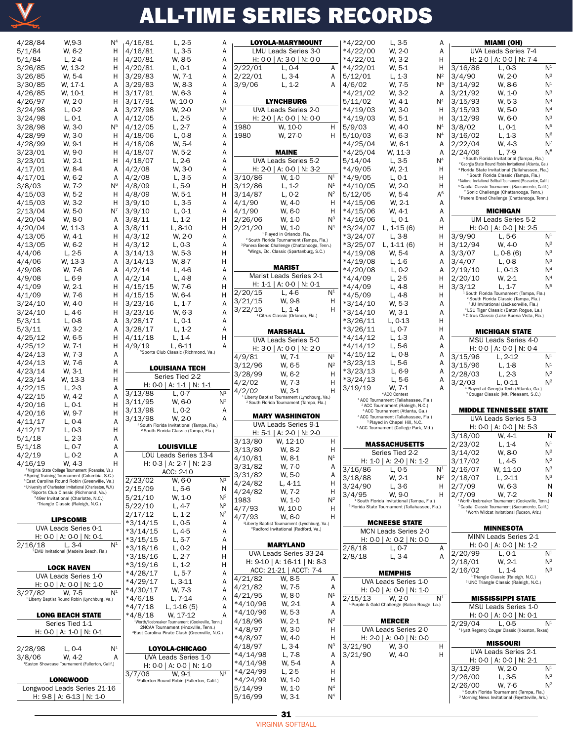

| 4/28/84           | W,9-3                                                                                                                             | $\mathsf{N}^4$            | 4/16/81            | $L, 2-5$                                                                                            | Α                            |
|-------------------|-----------------------------------------------------------------------------------------------------------------------------------|---------------------------|--------------------|-----------------------------------------------------------------------------------------------------|------------------------------|
| 5/1/84            | W, 6-2                                                                                                                            | н                         | 4/16/81            | L, 3-5                                                                                              | Α                            |
| 5/1/84            | L, 2-4                                                                                                                            | Н                         | 4/20/81            | W, 8-5                                                                                              | Α                            |
| 3/26/85           | W, 13-2                                                                                                                           | Н                         | 4/20/81            | L, 0-1                                                                                              | Α                            |
| 3/26/85           | W, 5-4                                                                                                                            | Н                         | 3/29/83            | W, 7-1                                                                                              | Α                            |
| 3/30/85           | W. 17-1                                                                                                                           | A                         | 3/29/83            | W, 8-3                                                                                              | Α                            |
| 4/26/85           | W, 10-1                                                                                                                           | Н                         | 3/17/91            | W, 6-3                                                                                              | Α                            |
| 4/26/97           | W, 2-0                                                                                                                            | н                         | 3/17/91            | W, 10-0                                                                                             | Α                            |
| 3/24/98           | L, 0-2                                                                                                                            | A                         | 3/27/98            | W, 2-0                                                                                              | N <sup>1</sup>               |
| 3/24/98           | L, 0-1                                                                                                                            | A                         | 4/12/05            | L, 2-5                                                                                              | Α                            |
| 3/28/98           | W, 3-0                                                                                                                            | $\mathsf{N}^5$            | 4/12/05            | $L, 2-7$                                                                                            | Α                            |
| 4/28/99           | W, 3-0                                                                                                                            | н                         | 4/18/06            | $L, 0-8$                                                                                            | Α                            |
| 4/28/99           | W, 9-1                                                                                                                            | Η                         | 4/18/06            | W, 5-4                                                                                              | Α                            |
| 3/23/01           | W, 9-0                                                                                                                            | Н                         | 4/18/07            | W, 5-2                                                                                              | Α                            |
| 3/23/01           | W, 2-1                                                                                                                            | Н                         | 4/18/07            | L, 2-6                                                                                              | Α                            |
| 4/17/01           | W, 8-4                                                                                                                            | Α<br>A                    | 4/2/08             | W, 3-0                                                                                              | Α                            |
| 4/17/01<br>3/8/03 | W, 6-2<br>W, 7-2                                                                                                                  | N <sup>6</sup>            | 4/2/08             | L, 3-5                                                                                              | Α<br>Н                       |
| 4/15/03           | W, 5-2                                                                                                                            | н                         | 4/8/09<br>4/8/09   | L, 5-9<br>W, 5-1                                                                                    | Н                            |
| 4/15/03           | W, 3-2                                                                                                                            | Н                         | 3/9/10             | L, 3-5                                                                                              | Α                            |
| 2/13/04           | W, 5-0                                                                                                                            | $N^7$                     | 3/9/10             | $L, 0-1$                                                                                            | Α                            |
| 4/20/04           | W, 8-0                                                                                                                            | А                         | 3/8/11             | L, 1-2                                                                                              | Н                            |
| 4/20/04           | W, 11-3                                                                                                                           | Α                         | 3/8/11             | L, 8-10                                                                                             | Н                            |
| 4/13/05           | W, 4-1                                                                                                                            | Η                         | 4/3/12             | W, 2-0                                                                                              | Α                            |
| 4/13/05           | W, 6-2                                                                                                                            | Η                         | 4/3/12             | L, 0-3                                                                                              | Α                            |
| 4/4/06            | L, 2-5                                                                                                                            | Α                         | 3/14/13            | W, 5-3                                                                                              | Н                            |
| 4/4/06            | W, 13-3                                                                                                                           | Α                         | 3/14/13            | W, 8-7                                                                                              | Н                            |
| 4/9/08            | W, 7-6                                                                                                                            | Α                         | 4/2/14             | L, 4-6                                                                                              | Α                            |
| 4/9/08            | L, 6-9                                                                                                                            | A                         | 4/2/14             | L, 4-8                                                                                              | Α                            |
| 4/1/09            | W, 2-1                                                                                                                            | Η                         | 4/15/15            | W, 7-6                                                                                              | Н                            |
| 4/1/09            | W, 7-6                                                                                                                            | Н                         | 4/15/15            | W, 6-4                                                                                              | Н                            |
| 3/24/10           | W, 4-0                                                                                                                            | н                         | 3/23/16            | L, 1-7                                                                                              | Α                            |
| 3/24/10           | L, 4-6                                                                                                                            | Η                         | 3/23/16            | W, 6-3                                                                                              | A                            |
| 5/3/11            | L, 0-8                                                                                                                            | Α                         | 3/28/17            | L, 0-1                                                                                              | Α                            |
| 5/3/11            | W, 3-2                                                                                                                            | A                         | 3/28/17            | L, 1-2                                                                                              | Α                            |
| 4/25/12           | W, 6-5                                                                                                                            | Η                         | 4/11/18            | L, 1-4                                                                                              | Н                            |
| 4/25/12           | W, 7-1                                                                                                                            | Η                         | 4/9/19             | L. 6-11                                                                                             | Α                            |
| 4/24/13           | W, 7-3                                                                                                                            | А                         |                    | <sup>5</sup> Sports Club Classic (Richmond, Va.)                                                    |                              |
|                   |                                                                                                                                   |                           |                    |                                                                                                     |                              |
| 4/24/13           | W, 7-6                                                                                                                            | Α                         |                    |                                                                                                     |                              |
| 4/23/14           | W, 3-1                                                                                                                            | Η                         |                    | LOUISIANA TECH                                                                                      |                              |
| 4/23/14           | W, 13-3                                                                                                                           | Η                         |                    | Series Tied 2-2                                                                                     |                              |
| 4/22/15           | L, 2-3                                                                                                                            | А                         |                    | H: 0-0   A: 1-1   N: 1-1                                                                            |                              |
| 4/22/15           | W, 4-2                                                                                                                            | A                         | 3/13/88            | L, 0-7                                                                                              | N <sup>1</sup>               |
| 4/20/16           | L, 0-1                                                                                                                            | Η                         | 3/11/95            | W, 6-0                                                                                              |                              |
| 4/20/16           | W, 9-7                                                                                                                            | н                         | 3/13/98            | L, 0-2                                                                                              | Α                            |
| 4/11/17           | L, 0-4                                                                                                                            | A                         | 3/13/98            | W, 2-0<br><sup>1</sup> South Florida Invitational (Tampa, Fla.)                                     | Α                            |
| 4/12/17           | $L, 0-3$                                                                                                                          | Η                         |                    | <sup>2</sup> South Florida Classic (Tampa, Fla.)                                                    |                              |
| 5/1/18            | $L, 2-3$                                                                                                                          | А                         |                    |                                                                                                     |                              |
| 5/1/18            | L, 0-7                                                                                                                            | Α                         |                    | <b>LOUISVILLE</b>                                                                                   |                              |
| 4/2/19            | L, 0-2                                                                                                                            | А                         |                    | LOU Leads Series 13-4                                                                               |                              |
| 4/16/19           | W, 4-3<br><sup>1</sup> Virginia State College Tournament (Roanoke, Va.)                                                           | н                         |                    | H: 0-3   A: 2-7   N: 2-3                                                                            |                              |
|                   | <sup>2</sup> Spring Training Tournament (Columbia, S.C.)                                                                          |                           |                    | ACC: 2-10                                                                                           |                              |
|                   | <sup>3</sup> East Carolina Round Robin (Greenville, Va.)<br><sup>4</sup> University of Charleston Invitational (Charleston, W.V.) |                           | 2/23/02            | W, 6-0                                                                                              | N                            |
|                   | <sup>5</sup> Sports Club Classic (Richmond, Va.)                                                                                  |                           | 2/15/09<br>5/21/10 | L, 5-6<br>W, 1-0                                                                                    | $N^2$                        |
|                   | <sup>6</sup> 49er Invitational (Charlotte, N.C.)<br><sup>7</sup> Triangle Classic (Raleigh, N.C.)                                 |                           | 5/22/10            | L, 4-7                                                                                              | $\mathsf{N}^2$               |
|                   |                                                                                                                                   |                           | 2/17/12            | L, 1-2                                                                                              | N <sup>3</sup>               |
|                   | LIPSCOMB                                                                                                                          |                           | $*3/14/15$         | L, 0-5                                                                                              | Α                            |
|                   | UVA Leads Series 0-1                                                                                                              |                           | $*3/14/15$         | L. 4-5                                                                                              | Α                            |
|                   | H: 0-0   A: 0-0   N: 0-1                                                                                                          |                           | *3/15/15           | L. 5-7                                                                                              | $N^2$<br>N <sup>1</sup><br>Α |
| 2/16/18           | $L, 3-4$                                                                                                                          | N <sup>1</sup>            | *3/18/16           | L, 0-2                                                                                              | Н                            |
|                   | <sup>1</sup> EMU Invitational (Madeira Beach, Fla.)                                                                               |                           | *3/18/16           | L, 2-7                                                                                              | Н                            |
|                   |                                                                                                                                   |                           | *3/19/16           | $L, 1-2$                                                                                            | Н                            |
|                   | <b>LOCK HAVEN</b>                                                                                                                 |                           | *4/28/17           | $L, 5-7$                                                                                            | А                            |
|                   | UVA Leads Series 1-0                                                                                                              |                           | *4/29/17           | L, 3-11                                                                                             | Α                            |
| 3/27/82           | H: 0-0   A: 0-0   N: 1-0<br>W. 7-5                                                                                                | $\mathsf{N}^1$            | *4/30/17           | W, 7-3                                                                                              | Α                            |
|                   | <sup>1</sup> Liberty Baptist Round Robin (Lynchburg, Va.)                                                                         |                           | *4/6/18            | L, 7-14                                                                                             | Α                            |
|                   |                                                                                                                                   |                           | *4/7/18            | L, 1-16 (5)                                                                                         | А                            |
|                   | LONG BEACH STATE                                                                                                                  |                           | *4/8/18            | W. 17-12                                                                                            | Α                            |
|                   | Series Tied 1-1                                                                                                                   |                           |                    | <sup>1</sup> Worth/Icebreaker Tournament (Cookeville, Tenn.)<br>2NCAA Tournament (Knoxville, Tenn.) |                              |
|                   | H: 0-0   A: 1-0   N: 0-1                                                                                                          |                           |                    | <sup>3</sup> East Carolina Pirate Clash (Greenville, N.C.)                                          |                              |
|                   |                                                                                                                                   |                           |                    |                                                                                                     |                              |
| 2/28/98           | L, 0-4                                                                                                                            | $\mathsf{N}^{\mathsf{1}}$ |                    | LOYOLA-CHICAGO                                                                                      |                              |
| 3/8/06            | W. 4-2<br><sup>1</sup> Easton Showcase Tournament (Fullerton, Calif.)                                                             | Α                         |                    | UVA Leads Series 1-0                                                                                |                              |
|                   |                                                                                                                                   |                           |                    | H: 0-0   A: 0-0   N: 1-0<br>W. 9-1                                                                  | N <sup>1</sup>               |
|                   | LONGWOOD<br>Longwood Leads Series 21-16                                                                                           |                           | 3/7/06             | <sup>4</sup> Fullerton Round Robin (Fullerton, Calif.)                                              |                              |

H: 9-8 | A: 6-13 | N: 1-0

| A              |                      | LOYOLA-MARYMOUNT                                                                                                |                           | $*4/22$             |
|----------------|----------------------|-----------------------------------------------------------------------------------------------------------------|---------------------------|---------------------|
| Α              |                      | LMU Leads Series 3-0                                                                                            |                           | $*4/22$             |
| Α              |                      | H: 0-0   A: 3-0   N: 0-0                                                                                        |                           | $*4/22$             |
| Α              | $\frac{2}{2}$ /22/01 | L, 0-4                                                                                                          | A                         | $*4/22$             |
| Α              | 2/22/01              | $L, 3-4$                                                                                                        | Α                         | 5/12/               |
| Α              |                      | $L, 1-2$                                                                                                        | A                         |                     |
|                | 3/9/06               |                                                                                                                 |                           | 4/6/C               |
| Α              |                      |                                                                                                                 |                           | $*4/21$             |
| A              |                      | <b>LYNCHBURG</b>                                                                                                |                           | 5/11/               |
| N <sup>1</sup> |                      | UVA Leads Series 2-0                                                                                            |                           | *4/19               |
| A              |                      | H: 2-0   A: 0-0   N: 0-0                                                                                        |                           | $*4/19$             |
| A              | 1980                 | W, 10-0                                                                                                         | н                         | 5/9/C               |
| А              | 1980                 | W. 27-0                                                                                                         | н                         | 5/10/               |
| A              |                      |                                                                                                                 |                           | *4/25               |
| А              |                      | <b>MAINE</b>                                                                                                    |                           | $*4/25$             |
| A              |                      | <b>UVA Leads Series 5-2</b>                                                                                     |                           | 5/14/               |
| Α              |                      | H: 2-0   A: 0-0   N: 3-2                                                                                        |                           | $*4/9/$             |
| A              | 3/10/86              | W, 1-0                                                                                                          | N <sup>1</sup>            | *4/9/               |
| н              | 3/12/86              | $L, 1-2$                                                                                                        | N <sup>1</sup>            | $*4/10$             |
| Η              | 3/14/87              | $L, 0-2$                                                                                                        | $N^2$                     | 5/12/               |
| A              | 4/1/90               | W. 4-0                                                                                                          | н                         | *4/15               |
| A              | 4/1/90               | W. 6-0                                                                                                          | н                         | *4/15               |
| н              | 2/26/06              | W, 1-0                                                                                                          | $\mathsf{N}^3$            | $*4/16$             |
| Н              | 2/21/20              | W. 1-0                                                                                                          | $\mathsf{N}^4$            | *3/24               |
| A              |                      | <sup>1</sup> Played in Orlando, Fla.<br><sup>2</sup> South Florida Tournament (Tampa, Fla.)                     |                           | $*3/24$             |
| Α              |                      | <sup>3</sup> Panera Bread Challenge (Chattanooga, Tenn.)                                                        |                           | *3/25               |
| н              |                      | <sup>4</sup> Wings, Etc. Classic (Spartanburg, S.C.)                                                            |                           | *4/19               |
| Н              |                      |                                                                                                                 |                           | $*4/19$             |
| A              |                      | <b>MARIST</b>                                                                                                   |                           | $*4/20$             |
| A              |                      | Marist Leads Series 2-1                                                                                         |                           | $*4/4/$             |
| н              |                      | H: 1-1   A: 0-0   N: 0-1                                                                                        | N <sup>1</sup>            | $*4/4/$             |
| Н              | 2/20/15              | $L, 4-6$                                                                                                        |                           | $*4/5/$             |
| A              | 3/21/15              | W. 9-8                                                                                                          | н                         | $*3/14$             |
| A              | 3/22/15              | L. 1-4<br><sup>1</sup> Citrus Classic (Orlando, Fla.)                                                           | н                         | *3/14               |
| А              |                      |                                                                                                                 |                           | *3/26               |
| A              |                      | MARSHALL                                                                                                        |                           | *3/26               |
| н              |                      | UVA Leads Series 5-0                                                                                            |                           | *4/14               |
| A              |                      | H: 3-0   A: 0-0   N: 2-0                                                                                        |                           | *4/14               |
|                | 4/9/81               | W, 7-1                                                                                                          | N <sup>1</sup>            | $*4/15$             |
|                | 3/12/96              | W. 6-5                                                                                                          | $N^2$                     | *3/23               |
|                | 3/28/99              | W. 6-2                                                                                                          | н                         | *3/23               |
|                | 4/2/02               | W. 7-3                                                                                                          | н                         | *3/24               |
| N <sup>1</sup> | 4/2/02               | W. 3-1                                                                                                          | н                         | 3/19/               |
| $N^2$          |                      | <sup>1</sup> Liberty Baptist Tournament (Lynchburg, Va.)<br><sup>2</sup> South Florida Tournament (Tampa, Fla.) |                           | 1/                  |
| A              |                      |                                                                                                                 |                           |                     |
| A              |                      | <b>MARY WASHINGTON</b>                                                                                          |                           | $^{4}$ $\prime$     |
| .)             |                      | UVA Leads Series 9-1                                                                                            |                           | <sup>6</sup> A      |
|                |                      | H: 5-1   A: 2-0   N: 2-0                                                                                        |                           |                     |
|                | 3/13/80              | W. 12-10                                                                                                        | н                         |                     |
|                | 3/13/80              | W, 8-2                                                                                                          | Н                         |                     |
|                | 4/10/81              | W, 8-1                                                                                                          | $\mathsf{N}^1$            |                     |
|                | 3/31/82              | W, 7-0                                                                                                          | А                         | 3/16/               |
| N <sup>1</sup> | 3/31/82              | W, 5-0                                                                                                          | Α                         | 3/18/               |
|                | 4/24/82              | L, 4-11                                                                                                         | н                         | 3/24/               |
| N              | 4/24/82              | W, 7-2                                                                                                          | н                         | 3/4/9               |
| $N^2$<br>$N^2$ | 1983                 | W, 1-0                                                                                                          | $N^2$                     | · So                |
|                | 4/7/93               | W, 10-0                                                                                                         | н                         | <sup>2</sup> Floric |
| N <sup>3</sup> | 4/7/93               | W. 6-0                                                                                                          | н                         |                     |
| A              |                      | <sup>1</sup> Liberty Baptist Tournament (Lynchburg, Va.)<br><sup>2</sup> Radford Invitational (Radford, Va.)    |                           |                     |
| Α              |                      |                                                                                                                 |                           |                     |
| А              |                      | <b>MARYLAND</b>                                                                                                 |                           |                     |
| Н<br>Н         |                      | UVA Leads Series 33-24                                                                                          |                           | 2/8/1               |
| Н              |                      | H: 9-10   A: 16-11   N: 8-3                                                                                     |                           | 2/8/1               |
| A              |                      | ACC: 21-21   ACCT: 7-4                                                                                          |                           |                     |
| A              | 4/21/82              | W, 8-5                                                                                                          | А                         |                     |
| А              | 4/21/82              | W, 7-5                                                                                                          | Α                         |                     |
| A              | 4/21/95              | W, 8-0                                                                                                          | $\mathsf{N}^{\mathtt{1}}$ | 2,<br>15/           |
| Α              | *4/10/96             | W, 2-1                                                                                                          | Α                         | <sup>1</sup> Purp   |
| А              | *4/10/96             | W, 5-3                                                                                                          | А                         |                     |
| nn.)           | 4/18/96              | W, 2-1                                                                                                          | $N^2$                     |                     |
|                | *4/8/97              | W, 3-0                                                                                                          | н                         |                     |
| .C.)           | *4/8/97              | W, 4-0                                                                                                          | н                         |                     |
|                | 4/18/97              | L, 3-4                                                                                                          | $\mathsf{N}^3$            | 3/21/               |
|                | *4/14/98             | L, 7-8                                                                                                          | Α                         | 3/21/               |
|                | *4/14/98             | W, 5-4                                                                                                          | Α                         |                     |
| $N^1$          | *4/24/99             | $L, 2-5$                                                                                                        | н                         |                     |
| .)             | *4/24/99             | W, 1-0                                                                                                          | н                         |                     |
|                | 5/14/99              | W, 1-0                                                                                                          | N <sup>4</sup>            |                     |
|                | 5/16/99              | W. 3-1                                                                                                          | N <sup>4</sup>            |                     |

| *4/22/00               | L, 3-5                                                                                      | Α                   |                    | <b>MIAMI (OH)</b>                                                                                                                           |                         |
|------------------------|---------------------------------------------------------------------------------------------|---------------------|--------------------|---------------------------------------------------------------------------------------------------------------------------------------------|-------------------------|
| $*4/22/00$             | W, 2-0                                                                                      | А                   |                    | <b>UVA Leads Series 7-4</b>                                                                                                                 |                         |
| $*4/22/01$             | W, 3-2                                                                                      | н                   |                    | H: 2-0   A: 0-0   N: 7-4                                                                                                                    |                         |
| $*4/22/01$             | W, 5-1                                                                                      | н                   | 3/16/86            | L, 0-3                                                                                                                                      | $\mathsf{N}^1$          |
| 5/12/01                | $L, 1-3$                                                                                    | $N^2$               | 3/4/90             | W, 2-0                                                                                                                                      | $N^2$                   |
| 4/6/02                 | W, 7-5                                                                                      | N <sup>5</sup>      | 3/14/92            | W, 8-6                                                                                                                                      | $\mathsf{N}^1$          |
| *4/21/02<br>5/11/02    | W, 3-2<br>W, 4-1                                                                            | A<br>N <sup>4</sup> | 3/21/92<br>3/15/93 | W, 1-0<br>W, 5-3                                                                                                                            | $N^3$<br>$\mathsf{N}^4$ |
| *4/19/03               | W, 3-0                                                                                      | н                   | 3/15/93            | W, 5-0                                                                                                                                      | $\mathsf{N}^4$          |
| *4/19/03               | W, 5-1                                                                                      | н                   | 3/12/99            | W, 6-0                                                                                                                                      | $\mathsf{N}^3$          |
| 5/9/03                 | W, 4-0                                                                                      | $\mathsf{N}^4$      | 3/8/02             | L, 0-1                                                                                                                                      | N <sup>5</sup>          |
| 5/10/03                | W, 6-3                                                                                      | N <sup>4</sup>      | 3/16/02            | L, 1-3                                                                                                                                      | N <sup>6</sup>          |
| *4/25/04               | W, 6-1                                                                                      | Α                   | 2/22/04            | W, 4-3                                                                                                                                      | $N^7$                   |
| *4/25/04               | W, 11-3                                                                                     | A                   | 2/24/06            | L, 7-9<br><sup>1</sup> South Florida Invitational (Tampa, Fla.)                                                                             | $N^8$                   |
| 5/14/04<br>$*4/9/05$   | L, 3-5<br>W, 2-1                                                                            | N <sup>4</sup><br>н |                    | <sup>2</sup> Georgia State Round Robin Invitational (Atlanta, Ga.)                                                                          |                         |
| $*4/9/05$              | $L, 0-1$                                                                                    | н                   |                    | <sup>3</sup> Florida State Invitational (Tallahassee, Fla.)<br><sup>4</sup> South Florida Classic (Tampa, Fla.)                             |                         |
| *4/10/05               | W, 2-0                                                                                      | н                   |                    | <sup>5</sup> National Invitational Softball Tournament (Pleasanton, Calif.)<br><sup>6</sup> Capital Classic Tournament (Sacramento, Calif.) |                         |
| 5/12/05                | W. 5-4                                                                                      | A <sup>6</sup>      |                    | 7 Sonic Challenge (Chattanooga, Tenn.)<br><sup>8</sup> Panera Bread Challenge (Chattanooga, Tenn.)                                          |                         |
| *4/15/06               | W, 2-1                                                                                      | A                   |                    |                                                                                                                                             |                         |
| *4/15/06               | W, 4-1                                                                                      | А                   |                    | MICHIGAN                                                                                                                                    |                         |
| *4/16/06               | $L, 0-1$                                                                                    | А                   |                    | UM Leads Series 5-2                                                                                                                         |                         |
| *3/24/07<br>$*3/24/07$ | $L, 1-15(6)$<br>L, 3-8                                                                      | н<br>н              | 3/9/90             | H: 0-0   A: 0-0   N: 2-5<br>L, 5-6                                                                                                          | N <sup>1</sup>          |
| *3/25/07               | $L, 1-11(6)$                                                                                | н                   | 3/12/94            | W, 4-0                                                                                                                                      | $N^2$                   |
| $*4/19/08$             | W, 5-4                                                                                      | А                   | 3/3/07             | L, 0-8 (6)                                                                                                                                  | $\mathsf{N}^3$          |
| $*4/19/08$             | L, 1-6                                                                                      | А                   | 3/4/07             | L, 0-8                                                                                                                                      | $N^3$                   |
| *4/20/08               | $L, 0-2$                                                                                    | А                   | 2/19/10            | L, 0-13                                                                                                                                     | $\mathsf{N}^4$          |
| *4/4/09                | $L, 2-5$                                                                                    | н                   | 2/20/10            | W, 2-1                                                                                                                                      | N <sup>4</sup>          |
| *4/4/09                | L, 4-8                                                                                      | н                   | 3/3/12             | L, 1-7<br>South Florida Tournament (Tampa, Fla.)                                                                                            | $N^5$                   |
| $*4/5/09$              | L, 4-8<br>W. 5-3                                                                            | н<br>А              |                    | <sup>2</sup> South Florida Classic (Tampa, Fla.)                                                                                            |                         |
| *3/14/10<br>*3/14/10   | W, 3-1                                                                                      | А                   |                    | <sup>3</sup> JU Invitational (Jacksonville, Fla.)<br><sup>4</sup> LSU Tiger Classic (Baton Rogue, La.)                                      |                         |
| $*3/26/11$             | L, 0-13                                                                                     | н                   |                    | <sup>5</sup> Citrus Classic (Lake Buena Vista, Fla.)                                                                                        |                         |
| $*3/26/11$             | L, 0-7                                                                                      | н                   |                    | <b>MICHIGAN STATE</b>                                                                                                                       |                         |
| $*4/14/12$             | $L, 1-3$                                                                                    | А                   |                    | MSU Leads Series 4-0                                                                                                                        |                         |
| *4/14/12               | L, 5-6                                                                                      | A                   |                    | H: 0-0   A: 0-0   N: 0-4                                                                                                                    |                         |
| $*4/15/12$             | $L, 0-8$                                                                                    | А                   | 3/15/96            | L, 2-12                                                                                                                                     | $\mathsf{N}^1$          |
| *3/23/13<br>*3/23/13   | L, 5-6<br>$L, 6-9$                                                                          | А<br>Α              | 3/15/96            | L, 1-8                                                                                                                                      | $\mathsf{N}^1$          |
| $*3/24/13$             | L, 5-6                                                                                      | А                   | 2/28/03            | L, 2-3                                                                                                                                      | $N^2$                   |
| 3/19/19                | W. 7-1                                                                                      | А                   | 3/2/03             | L. 0-11<br><sup>1</sup> Played at Georgia Tech (Atlanta, Ga.)                                                                               | $N^2$                   |
|                        | *ACC Contest<br><sup>1</sup> ACC Tournament (Tallahassee, Fla.)                             |                     |                    | <sup>2</sup> Cougar Classic (Mt. Pleasant, S.C.)                                                                                            |                         |
|                        | <sup>2</sup> ACC Tournament (Raleigh, N.C.)<br><sup>3</sup> ACC Tournament (Atlanta, Ga.)   |                     |                    | <b>MIDDLE TENNESSEE STATE</b>                                                                                                               |                         |
|                        | <sup>4</sup> ACC Tournament (Tallahassee, Fla.)<br><sup>5</sup> Played in Chapel Hill, N.C. |                     |                    | <b>UVA Leads Series 5-3</b>                                                                                                                 |                         |
|                        | <sup>6</sup> ACC Tournament (College Park, Md.)                                             |                     |                    | H: 0-0   A: 0-0   N: 5-3                                                                                                                    |                         |
|                        |                                                                                             |                     | 3/18/00            | W. 4-1                                                                                                                                      | N                       |
|                        | MASSACHUSETTS<br>Series Tied 2-2                                                            |                     | 2/23/02<br>3/14/02 | L, 1-4<br>w, 8-0                                                                                                                            | $\mathsf{N}^1$<br>$N^2$ |
|                        | H: 1-0   A: 2-0   N: 1-2                                                                    |                     | 3/17/02            | L, 4-5                                                                                                                                      | $N^2$                   |
| 3/16/86                | L, 0-5                                                                                      | N <sup>1</sup>      | 2/16/07            | W, 11-10                                                                                                                                    | $N^3$                   |
| 3/18/88                | W, 2-1                                                                                      | $N^2$               | 2/18/07            | $L, 2-11$                                                                                                                                   | $\mathsf{N}^3$          |
| 3/24/90                | L. 3-6                                                                                      | н                   | 2/7/09             | W, 6-3                                                                                                                                      | N                       |
| 3/4/95                 | W. 9-0<br><sup>1</sup> South Florida Invitational (Tampa, Fla.)                             | н                   | 2/7/09             | W. 7-2<br><sup>1</sup> Worth/Icebreaker Tournament (Cookeville, Tenn.)                                                                      | Ν                       |
|                        | <sup>2</sup> Florida State Tournament (Tallahassee, Fla.)                                   |                     |                    | <sup>2</sup> Capital Classic Tournament (Sacramento, Calif.)<br><sup>3</sup> Worth Wildcat Invitational (Tucson, Ariz.)                     |                         |
|                        | <b>MCNEESE STATE</b>                                                                        |                     |                    |                                                                                                                                             |                         |
|                        | <b>MCN Leads Series 2-0</b>                                                                 |                     |                    | <b>MINNESOTA</b>                                                                                                                            |                         |
|                        | H: 0-0   A: 0-2   N: 0-0                                                                    |                     |                    | <b>MINN Leads Series 2-1</b><br>H: $0-0$   A: $0-0$   N: 1-2                                                                                |                         |
| 2/8/18                 | L. 0-7                                                                                      | A                   | 2/20/99            | L, 0-1                                                                                                                                      | N <sup>1</sup>          |
| 2/8/18                 | L, 3-4                                                                                      | A                   | 2/18/01            | W. 2-1                                                                                                                                      | $N^2$                   |
|                        | <b>MEMPHIS</b>                                                                              |                     | 2/16/02            | L, 1-4                                                                                                                                      | $\mathsf{N}^3$          |
|                        | UVA Leads Series 1-0                                                                        |                     |                    | <sup>1</sup> Triangle Classic (Raleigh, N.C.)<br><sup>2</sup> UNC Triangle Classic (Raleigh, N.C.)                                          |                         |
|                        | H: 0-0   A: 0-0   N: 1-0                                                                    |                     |                    |                                                                                                                                             |                         |
| 2/15/13                | W. 2-0<br><sup>1</sup> Purple & Gold Challenge (Baton Rouge, La.)                           | N <sup>1</sup>      |                    | <b>MISSISSIPPI STATE</b><br>MSU Leads Series 1-0                                                                                            |                         |
|                        |                                                                                             |                     |                    | H: 0-0   A: 0-0   N: 0-1                                                                                                                    |                         |
|                        | <b>MERCER</b><br>UVA Leads Series 2-0                                                       |                     | 2/29/04            | L. 0-5<br><sup>1</sup> Hyatt Regency Cougar Classic (Houston, Texas)                                                                        | N <sup>1</sup>          |
|                        | H: 2-0   A: 0-0   N: 0-0                                                                    |                     |                    |                                                                                                                                             |                         |
| 3/21/90                | W. 3-0                                                                                      | н                   |                    | <b>MISSOURI</b><br>UVA Leads Series 2-1                                                                                                     |                         |
| 3/21/90                | W. 4-0                                                                                      | н                   |                    | H: 0-0   A: 0-0   N: 2-1                                                                                                                    |                         |
|                        |                                                                                             |                     | 3/12/89            | W. 2-0                                                                                                                                      | $\mathsf{N}^1$          |
|                        |                                                                                             |                     | 2/26/00            | L, 3-5                                                                                                                                      | $N^2$                   |
|                        |                                                                                             |                     | 2/26/00            | W, 7-6<br><sup>1</sup> South Florida Tournament (Tampa, Fla.)                                                                               | $N^2$                   |
|                        |                                                                                             |                     |                    |                                                                                                                                             |                         |

2 Morning News Invitational (Fayetteville, Ark.)

 $5/16/99$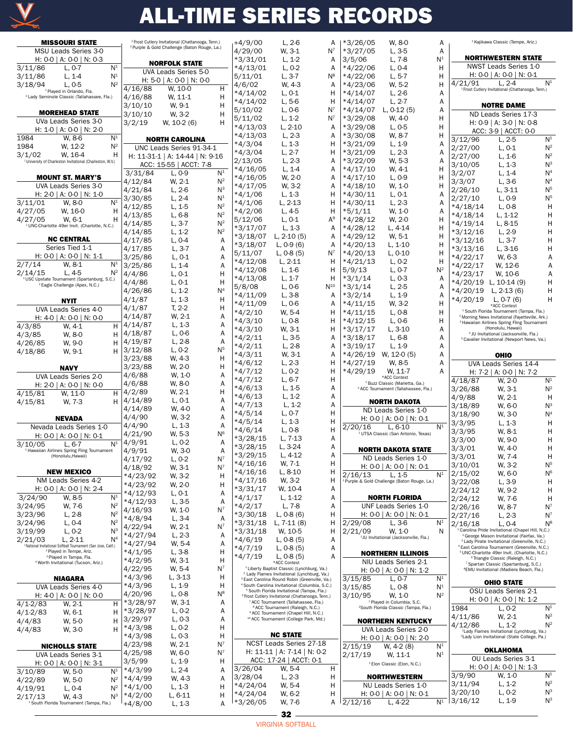

| <b>MISSOURI STATE</b>                                                                          |                |                          | <sup>2</sup> Frost Cutlery Invitational (Chattanooga, Tenn.) |                | $+4/9/00$            | $L, 2-6$                                                                                                              | A        | $*3/26/05$  | W. 8-0                                                  | Α              |                                    | <sup>1</sup> Kajikawa Classic (Tempe, Ariz.)                                                                          |                |
|------------------------------------------------------------------------------------------------|----------------|--------------------------|--------------------------------------------------------------|----------------|----------------------|-----------------------------------------------------------------------------------------------------------------------|----------|-------------|---------------------------------------------------------|----------------|------------------------------------|-----------------------------------------------------------------------------------------------------------------------|----------------|
| MSU Leads Series 3-0                                                                           |                |                          | <sup>3</sup> Purple & Gold Challenge (Baton Rouge, La.)      |                | 4/29/00              | W, 3-1                                                                                                                | $N^7$    | *3/27/05    | $L, 3-5$                                                | Α              |                                    |                                                                                                                       |                |
| H: $0-0$   A: $0-0$   N: $0-3$                                                                 |                |                          | <b>NORFOLK STATE</b>                                         |                | $*3/31/01$           | $L, 1-2$                                                                                                              | A        | 3/5/06      | L, 7-8                                                  | N <sup>1</sup> |                                    | <b>NORTHWESTERN STATE</b>                                                                                             |                |
| 3/11/86<br>$L, 0-7$                                                                            | N <sup>1</sup> |                          | UVA Leads Series 5-0                                         |                | *4/13/01             | $L, 0-2$                                                                                                              | A        | $*4/22/06$  | $L, 0-4$                                                | н              |                                    | NWST Leads Series 1-0                                                                                                 |                |
| 3/11/86<br>$L, 1-4$                                                                            | N <sup>1</sup> |                          | H: 5-0   A: 0-0   N: 0-0                                     |                | 5/11/01              | $L, 3-7$                                                                                                              | $N^8$    | $*4/22/06$  | $L, 5-7$                                                | н              |                                    | H: $0-0$   A: $0-0$   N: $0-1$                                                                                        |                |
| L, 0.5<br>3/18/94                                                                              | $N^2$          | 4/16/88                  | W. 10-0                                                      | Н              | 4/6/02               | W, 4-3                                                                                                                | A        | $*4/23/06$  | W. 5-2                                                  | н              | 4/21/91                            | $L, 2-4$<br><sup>1</sup> Frost Cutlery Invitational (Chattanooga, Tenn.)                                              | N <sup>1</sup> |
| <sup>1</sup> Played in Orlando, Fla.<br><sup>2</sup> Lady Seminole Classic (Tallahassee, Fla.) |                | 4/16/88                  | W. 11-1                                                      | Η              | *4/14/02             | $L, 0-1$                                                                                                              | Н        | $*4/14/07$  | $L, 2-6$                                                | Α              |                                    |                                                                                                                       |                |
|                                                                                                |                | 3/10/10                  | W. 9-1                                                       | H              | *4/14/02             | $L, 5-6$                                                                                                              | н        | $*4/14/07$  | $L, 2-7$                                                | Α              |                                    | <b>NOTRE DAME</b>                                                                                                     |                |
| <b>MOREHEAD STATE</b>                                                                          |                | 3/10/10                  | W, 3-2                                                       | Н              | 5/10/02              | $L, 0-6$                                                                                                              | $N^7$    | *4/14/07    | L, $0-12(5)$                                            | Α              |                                    | ND Leads Series 17-3                                                                                                  |                |
| UVa Leads Series 3-0                                                                           |                | 3/2/19                   | W, 10-2 (6)                                                  | Η              | 5/11/02              | $L, 1-2$                                                                                                              | $N^7$    | $*3/29/08$  | W. 4-0                                                  | н              |                                    | H: $0-9$   A: $3-0$   N: $0-8$                                                                                        |                |
| H: 1-0   A: 0-0   N: 2-0                                                                       |                |                          |                                                              |                | *4/13/03             | $L, 2-10$                                                                                                             | A        | $*3/29/08$  | L, 0.5                                                  | H              |                                    | ACC: 3-9   ACCT: 0-0                                                                                                  |                |
| 1984<br>W. 8-6                                                                                 | N <sup>1</sup> |                          | <b>NORTH CAROLINA</b>                                        |                | $*4/13/03$           | $L, 2-3$                                                                                                              | A        | *3/30/08    | W. 8-7                                                  | н              | 3/12/96                            | $L, 2-5$                                                                                                              | N <sup>1</sup> |
| 1984<br>W, 12-2                                                                                | $N^2$          |                          | UNC Leads Series 91-34-1                                     |                | *4/3/04              | $L, 1-3$                                                                                                              | H        | $*3/21/09$  | $L, 1-9$                                                | Α              | 2/27/00                            | $L, 0-1$                                                                                                              | $N^2$          |
| 3/1/02<br>W. 16-4                                                                              | н              |                          | H: 11-31-1   A: 14-44   N: 9-16                              |                | *4/3/04              | $L, 2-7$                                                                                                              | Н        | $*3/21/09$  | $L, 2-3$                                                | Α              | 2/27/00                            | $L, 1-6$                                                                                                              | $N^2$          |
| <sup>1</sup> University of Charleston Invitational (Charleston, W.V.)                          |                |                          | ACC: 15-55   ACCT: 7-8                                       |                | 2/13/05              | $L, 2-3$                                                                                                              | A        | $*3/22/09$  | W. 5-3                                                  | Α              | 3/10/05                            | $L, 1-3$                                                                                                              | $N^3$          |
|                                                                                                |                | 3/31/84                  | $L, 0-9$                                                     | N <sup>1</sup> | *4/16/05             | $L, 1-4$                                                                                                              | A        | $*4/17/10$  | W. 4-1                                                  | Н              | 3/2/07                             | $L, 1-4$                                                                                                              | N <sup>4</sup> |
| <b>MOUNT ST. MARY'S</b>                                                                        |                | 4/12/84                  | W. 2-1                                                       | $N^2$          | *4/16/05             | W, 2-0                                                                                                                | A        | $*4/17/10$  | $L, 0-9$                                                | н              | 3/3/07                             | $L, 3-6$                                                                                                              | N <sup>4</sup> |
| UVA Leads Series 3-0                                                                           |                | 4/21/84                  | $L, 2-6$                                                     | $N^3$          | *4/17/05             | W, 3-2                                                                                                                | A        | $*4/18/10$  | W. 1-0                                                  | н              | 2/26/10                            | L, 3-11                                                                                                               | N <sup>5</sup> |
| H: 2-0   A: 0-0   N: 1-0                                                                       |                | 3/30/85                  | $L, 2-4$                                                     | N <sup>1</sup> | *4/1/06              | $L, 1-3$                                                                                                              | Н        | $*4/30/11$  | $L, 0-1$                                                | Α              | 2/27/10                            | $L, 0-9$                                                                                                              | N <sup>5</sup> |
| 3/11/01<br>W, 8-0                                                                              | N <sup>1</sup> | 4/12/85                  | $L, 1-5$                                                     | $N^2$          | *4/1/06              | $L, 2-13$                                                                                                             | Н        | $*4/30/11$  | $L, 2-3$                                                | Α              | $*4/18/14$                         | $L, 0-8$                                                                                                              | Н              |
| 4/27/05<br>W, 16-0                                                                             | Η              | 4/13/85                  | $L, 6-8$                                                     | $N^2$          | *4/2/06              | $L, 4-5$                                                                                                              | Н        | $*5/1/11$   | W. 1-0                                                  | Α              | *4/18/14                           | $L, 1-12$                                                                                                             | Н              |
| 4/27/05<br>W. 6-1                                                                              | н              | 4/14/85                  | $L, 3-7$                                                     | $N^2$          | 5/12/06              | $L, 0-1$                                                                                                              | $A^9$    | $*4/28/12$  | W. 2-0                                                  | н              | *4/19/14                           | L, 8-15                                                                                                               | Н              |
| <sup>1</sup> UNC-Charlotte 49er Invit. (Charlotte, N.C.)                                       |                | 4/14/85                  | $L, 1-2$                                                     | $N^2$          | *3/17/07             | $L, 1-3$                                                                                                              | A        | $*4/28/12$  | L. 4-14                                                 | н              | *3/12/16                           | $L, 2-9$                                                                                                              | Н              |
| <b>NC CENTRAL</b>                                                                              |                | 4/17/85                  | $L, 0-4$                                                     | Α              | *3/18/07             | L, $2-10(5)$                                                                                                          | A        | $*4/29/12$  | W, 5-1                                                  | н              | *3/12/16                           | $L, 3-7$                                                                                                              | Н              |
| Series Tied 1-1                                                                                |                | 4/17/85                  | $L, 3-7$                                                     | Α              | *3/18/07             | $L, 0-9(6)$                                                                                                           | A        | $*4/20/13$  | L, 1-10                                                 | н              | *3/13/16                           | $L, 3-16$                                                                                                             | Н              |
| H: 0-0   A: 0-0   N: 1-1                                                                       |                | 3/25/86                  | $L, 0-1$                                                     | Α              | 5/11/07              | L, $0-8(5)$                                                                                                           | $N^7$    | $*4/20/13$  | $L, 0-10$                                               | н              | *4/22/17                           | W, 6-3                                                                                                                | А              |
| 2/7/14<br>W, 8-1                                                                               | N <sup>1</sup> | 3/25/86                  | $L, 1-4$                                                     | Α              | *4/12/08             | $L, 2-11$                                                                                                             | н        | $*4/21/13$  | $L, 0-2$                                                | н              | *4/22/17                           | W, 12-6                                                                                                               | А              |
| 2/14/15<br>$L.4-5$                                                                             | $N^2$          | 4/4/86                   | $L, 0-1$                                                     | Η              | *4/12/08             | $L, 1-6$                                                                                                              | н        | 5/9/13      | $L, 0-7$                                                | $N^2$          | *4/23/17                           | W, 10-6                                                                                                               | Α              |
| <sup>1</sup> USC Upstate Tournament (Spartanburg, S.C.)                                        |                | 4/4/86                   | $L, 0-1$                                                     | Н              | *4/13/08             | $L, 1-7$                                                                                                              | Н        | $*3/1/14$   | $L, 0-3$                                                | A              |                                    | *4/20/19 L, 10-14 (9)                                                                                                 | н              |
| <sup>2</sup> Eagle Challenge (Apex, N.C.)                                                      |                | 4/26/86                  | $L, 1-2$                                                     | N <sup>4</sup> | 5/8/08               | $L, 0-6$                                                                                                              | $N^{10}$ | $*3/1/14$   | $L, 2-5$                                                | Α              | *4/20/19                           | L, $2-13(6)$                                                                                                          | Н              |
|                                                                                                |                | 4/1/87                   | $L, 1-3$                                                     | H              | *4/11/09             | $L, 3-8$                                                                                                              | A        | $*3/2/14$   | $L, 1-9$                                                | Α              | *4/20/19                           | L, $0-7(6)$                                                                                                           | н              |
| <b>NYIT</b>                                                                                    |                | 4/1/87                   | $T, 2-2$                                                     | H              | *4/11/09             | $L, 0-6$                                                                                                              | A        | $*4/11/15$  | W. 3-2                                                  | Н              |                                    | *ACC Contest                                                                                                          |                |
| UVA Leads Series 4-0                                                                           |                | 4/14/87                  | W. 2-1                                                       | Α              | *4/2/10              | W. 5-4                                                                                                                | н        | $*4/11/15$  | $L, 0-8$                                                | н              |                                    | <sup>1</sup> South Florida Tournament (Tampa, Fla.)<br><sup>2</sup> Morning News Invitational (Fayetteville, Ark.)    |                |
| H: $4-0$   A: $0-0$   N: $0-0$<br>4/3/85<br>W, 4-1                                             | H              | 4/14/87                  | $L, 1-3$                                                     | Α              | $*4/3/10$            | $L, 0-8$                                                                                                              | H        | $*4/12/15$  | $L, 0-6$                                                | н              |                                    | <sup>3</sup> Hawaiian Airlines Spring Fling Tournament                                                                |                |
| 4/3/85<br>W, 8-0                                                                               | н              | 4/18/87                  | $L, 0-6$                                                     | Α              | *4/3/10              | W, 3-1                                                                                                                | H        | $*3/17/17$  | L, 3-10                                                 | Α              |                                    | (Honolulu, Hawaii)<br><sup>4</sup> JU Invitational (Jacksonville, Fla.)                                               |                |
| W, 9-0<br>4/26/85                                                                              | н              | 4/19/87                  | $L, 2-8$                                                     | Α              | *4/2/11              | L, 3-5                                                                                                                | A        | $*3/18/17$  | $L, 6-8$                                                | Α              |                                    | <sup>5</sup> Cavalier Invitational (Newport News, Va.)                                                                |                |
| 4/18/86<br>W, 9-1                                                                              | н              | 3/12/88                  | $L, 0-2$                                                     | N <sup>5</sup> | *4/2/11              | $L, 2-8$                                                                                                              | A        | $*3/19/17$  | $L, 1-9$                                                | Α              |                                    |                                                                                                                       |                |
|                                                                                                |                | 3/23/88                  | W. 4-3                                                       | H              | *4/3/11              | W, 3-1                                                                                                                | A        | *4/26/19    | W, 12-0 (5)                                             | Α              |                                    | <b>OHIO</b>                                                                                                           |                |
| <b>NAVY</b>                                                                                    |                | 3/23/88                  | W. 2-0                                                       | Η              | $*4/6/12$            | $L, 2-3$                                                                                                              | H        | $*4/27/19$  | W. 8-5<br>W, 11-7                                       | A              |                                    | UVA Leads Series 14-4                                                                                                 |                |
|                                                                                                |                |                          |                                                              |                |                      |                                                                                                                       |          |             |                                                         |                |                                    |                                                                                                                       |                |
| UVA Leads Series 2-0                                                                           |                | 4/6/88                   | W. 1-0                                                       | Α              | $*4/7/12$            | $L, 0-2$                                                                                                              | H        | $*4/29/19$  | *ACC Contest                                            | Α              |                                    | H: $7-2$   A: $0-0$   N: $7-2$                                                                                        |                |
| H: 2-0   A: 0-0   N: 0-0                                                                       |                | 4/6/88                   | W. 8-0                                                       | Α              | $*4/7/12$            | $L, 6-7$                                                                                                              | Н        |             | <sup>1</sup> Buzz Classic (Marietta, Ga.)               |                | 4/18/87                            | W. 2-0                                                                                                                | N <sup>1</sup> |
| 4/15/81<br>W. 11-0                                                                             | H              | 4/2/89                   | W, 2-1                                                       | Η              | *4/6/13              | $L, 1-5$                                                                                                              | A        |             | <sup>2</sup> ACC Tournament (Tallahassee, Fla.)         |                | 3/26/88                            | W. 3-1                                                                                                                | $N^2$          |
| 4/15/81<br>W, 7-3                                                                              | н              | 4/14/89                  | $L, 0-1$                                                     | Α              | $*4/6/13$            | $L, 1-2$                                                                                                              | A        |             | <b>NORTH DAKOTA</b>                                     |                | 4/9/88                             | W, 2-1                                                                                                                | Н              |
|                                                                                                |                | 4/14/89                  | W, 4-0                                                       | Α              | *4/7/13              | $L, 1-2$                                                                                                              | A<br>H   |             | ND Leads Series 1-0                                     |                | 3/18/89                            | W, 6-0                                                                                                                | $N^3$          |
| <b>NEVADA</b>                                                                                  |                | 4/4/90                   | W, 3-2                                                       | Α              | *4/5/14<br>*4/5/14   | $L, 0-7$<br>$L, 1-3$                                                                                                  | Н        |             | H: $0 - 0$   A: $0 - 0$   N: $0 - 1$                    |                | 3/18/90                            | W, 3-0                                                                                                                | N <sup>4</sup> |
| Nevada Leads Series 1-0                                                                        |                | 4/4/90                   | $L, 1-3$                                                     | Α              | *4/6/14              | $L, 0-8$                                                                                                              | Н        | 2/20/16     | L, 6-10                                                 | N <sup>1</sup> | 3/3/95                             | $L, 1-3$                                                                                                              | Н<br>Н         |
| H: 0-0   A: 0-0   N: 0-1                                                                       |                | 4/21/90                  | W. 5-3                                                       | N <sub>e</sub> | *3/28/15             | L, 7-13                                                                                                               | Α        |             | UTSA Classic (San Antonio, Texas)                       |                | 3/3/95<br>3/3/00                   | W, 8-1<br>W, 9-0                                                                                                      | н              |
| 3/10/05<br>L. 6-7                                                                              | N <sup>1</sup> | 4/9/91                   | $L, 0-2$                                                     | Α              | *3/28/15             | $L, 3-24$                                                                                                             | A        |             |                                                         |                | 3/3/01                             | W, 4-0                                                                                                                | Н              |
| <sup>1</sup> Hawaiian Airlines Spring Fling Tournament<br>(Honolulu, Hawaii)                   |                | 4/9/91                   | W, 3-0                                                       | Α              | $*3/29/15$           | $L, 4-12$                                                                                                             | Α        |             | <b>NORTH DAKOTA STATE</b>                               |                | 3/3/01                             | W, 7-4                                                                                                                | н              |
|                                                                                                |                | 4/17/92                  | $L, 0-2$                                                     | $N^7$          | *4/16/16             | W. 7-1                                                                                                                | Н        |             | ND Leads Series 1-0                                     |                | 3/10/01                            | W, 3-2                                                                                                                | N <sup>5</sup> |
| <b>NEW MEXICO</b>                                                                              |                | 4/18/92                  | W, 3-1                                                       | $N^7$          | *4/16/16             | $L, 8-10$                                                                                                             | н        | 2/16/13     | H: $0-0$   A: $0-0$   N: $0-1$<br>$L, 1-5$              | N <sup>1</sup> | 2/15/02                            | W, 6-0                                                                                                                | N <sup>6</sup> |
| NM Leads Series 4-2                                                                            |                | $*4/23/92$               | W, 3-2                                                       | H              | *4/17/16             | W, 3-2                                                                                                                | н        |             | <sup>1</sup> Purple & Gold Challenge (Baton Rouge, La.) |                | 3/22/08                            | $L, 3-9$                                                                                                              | H              |
| H: 0-0   A: 0-0   N: 2-4                                                                       |                | $*4/23/92$<br>$*4/12/93$ | W, 2-0<br>$L, 0-1$                                           | H<br>Α         | $*3/31/17$           | W, 10-4                                                                                                               | Α        |             |                                                         |                | 2/24/12                            | W, 9-2                                                                                                                | H              |
| W. 8-5<br>3/24/90                                                                              | N <sup>1</sup> | $*4/12/93$               | L, 3-5                                                       | Α              | $*4/1/17$            | $L, 1-12$                                                                                                             | Α        |             | <b>NORTH FLORIDA</b>                                    |                | 2/24/12                            | W, 7-6                                                                                                                | H              |
| 3/24/95<br>W, 7-6                                                                              | $N^2$          | 4/16/93                  | W, 1-0                                                       | $N^7$          | *4/2/17              | $L, 7-8$                                                                                                              | A        |             | UNF Leads Series 1-0                                    |                | 2/26/16                            | W, 8-7                                                                                                                | $N^7$          |
| 3/23/96<br>$L, 2-8$                                                                            | $N^2$          | $*4/8/94$                | $L, 3-4$                                                     | Α              | *3/30/18             | L, $0-8(6)$                                                                                                           | Н        |             | H: 0-0   A: 0-0   N: 0-1                                |                | 2/27/16                            | $L, 2-3$                                                                                                              | $N^7$          |
| 3/24/96<br>$L, 0-4$                                                                            | $N^2$          | 4/22/94                  | W, 2-1                                                       | $N^7$          | *3/31/18             | L, $7-11(8)$                                                                                                          | H        | 2/29/08     | L, 3-6                                                  | $N^1$          | 2/16/18                            | $L, 0-4$                                                                                                              | $N^8$          |
| 3/19/99<br>$L, 0-2$                                                                            | $N^3$          | $*4/27/94$               | $L, 2-3$                                                     | Α              | *3/31/18             | W, 10-5                                                                                                               | Н        | 2/21/09     | W. 1-0                                                  | N              |                                    | <sup>1</sup> Carolina Pride Invitational (Chapel Hill, N.C.)<br><sup>2</sup> George Mason Invitational (Fairfax, Va.) |                |
| 2/21/03<br>$L, 2-11$<br>National Invitational Softball Tournament (San Jose, Calif.)           | N <sup>4</sup> | *4/27/94                 | W, 5-4                                                       | A              | *4/6/19              | L, $0-8(5)$                                                                                                           | Α        |             | <sup>1</sup> JU Invitational (Jacksonville, Fla.)       |                |                                    | <sup>3</sup> Lady Pirate Invitational (Greenville, N.C.)                                                              |                |
| <sup>2</sup> Played in Tempe, Ariz.                                                            |                | *4/1/95                  | $L, 3-8$                                                     | H              | *4/7/19              | $L, 0-8(5)$                                                                                                           | Α        |             | <b>NORTHERN ILLINOIS</b>                                |                |                                    | <sup>4</sup> East Carolina Tournament (Greenville, N.C.)<br><sup>5</sup> UNC-Charlotte 49er Invit. (Charlotte, N.C.)  |                |
| <sup>3</sup> Played in Tampa, Fla.<br><sup>4</sup> Worth Invitational (Tucson, Ariz.)          |                | $*4/2/95$                | W, 3-1                                                       | Н              | $*4/7/19$            | $L, 0-8(5)$<br>*ACC Contest                                                                                           | A        |             | NIU Leads Series 2-1                                    |                |                                    | <sup>6</sup> Triangle Classic (Raleigh, N.C.)                                                                         |                |
|                                                                                                |                | 4/22/95                  | W, 5-4                                                       | $N^7$          |                      | <sup>1</sup> Liberty Baptist Classic (Lynchburg, Va.)                                                                 |          |             | H: 0-0   A: 0-0   N: 1-2                                |                |                                    | <sup>7</sup> Spartan Classic (Spartanburg, S.C.)<br><sup>8</sup> EMU Invitational (Madiera Beach, Fla.)               |                |
| <b>NIAGARA</b>                                                                                 |                | $*4/3/96$                | L, 3-13                                                      | H              |                      | <sup>2</sup> Lady Flames Invitational (Lynchburg, Va.)<br><sup>3</sup> East Carolina Round Robin (Greenville, Va.)    |          | 3/15/85     | $L, 0-7$                                                | $N^1$          |                                    |                                                                                                                       |                |
| UVA Leads Series 4-0                                                                           |                | *4/3/96                  | $L, 1-9$                                                     | Н              |                      | <sup>4</sup> South Carolina Invitational (Columbia, S.C.)                                                             |          | 3/15/85     | $L, 0-8$                                                | N <sup>1</sup> |                                    | <b>OHIO STATE</b>                                                                                                     |                |
| H: $4-0$   A: $0-0$   N: $0-0$                                                                 |                | 4/20/96                  | $L, 0-8$                                                     | $N^8$          |                      | <sup>5</sup> South Florida Invitational (Tampa, Fla.)<br><sup>6</sup> Frost Cutlery Invitational (Chattanooga, Tenn.) |          | 3/10/95     | W. 1-0                                                  | $N^2$          |                                    | OSU Leads Series 2-1                                                                                                  |                |
| $4/1 - 2/83$<br>W. 2-1                                                                         | H              | $*3/28/97$               | W, 3-1                                                       | Α              |                      | ACC Tournament (Tallahassee, Fla.)                                                                                    |          |             | <sup>1</sup> Played in Columbia, S.C.                   |                |                                    | H: 0-0   A: 0-0   N: 1-2                                                                                              |                |
| $4/1 - 2/83$<br>W. 6-1                                                                         | н              | *3/28/97                 | $L, 0-2$                                                     | Α              |                      | <sup>8</sup> ACC Tournament (Raleigh, N.C.)<br><sup>9</sup> ACC Tournament (Chapel Hill, N.C.)                        |          |             | <sup>2</sup> South Florida Classic (Tampa, Fla.)        |                | 1984                               | $L, 0-2$                                                                                                              | N <sup>1</sup> |
| 4/4/83<br>W, 5-0                                                                               | н              | 3/29/97                  | $L, 0-3$                                                     | Α              |                      | <sup>10</sup> ACC Tournament (College Park, Md.)                                                                      |          |             | <b>NORTHERN KENTUCKY</b>                                |                | 4/11/86                            | W, 2-1                                                                                                                | $N^2$          |
| 4/4/83<br>W, 3-0                                                                               | н              | *4/3/98                  | $L, 0-2$                                                     | H              |                      |                                                                                                                       |          |             | UVA Leads Series 2-0                                    |                | 4/12/86                            | $L, 1-2$<br><sup>1</sup> Lady Flames Invitational (Lynchburg, Va.)                                                    | $N^2$          |
|                                                                                                |                | $*4/3/98$                | $L, 0-3$                                                     | н              |                      | <b>NC STATE</b>                                                                                                       |          |             | H: 0-0   A: 0-0   N: 2-0                                |                |                                    | <sup>2</sup> Lady Lion Invitational (State College, Pa.)                                                              |                |
| <b>NICHOLLS STATE</b>                                                                          |                | 4/23/98                  | W, 2-1                                                       | $N^7$          |                      | NCST Leads Series 27-18                                                                                               |          | 2/15/19     | W, 4-2 (8)                                              | $\mathsf{N}^1$ |                                    | OKLAHOMA                                                                                                              |                |
| UVA Leads Series 3-1                                                                           |                | 4/25/98                  | W, 6-0                                                       | $N^7$          |                      | H: 11-11   A: 7-14   N: 0-2                                                                                           |          | 2/17/19     | W, 11-1                                                 | $\mathsf{N}^1$ |                                    | OU Leads Series 3-1                                                                                                   |                |
| H: 0-0   A: 0-0   N: 3-1                                                                       |                | 3/5/99                   | $L, 1-9$                                                     | H              |                      | ACC: 17-24   ACCT: 0-1                                                                                                | H        |             | <sup>1</sup> Elon Classic (Elon, N.C.)                  |                |                                    | H: 0-0   A: 0-0   N: 1-3                                                                                              |                |
| 3/10/89<br>W. 5-0                                                                              | N <sup>1</sup> | $*4/3/99$                | $L, 2-4$                                                     | Α              | 3/26/04<br>3/28/04   | W, 5-4<br>$L, 2-3$                                                                                                    | н        |             | <b>NORTHWESTERN</b>                                     |                | 3/9/90                             | W. 1-0                                                                                                                | N <sup>1</sup> |
| 4/22/89<br>W, 5-0                                                                              | $N^2$          | $*4/4/99$<br>$*4/1/00$   | W, 4-3<br>$L, 1-3$                                           | Α<br>Н         | *4/24/04             | W, 5-4                                                                                                                | н        |             | NU Leads Series 1-0                                     |                | 3/11/94                            | $L, 1-2$                                                                                                              | $N^2$          |
| 4/19/91<br>$L, 0-4$<br>2/17/13<br>W. 4-3                                                       | $N^2$<br>$N^3$ | $*4/2/00$                | $L, 6-11$                                                    | Н              | *4/24/04<br>*3/26/05 | W, 6-2                                                                                                                | н        | $A$ 2/12/16 | H: 0-0   A: 0-0   N: 0-1                                |                | 3/20/10<br>$\frac{1}{N^1}$ 3/16/12 | $L, 0-2$<br>$L, 1-9$                                                                                                  | $N^3$<br>$N^3$ |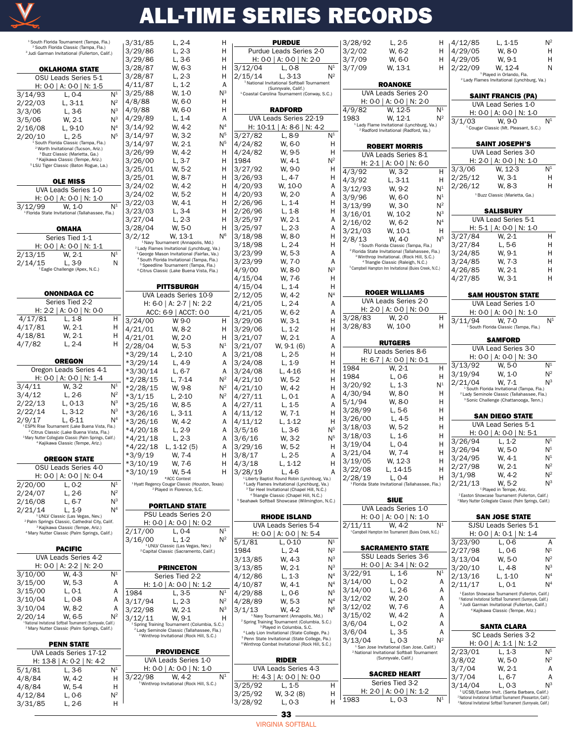

| <sup>1</sup> South Florida Tournament (Tampa, Fla.)<br><sup>2</sup> South Florida Classic (Tampa, Fla.)<br><sup>3</sup> Judi Garman Invitational (Fullerton, Calif.) |                | 3/31/85<br>3/29/86                                    |
|----------------------------------------------------------------------------------------------------------------------------------------------------------------------|----------------|-------------------------------------------------------|
|                                                                                                                                                                      |                | 3/29/86                                               |
| <b>OKLAHOMA STATE</b>                                                                                                                                                |                | 3/28/87                                               |
| OSU Leads Series 5-1                                                                                                                                                 |                | 3/28/87                                               |
| H: 0-0   A: 0-0   N: 1-5                                                                                                                                             |                | 4/11/87                                               |
| 3/14/93<br>L, 0-4                                                                                                                                                    | N <sup>1</sup> | 3/25/88                                               |
| $L, 3-11$<br>2/22/03                                                                                                                                                 | $N^2$          | 4/8/88                                                |
| L, 3-6<br>3/3/06                                                                                                                                                     | NЗ             | 4/9/88                                                |
| 3/5/06<br>W, 2-1                                                                                                                                                     | NЗ             | 4/29/89                                               |
| L, 9-10<br>2/16/08                                                                                                                                                   | N <sup>4</sup> | 3/14/92                                               |
| 2/20/10<br>L, 2-5                                                                                                                                                    | N5             | 3/14/97                                               |
| South Florida Classic (Tampa, Fla.)                                                                                                                                  |                | 3/14/97                                               |
| <sup>2</sup> Worth Invitational (Tucson, Ariz.)                                                                                                                      |                | 3/26/99                                               |
| <sup>3</sup> Buzz Classic (Marietta, Ga.)<br><sup>4</sup> Kajikawa Classic (Tempe, Ariz.)                                                                            |                |                                                       |
| <sup>5</sup> LSU Tiger Classic (Baton Rogue, La.)                                                                                                                    |                | 3/26/00                                               |
|                                                                                                                                                                      |                | 3/25/01                                               |
| <b>OLE MISS</b>                                                                                                                                                      |                | 3/25/01                                               |
| UVA Leads Series 1-0                                                                                                                                                 |                | 3/24/02                                               |
| H: 0-0   A: 0-0   N: 1-0                                                                                                                                             |                | 3/24/02                                               |
|                                                                                                                                                                      |                | 3/22/03                                               |
| 3/12/99<br>W, 1-0<br><sup>1</sup> Florida State Invitational (Tallahassee, Fla.)                                                                                     | N1             | 3/23/03                                               |
|                                                                                                                                                                      |                | 3/27/04                                               |
|                                                                                                                                                                      |                | 3/28/04                                               |
| OMAHA                                                                                                                                                                |                |                                                       |
| Series Tied 1-1                                                                                                                                                      |                | 3/2/12<br><sup>1</sup> Navy Tour                      |
| H: 0-0   A: 0-0   N: 1-1                                                                                                                                             |                | <sup>2</sup> Lady Flames                              |
| 2/13/15<br>W, 2-1                                                                                                                                                    | N <sup>1</sup> | <sup>3</sup> George Mas                               |
| 2/14/15<br>L, 3-9                                                                                                                                                    | Ν              | <sup>4</sup> South Florid<br><sup>5</sup> Speedline   |
| <sup>1</sup> Eagle Challenge (Apex, N.C.)                                                                                                                            |                | <sup>6</sup> Citrus Class                             |
|                                                                                                                                                                      |                |                                                       |
|                                                                                                                                                                      |                | Pľ                                                    |
| <b>ONONDAGA CC</b>                                                                                                                                                   |                | UVA Le                                                |
| Series Tied 2-2                                                                                                                                                      |                | H: 6-0                                                |
| H: 2-2   A: 0-0   N: 0-0                                                                                                                                             |                |                                                       |
|                                                                                                                                                                      |                | ACC: I                                                |
| 4/17/81<br>L, 1-8                                                                                                                                                    | Н              | 3/24/00                                               |
| W, 2-1<br>4/17/81                                                                                                                                                    | Н              | 4/21/01                                               |
| W, 2-1<br>4/18/81                                                                                                                                                    | Н              | 4/21/01                                               |
| $L, 2-4$<br>4/7/82                                                                                                                                                   | Н              | 2/28/04                                               |
|                                                                                                                                                                      |                |                                                       |
|                                                                                                                                                                      |                |                                                       |
| <b>OREGON</b>                                                                                                                                                        |                | $*3/29/14$                                            |
|                                                                                                                                                                      |                | $*3/29/14$                                            |
| Oregon Leads Series 4-1                                                                                                                                              |                | *3/30/14                                              |
| H: 0-0   A: 0-0   N: 1-4                                                                                                                                             |                | *2/28/15                                              |
| $\overline{W}$ , 3-2<br>3/4/11                                                                                                                                       | N <sup>1</sup> | *2/28/15                                              |
| L, 2-6<br>3/4/12                                                                                                                                                     | $N^2$          | $*3/1/15$                                             |
| $L, 0-13$<br>2/22/13                                                                                                                                                 | NЗ             | *3/25/16                                              |
| L, 3-12<br>2/22/14                                                                                                                                                   | NЗ             | *3/26/16                                              |
| 2/9/17<br>$L, 6-11$                                                                                                                                                  | N <sup>4</sup> | *3/26/16                                              |
| <sup>1</sup> ESPN Rise Tournament (Lake Buena Vista, Fla.)                                                                                                           |                |                                                       |
| <sup>2</sup> Citrus Classic (Lake Buena Vista, Fla.)                                                                                                                 |                | *4/20/18                                              |
| <sup>3</sup> Mary Nutter Collegiate Classic (Palm Springs, Calif.)<br><sup>4</sup> Kajikawa Classic (Tempe, Ariz.)                                                   |                | $*4/21/18$                                            |
|                                                                                                                                                                      |                | *4/22/18                                              |
| <b>OREGON STATE</b>                                                                                                                                                  |                | $*3/9/19$                                             |
| OSU Leads Series 4-0                                                                                                                                                 |                | *3/10/19                                              |
|                                                                                                                                                                      |                | *3/10/19                                              |
| H: 0-0   A: 0-0   N: 0-4                                                                                                                                             |                |                                                       |
| 2/20/00<br>L, 0-2                                                                                                                                                    | N <sup>1</sup> | <sup>1</sup> Hyatt Regency O<br><sup>2</sup> Play     |
| 2/24/07<br>L, 2-6                                                                                                                                                    | $N^2$          |                                                       |
| 2/16/08<br>L, 6-7                                                                                                                                                    | NЗ             |                                                       |
| 2/21/14<br>L. 1-9                                                                                                                                                    | $\mathsf{N}^4$ | <b>POR</b>                                            |
| <sup>1</sup> UNLV Classic (Las Vegas, Nev.)                                                                                                                          |                | PSU <sub>L</sub>                                      |
| <sup>2</sup> Palm Springs Classic, Cathedral City, Calif.<br><sup>3</sup> Kajikawa Classic (Tempe, Ariz.)                                                            |                | H: 0-0                                                |
| <sup>4</sup> Mary Nutter Classic (Palm Springs, Calif.)                                                                                                              |                | 2/17/00                                               |
|                                                                                                                                                                      |                | 3/16/00                                               |
| <b>PACIFIC</b>                                                                                                                                                       |                | <sup>1</sup> UNLV CI<br><sup>2</sup> Capital Cla      |
| UVA Leads Series 4-2                                                                                                                                                 |                |                                                       |
| H: 0-0   A: 2-2   N: 2-0                                                                                                                                             |                |                                                       |
| 3/10/00<br>W. 4-3                                                                                                                                                    | $\mathsf{N}^1$ | PI                                                    |
|                                                                                                                                                                      | Α              | Ser                                                   |
| W, 5-3<br>3/15/00                                                                                                                                                    |                | H: 1-0                                                |
| 3/15/00<br>L, 0-1                                                                                                                                                    | Α              | 1984                                                  |
| 3/10/04<br>L, 0-8                                                                                                                                                    | А              | 3/17/94                                               |
| 3/10/04<br>W, 8-2                                                                                                                                                    | A              | 3/22/98                                               |
| 2/20/14<br>W, 6-5                                                                                                                                                    | $N^2$          | 3/12/11                                               |
| <sup>1</sup> National Invitational Softball Tournament (Sunnyvale, Calif.)                                                                                           |                | Spring Training                                       |
| <sup>2</sup> Mary Nutter Classic (Palm Springs, Calif.)                                                                                                              |                | <sup>2</sup> Lady Seminol<br><sup>3</sup> Winthrop In |
|                                                                                                                                                                      |                |                                                       |
| <b>PENN STATE</b><br>UVA Leads Series 17-12                                                                                                                          |                | РR                                                    |

H: 13-8 | A: 0-2 | N: 4-2<br>'81 L, 3-6  $\frac{5}{1/81}$  L, 3-6 N<sup>1</sup><br>4/8/84 W, 4-2 H 4/8/84 W, 4-2 H<br>4/8/84 W, 5-4 H 4/8/84 W, 5-4 H<br>4/12/84 L, 0-6 N<sup>2</sup>  $4/12/84$  L, 0-6 N<sup>2</sup><br>3/31/85 L, 2-6 H

 $3/31/85$ 

| 3/31/85<br>L, 2-4                                                                                                  | H                         |                    | <b>PURDUE</b>                                                                                                    |                     | 3/28/92            | L. 2-5                                                                                                               | H                   |
|--------------------------------------------------------------------------------------------------------------------|---------------------------|--------------------|------------------------------------------------------------------------------------------------------------------|---------------------|--------------------|----------------------------------------------------------------------------------------------------------------------|---------------------|
| 3/29/86<br>L, 2-3                                                                                                  | Η                         |                    | Purdue Leads Series 2-0                                                                                          |                     | 3/2/02             | W. 6-2                                                                                                               | Н                   |
| 3/29/86<br>L, 3-6                                                                                                  | Η                         |                    | H: 0-0   A: 0-0   N: 2-0                                                                                         |                     | 3/7/09             | W, 6-0                                                                                                               | Н                   |
| W, 6-3<br>3/28/87                                                                                                  | Η                         | 3/12/04            | $L, 0-8$                                                                                                         | N <sup>1</sup>      | 3/7/09             | W. 13-1                                                                                                              | Н                   |
| 3/28/87<br>L, 2-3                                                                                                  | Η                         | 2/15/14            | $L, 3-13$                                                                                                        | $N^2$               |                    |                                                                                                                      |                     |
| 4/11/87<br>L, 1-2                                                                                                  | A                         |                    | <sup>1</sup> National Invitational Softball Tournament<br>(Sunnyvale, Calif.)                                    |                     |                    | <b>ROANOKE</b>                                                                                                       |                     |
| 3/25/88<br>W, 1-0                                                                                                  | $\mathsf{N}^3$            |                    | <sup>1</sup> Coastal Carolina Tournament (Conway, S.C.)                                                          |                     |                    | UVA Leads Series 2-0                                                                                                 |                     |
| W. 6-0<br>4/8/88                                                                                                   | H                         |                    |                                                                                                                  |                     |                    | H: 0-0   A: 0-0   N: 2-0                                                                                             | N <sup>1</sup>      |
| 4/9/88<br>W. 6-0<br>4/29/89<br>L. 1-4                                                                              | H<br>Α                    |                    | <b>RADFORD</b><br>UVA Leads Series 22-19                                                                         |                     | 4/9/82<br>1983     | W, 12-5<br>W. 12-1                                                                                                   | $N^2$               |
| 3/14/92<br>W. 4-2                                                                                                  | N <sup>4</sup>            |                    | H: $10-11$   A: 8-6   N: 4-2                                                                                     |                     |                    | <sup>1</sup> Lady Flame Invitational (Lynchburg, Va.)                                                                |                     |
| 3/14/97<br>W. 3-2                                                                                                  | N <sup>5</sup>            | 3/27/82            | L, 8-9                                                                                                           | N <sup>1</sup>      |                    | <sup>2</sup> Radford Invitational (Radford, Va.)                                                                     |                     |
| 3/14/97<br>W. 2-1                                                                                                  | $\mathsf{N}^5$            | 4/24/82            | W. 6-0                                                                                                           | H                   |                    |                                                                                                                      |                     |
| W. 4-2<br>3/26/99                                                                                                  | н                         | 4/24/82            | W. 9-5                                                                                                           | н                   |                    | <b>ROBERT MORRIS</b><br>UVA Leads Series 8-1                                                                         |                     |
| 3/26/00<br>L, 3-7                                                                                                  | Η                         | 1984               | W. 4-1                                                                                                           | $N^2$               |                    | H: 2-1   A: 0-0   N: 6-0                                                                                             |                     |
| 3/25/01<br>W. 5-2                                                                                                  | Η                         | 3/27/92            | W, 9-0                                                                                                           | Н                   | 4/3/92             | W. 3-2                                                                                                               | Н                   |
| 3/25/01<br>W. 8-7                                                                                                  | Η                         | 3/26/93            | L, 4-7                                                                                                           | Н                   | 4/3/92             | $L, 3-11$                                                                                                            | H                   |
| 3/24/02<br>W, 4-2                                                                                                  | Η                         | 4/20/93            | W. 10-0                                                                                                          | Α                   | 3/12/93            | W. 9-2                                                                                                               | N <sup>1</sup>      |
| 3/24/02<br>W. 5-2                                                                                                  | Η                         | 4/20/93            | W, 2-0                                                                                                           | Α                   | 3/9/96             | W. 6-0                                                                                                               | N <sup>1</sup>      |
| 3/22/03<br>W. 4-1                                                                                                  | Η                         | 2/26/96            | L, 1-4                                                                                                           | н                   | 3/13/99            | W, 3-0                                                                                                               | $N^2$               |
| 3/23/03<br>L, 3-4<br>3/27/04<br>L, 2-3                                                                             | Η<br>Η                    | 2/26/96<br>3/25/97 | $L, 1-8$<br>W, 2-1                                                                                               | Н<br>Α              | 3/16/01            | W. 10-2                                                                                                              | $N^3$               |
| 3/28/04<br>W, 5-0                                                                                                  | н                         | 3/25/97            | $L, 2-3$                                                                                                         | Α                   | 2/16/02            | W. 6-2                                                                                                               | N <sup>4</sup>      |
| 3/2/12<br>W. 13-1                                                                                                  | N <sup>6</sup>            | 3/18/98            | W. 8-0                                                                                                           | н                   | 3/21/03            | W. 10-1                                                                                                              | H<br>N <sup>5</sup> |
| <sup>1</sup> Navy Tournament (Annapolis, Md.)                                                                      |                           | 3/18/98            | L. 2-4                                                                                                           | н                   | 2/8/13             | W. 4-0<br><sup>1</sup> South Florida Classic (Tampa, Fla.)                                                           |                     |
| <sup>2</sup> Lady Flames Invitational (Lynchburg, Va.)<br><sup>3</sup> George Mason Invitational (Fairfax, Va.)    |                           | 3/23/99            | W. 5-3                                                                                                           | А                   |                    | <sup>2</sup> Florida State Invitational (Tallahassee, Fla.)<br><sup>3</sup> Winthrop Invitational. (Rock Hill, S.C.) |                     |
| <sup>4</sup> South Florida Invitational (Tampa, Fla.)<br><sup>5</sup> Speedline Tournament (Tampa, Fla.)           |                           | 3/23/99            | W. 7-0                                                                                                           | А                   |                    | <sup>4</sup> Triangle Classic (Raleigh, N.C.)                                                                        |                     |
| <sup>6</sup> Citrus Classic (Lake Buena Vista, Fla.)                                                               |                           | 4/9/00             | W. 8-0                                                                                                           | $\mathsf{N}^3$      |                    | <sup>5</sup> Campbell Hampton Inn Invitational (Buies Creek, N.C.)                                                   |                     |
|                                                                                                                    |                           | 4/15/04            | W. 7-6                                                                                                           | н                   |                    |                                                                                                                      |                     |
| <b>PITTSBURGH</b>                                                                                                  |                           | 4/15/04            | L. 1-4                                                                                                           | н                   |                    | <b>ROGER WILLIAMS</b>                                                                                                |                     |
| UVA Leads Series 10-9                                                                                              |                           | 2/12/05            | W, 4-2                                                                                                           | $\mathsf{N}^4$<br>Α |                    | UVA Leads Series 2-0                                                                                                 |                     |
| H: 6-0   A: 2-7   N: 2-2<br>ACC: 6-9   ACCT: 0-0                                                                   |                           | 4/21/05<br>4/21/05 | L. 2-4<br>W. 6-2                                                                                                 | Α                   |                    | H: 2-0   A: 0-0   N: 0-0                                                                                             |                     |
| 3/24/00<br>W 9-0                                                                                                   | н                         | 3/29/06            | W, 3-1                                                                                                           | н                   | 3/28/83            | W, 2-0                                                                                                               | Н                   |
| 4/21/01<br>W. 8-2                                                                                                  | н                         | 3/29/06            | $L, 1-2$                                                                                                         | н                   | 3/28/83            | W, 10-0                                                                                                              | Н                   |
| 4/21/01<br>W. 2-0                                                                                                  | Н                         | 3/21/07            | W, 2-1                                                                                                           | А                   |                    |                                                                                                                      |                     |
| 2/28/04<br>W. 5-3                                                                                                  | $\mathsf{N}^{\mathtt{1}}$ | 3/21/07            | W, 9-1 (6)                                                                                                       | Α                   |                    | <b>RUTGERS</b>                                                                                                       |                     |
| *3/29/14<br>L. 2-10                                                                                                | Α                         | 3/21/08            | L, 2-5                                                                                                           | н                   |                    | RU Leads Series 8-6                                                                                                  |                     |
| *3/29/14<br>$L, 4-9$                                                                                               | Α                         | 3/24/08            | $L, 1-9$                                                                                                         | н                   | 1984               | H: 6-7   A: 0-0   N: 0-1<br>W. 2-1                                                                                   | Н                   |
| *3/30/14<br>L, 6-7                                                                                                 | Α                         | 3/24/08            | L. 4-16                                                                                                          | н                   | 1984               | L, 0-6                                                                                                               | Н                   |
| *2/28/15<br>$L, 7-14$<br>W, 9-8                                                                                    | $N^2$<br>$N^2$            | 4/21/10<br>4/21/10 | W, 5-2<br>W. 4-2                                                                                                 | н<br>н              | 3/20/92            | $L, 1-3$                                                                                                             | N <sup>1</sup>      |
| *2/28/15<br>*3/1/15<br>$L, 2-10$                                                                                   | $N^2$                     | 4/27/11            | L, 0-1                                                                                                           | Α                   | 4/30/94            | W. 8-0                                                                                                               | Н                   |
| W. 8-5<br>*3/25/16                                                                                                 | Α                         | 4/27/11            | L, 1-5                                                                                                           | А                   | 5/1/94             | W, 8-0                                                                                                               | H                   |
| *3/26/16<br>L, 3-11                                                                                                | Α                         | 4/11/12            | W, 7-1                                                                                                           | н                   | 3/28/99            | L, 5-6                                                                                                               | Н                   |
| *3/26/16<br>W, 4-2                                                                                                 | Α                         | 4/11/12            | L. 1-12                                                                                                          | н                   | 3/26/00            | L, 4-5                                                                                                               | H                   |
| *4/20/18<br>$L, 2-9$                                                                                               | A                         | 3/5/16             | $L, 3-6$                                                                                                         | N <sup>5</sup>      | 3/18/03            | W. 5-2                                                                                                               | Н                   |
| *4/21/18<br>L, 2-3                                                                                                 | A                         | 3/6/16             | W. 3-2                                                                                                           | N <sup>5</sup>      | 3/18/03            | $L, 1-6$<br>$L. 0-4$                                                                                                 | H<br>Н              |
| *4/22/18<br>L, 1-12 (5)                                                                                            | Α                         | 3/29/16            | W. 5-2                                                                                                           | н                   | 3/19/04<br>3/21/04 | W, 7-4                                                                                                               | н                   |
| *3/9/19<br>W, 7-4                                                                                                  | н                         | 3/8/17             | L, 2-5                                                                                                           | Α                   | 3/19/05            | W. 12-3                                                                                                              | н                   |
| *3/10/19<br>W, 7-6                                                                                                 | н                         | 4/3/18             | L, 1-12                                                                                                          | н                   | 3/22/08            | L, 14-15                                                                                                             | н                   |
| *3/10/19<br>W. 5-4<br>*ACC Contest                                                                                 | н                         | 3/28/19            | L. 4-6<br><sup>1</sup> Liberty Baptist Round Robin (Lynchburg, Va.)                                              | А                   | 2/28/19            | L. 0-4                                                                                                               | н                   |
| <sup>1</sup> Hyatt Regency Cougar Classic (Houston, Texas)<br><sup>2</sup> Played in Florence, S.C.                |                           |                    | <sup>2</sup> Lady Flames Invitational (Lynchburg, Va.)<br><sup>3</sup> Tar Heel Invitational (Chapel Hill, N.C.) |                     |                    | <sup>1</sup> Florida State Invitational (Tallahassee, Fla.)                                                          |                     |
|                                                                                                                    |                           |                    | <sup>4</sup> Triangle Classic (Chapel Hill, N.C.)                                                                |                     |                    | <b>SIUE</b>                                                                                                          |                     |
| <b>PORTLAND STATE</b>                                                                                              |                           |                    | <sup>5</sup> Seahawk Softball Showcase (Wilmington, N.C.)                                                        |                     |                    | UVA Leads Series 1-0                                                                                                 |                     |
| PSU Leads Series 2-0                                                                                               |                           |                    | <b>RHODE ISLAND</b>                                                                                              |                     |                    | H: 0-0   A: 0-0   N: 1-0                                                                                             |                     |
| H: 0-0   A: 0-0   N: 0-2                                                                                           |                           |                    | UVA Leads Series 5-4                                                                                             |                     | 2/11/11            | W. 4-2                                                                                                               | N <sup>1</sup>      |
| 2/17/00<br>L, 0-4                                                                                                  | N <sup>1</sup><br>$N^2$   |                    | H: 0-0   A: 0-0   N: 5-4                                                                                         |                     |                    | <sup>1</sup> Campbell Hampton Inn Tournament (Buies Creek, N.C.)                                                     |                     |
| 3/16/00<br>L. 1-2<br><sup>1</sup> UNLV Classic (Las Vegas, Nev.)                                                   |                           | 5/1/81             | L, 0-10                                                                                                          | $N^{\overline{1}}$  |                    | <b>SACRAMENTO STATE</b>                                                                                              |                     |
| <sup>2</sup> Capital Classic (Sacramento, Calif.)                                                                  |                           | 1984               | $L, 2-4$                                                                                                         | $\mathsf{N}^2$      |                    | SSU Leads Series 3-6                                                                                                 |                     |
|                                                                                                                    |                           | 3/13/85            | W. 4-3                                                                                                           | $N^3$<br>$N^3$      |                    | H: 0-0   A: 3-4   N: 0-2                                                                                             |                     |
| <b>PRINCETON</b><br>Series Tied 2-2                                                                                |                           | 3/13/85<br>4/12/86 | W. 2-1<br>$L, 1-3$                                                                                               | N <sup>4</sup>      | 3/22/91            | L. 1-6                                                                                                               | N <sup>1</sup>      |
| H: 1-0   A: 0-0   N: 1-2                                                                                           |                           | 4/10/87            | W. 4-1                                                                                                           | N <sup>4</sup>      | 3/14/00            | $L, 0-2$                                                                                                             | Α                   |
| 1984<br>L. 3-5                                                                                                     | N <sup>1</sup>            | 4/29/88            | L. 0-6                                                                                                           | N <sup>5</sup>      | 3/14/00            | L, 2-6                                                                                                               | А                   |
| 3/17/94<br>L, 2-3                                                                                                  | $\mathsf{N}^2$            | 4/28/89            | W. 5-3                                                                                                           | N <sup>4</sup>      | 3/12/02            | W, 2-0                                                                                                               | А                   |
| 3/22/98<br>W, 2-1                                                                                                  | $\mathsf{N}^3$            | 3/1/13             | W. 4-2                                                                                                           | N <sup>6</sup>      | 3/12/02            | W. 7-6                                                                                                               | А                   |
| 3/12/11<br>W. 9-1                                                                                                  | н                         |                    | <sup>1</sup> Navy Tournament (Annapolis, Md.)<br><sup>2</sup> Spring Training Tournament (Columbia, S.C.)        |                     | 3/15/02            | W. 4-2                                                                                                               | А                   |
| <sup>1</sup> Spring Training Tournament (Columbia, S.C.)<br><sup>2</sup> Lady Seminole Classic (Tallahassee, Fla.) |                           |                    | <sup>3</sup> Played in Columbia, S.C.<br><sup>4</sup> Lady Lion Invitational (State College, Pa.)                |                     | 3/6/04<br>3/6/04   | L. 0-2<br>L, 3-5                                                                                                     | А                   |
| <sup>3</sup> Winthrop Invitational (Rock Hill, S.C.)                                                               |                           |                    | <sup>5</sup> Penn State Invitational (State College, Pa.)                                                        |                     | 3/13/04            | L. 0-3                                                                                                               | $N^2$               |
|                                                                                                                    |                           |                    | <sup>6</sup> Winthrop Combat Invitational (Rock Hill, S.C.)                                                      |                     |                    | <sup>1</sup> San Jose Invitational (San Jose, Calif.)                                                                |                     |
| PROVIDENCE<br>UVA Leads Series 1-0                                                                                 |                           |                    | <b>RIDER</b>                                                                                                     |                     |                    | <sup>2</sup> National Invitational Softball Tournament<br>(Sunnyvale, Calif.)                                        |                     |
| H: 0-0   A: 0-0   N: 1-0                                                                                           |                           |                    | UVA Leads Series 4-3                                                                                             |                     |                    |                                                                                                                      |                     |
| 3/22/98<br>W. 4-2                                                                                                  | N <sup>1</sup>            |                    | H: 4-3   A: 0-0   N: 0-0                                                                                         |                     |                    | SACRED HEART                                                                                                         |                     |
| <sup>1</sup> Winthrop Invitational (Rock Hill, S.C.)                                                               |                           | 3/25/92            | L. 1-5                                                                                                           | н                   |                    | Series Tied 3-2                                                                                                      |                     |
|                                                                                                                    |                           | 3/25/92            | W, 3-2 (8)                                                                                                       | н                   |                    | H: 2-0   A: 0-0   N: 1-2                                                                                             | N <sup>1</sup>      |
|                                                                                                                    |                           | 3/28/92            | $L. 0-3$                                                                                                         | н                   | 1983               | $L, 0-3$                                                                                                             |                     |

| н                                                 | L, 1-15<br>4/12/85                                                                                                                      | $N^2$                     |
|---------------------------------------------------|-----------------------------------------------------------------------------------------------------------------------------------------|---------------------------|
| $\overline{ }$<br>H                               | 4/29/05<br>W, 8-0                                                                                                                       | н                         |
| )<br>н                                            | 4/29/05<br>W, 9-1                                                                                                                       | н                         |
| н<br>1                                            | 2/22/09<br>W, 12-4                                                                                                                      | N                         |
|                                                   | <sup>1</sup> Played in Orlando, Fla.                                                                                                    |                           |
|                                                   | <sup>2</sup> Lady Flames Invitational (Lynchburg, Va.)                                                                                  |                           |
| E                                                 |                                                                                                                                         |                           |
| ies 2-0                                           | <b>SAINT FRANCIS (PA)</b>                                                                                                               |                           |
| N: 2-0                                            | <b>UVA Lead Series 1-0</b>                                                                                                              |                           |
| $\mathsf{N}^{\mathsf{1}}$<br>5                    |                                                                                                                                         |                           |
| $N^2$<br>1                                        | H: 0-0   A: 0-0   N: 1-0                                                                                                                |                           |
| Lynchburg, Va.)                                   | 3/1/03<br>W, 9-0                                                                                                                        | N <sup>1</sup>            |
| adford, Va.)                                      | <sup>1</sup> Cougar Classic (Mt. Pleasant, S.C.)                                                                                        |                           |
|                                                   |                                                                                                                                         |                           |
|                                                   | <b>SAINT JOSEPH'S</b>                                                                                                                   |                           |
| RRIS                                              | UVA Lead Series 3-0                                                                                                                     |                           |
| ies 8-1                                           |                                                                                                                                         |                           |
| N: 6-0                                            | H: 2-0   A: 0-0   N: 1-0                                                                                                                |                           |
| H<br>2                                            | 3/3/06<br>W, 12-3                                                                                                                       | $\mathsf{N}^{\mathsf{1}}$ |
| $\mathbf{1}$<br>н                                 | W, 3-1<br>2/25/12                                                                                                                       | H                         |
| $\mathsf{N}^{\mathsf{1}}$                         | W, 8-3<br>2/26/12                                                                                                                       | н                         |
| $\overline{\phantom{a}}$                          | <sup>1</sup> Buzz Classic (Marietta, Ga.)                                                                                               |                           |
| )<br>N1                                           |                                                                                                                                         |                           |
| )<br>$N^2$                                        |                                                                                                                                         |                           |
| $\mathsf{N}^3$<br>2                               | <b>SALISBURY</b>                                                                                                                        |                           |
| $\overline{\phantom{a}}$<br>N <sup>4</sup>        | UVA Lead Series 5-1                                                                                                                     |                           |
|                                                   | H: 5-1   A: 0-0   N: 1-0                                                                                                                |                           |
| 1<br>н                                            | W, 2-1                                                                                                                                  | Н                         |
| N <sup>5</sup><br>)                               | 3/27/84                                                                                                                                 |                           |
| Tampa, Fla.)                                      | $L, 5-6$<br>3/27/84                                                                                                                     | н                         |
| allahassee, Fla.)<br>ock Hill, S.C.)              | W, 9-1<br>3/24/85                                                                                                                       | H                         |
| eigh, N.C.)                                       | W, 7-3<br>3/24/85                                                                                                                       | н                         |
| I (Buies Creek, N.C.)                             | W, 2-1<br>4/26/85                                                                                                                       | H                         |
|                                                   |                                                                                                                                         |                           |
|                                                   | 4/27/85<br>W, 3-1                                                                                                                       | н                         |
|                                                   |                                                                                                                                         |                           |
| <b>JAMS</b>                                       | <b>SAM HOUSTON STATE</b>                                                                                                                |                           |
| ies 2-0                                           | <b>UVA Lead Series 1-0</b>                                                                                                              |                           |
| N: 0-0                                            | H: 0-0   A: 0-0   N: 1-0                                                                                                                |                           |
| н                                                 |                                                                                                                                         |                           |
| н<br>0                                            | 3/11/94<br>W, 7-0                                                                                                                       | $\mathsf{N}^{\mathsf{1}}$ |
|                                                   | <sup>1</sup> South Florida Classic (Tampa, Fla.)                                                                                        |                           |
|                                                   | <b>SAMFORD</b>                                                                                                                          |                           |
| S                                                 |                                                                                                                                         |                           |
| es 8-6                                            | <b>UVA Lead Series 3-0</b>                                                                                                              |                           |
| N: O-1                                            | H: 0-0   A: 0-0   N: 3-0                                                                                                                |                           |
| н                                                 | 3/13/92<br>W, 5-0                                                                                                                       | N <sup>1</sup>            |
|                                                   | 3/19/94<br>W, 1-0                                                                                                                       | $N^2$                     |
| н                                                 | W, 7-1<br>2/21/04                                                                                                                       | $N^3$                     |
|                                                   |                                                                                                                                         |                           |
| $\mathsf{N}^{\mathsf{1}}$                         |                                                                                                                                         |                           |
|                                                   | <sup>1</sup> South Florida Invitational (Tampa, Fla.)                                                                                   |                           |
| )<br>н                                            | <sup>2</sup> Lady Seminole Classic (Tallahassee, Fla.)                                                                                  |                           |
| $\mathbf{)}$<br>н                                 | <sup>3</sup> Sonic Challenge (Chattanooga, Tenn.)                                                                                       |                           |
| н                                                 |                                                                                                                                         |                           |
| 5<br>н                                            | <b>SAN DIEGO STATE</b>                                                                                                                  |                           |
| $\overline{ }$<br>н                               | <b>UVA Lead Series 5-1</b>                                                                                                              |                           |
| н                                                 | H: 0-0   A: 0-0   N: 5-1                                                                                                                |                           |
|                                                   | 3/26/94<br>$L, 1-2$                                                                                                                     | N <sup>1</sup>            |
| н                                                 |                                                                                                                                         | $\mathsf{N}^{\mathtt{1}}$ |
| Н                                                 | W, 5-0<br>3/26/94                                                                                                                       |                           |
| 3<br>н                                            | 3/24/95<br>W, 4-1                                                                                                                       | $\mathsf{N}^1$            |
| .5<br>н                                           | 2/27/98<br>W, 2-1                                                                                                                       | $N^2$                     |
|                                                   | 3/1/98<br>W. 4-2                                                                                                                        | $\mathsf{N}^2$            |
| н<br>allahassee, Fla.)                            | W, 5-2<br>2/21/13                                                                                                                       | N <sup>3</sup>            |
|                                                   | <sup>1</sup> Played in Tempe, Ariz.                                                                                                     |                           |
|                                                   | <sup>2</sup> Easton Showcase Tournament (Fullerton, Calif.)                                                                             |                           |
|                                                   | <sup>3</sup> Mary Nutter Collegiate Classic (Palm Springs, Calif.)                                                                      |                           |
| ies 1-0                                           |                                                                                                                                         |                           |
| N: 1-0                                            | <b>SAN JOSE STATE</b>                                                                                                                   |                           |
| N <sup>1</sup>                                    | SJSU Leads Series 5-1                                                                                                                   |                           |
| $\overline{\phantom{0}}$<br>t (Buies Creek, N.C.) | H: 0-0   A: 0-1   N: 1-4                                                                                                                |                           |
|                                                   |                                                                                                                                         |                           |
| <b>STATE</b>                                      | 3/23/90<br>L. 0-6                                                                                                                       | А                         |
|                                                   | 2/27/98<br>L, 0-6                                                                                                                       | $\mathsf{N}^{\mathsf{1}}$ |
| ies 3-6                                           | 3/13/04<br>W, 5-0                                                                                                                       | $\mathsf{N}^2$            |
| N: 0-2                                            | 3/20/10<br>L. 4-8                                                                                                                       | N3                        |
| N <sup>1</sup>                                    | 2/13/16<br>L, 1-10                                                                                                                      | $\mathsf{N}^4$            |
| Α                                                 |                                                                                                                                         | $\mathsf{N}^4$            |
| Α                                                 | 2/11/17<br>L. 0-1                                                                                                                       |                           |
| Α                                                 | <sup>1</sup> Easton Showcase Tournament (Fullerton, Calif.)                                                                             |                           |
|                                                   | <sup>2</sup> National Invitational Softball Tournament (Sunnyvale, Calif.)<br><sup>3</sup> Judi Garman Invitational (Fullerton, Calif.) |                           |
| ì<br>Α                                            | <sup>4</sup> Kajikawa Classic (Tempe, Ariz.)                                                                                            |                           |
| $\overline{ }$<br>Α                               |                                                                                                                                         |                           |
| Α                                                 |                                                                                                                                         |                           |
| A                                                 | SANTA CLARA                                                                                                                             |                           |
| $N^2$                                             | SC Leads Series 3-2                                                                                                                     |                           |
| an Jose, Calif.)                                  | H: 0-0   A: 1-1   N: 1-2                                                                                                                |                           |
| all Tournament                                    | L, 1-3<br>2/23/01                                                                                                                       | N <sup>1</sup>            |
| lif.)                                             | W, 5-0<br>3/8/02                                                                                                                        | $\mathsf{N}^2$            |
|                                                   |                                                                                                                                         | Α                         |
| :ART                                              | W, 2-1<br>3/7/04                                                                                                                        |                           |
| $3-2$                                             | 3/7/04<br>L. 6-7                                                                                                                        | А                         |
|                                                   | 3/14/04<br>L, 0-3                                                                                                                       | N3                        |
| $N: 1-2$<br>N <sup>1</sup>                        | <sup>1</sup> UCSB/Easton Invit. (Santa Barbara, Calif.)<br><sup>2</sup> National Invitational Softball Tournament (Pleasanton, Calif.)  |                           |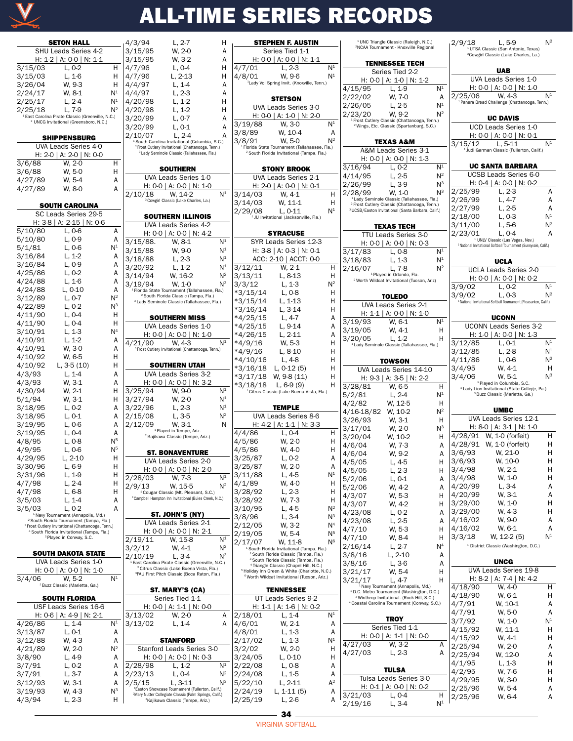

|         | <b>SETON HALL</b>                                                                                                     | 4/3/94                    | $L, 2-7$                                                                                                                  | н            | <b>STEPHEN F. AUSTIN</b>                                                                              |                                  |            | <sup>1</sup> UNC Triangle Classic (Raleigh, N.C.)<br><sup>2</sup> NCAA Tournament - Knoxville Regional            |                | 2/9/18  | L, 5-9                                                                                                                    | Νř                  |
|---------|-----------------------------------------------------------------------------------------------------------------------|---------------------------|---------------------------------------------------------------------------------------------------------------------------|--------------|-------------------------------------------------------------------------------------------------------|----------------------------------|------------|-------------------------------------------------------------------------------------------------------------------|----------------|---------|---------------------------------------------------------------------------------------------------------------------------|---------------------|
|         | SHU Leads Series 4-2                                                                                                  | 3/15/95                   | W. 2-0                                                                                                                    | Α            | Series Tied 1-1                                                                                       |                                  |            |                                                                                                                   |                |         | <sup>1</sup> UTSA Classic (San Antonio, Texas)<br><sup>2</sup> Cowgirl Classic (Lake Charles, La.)                        |                     |
|         | H: 1-2   A: 0-0   N: 1-1                                                                                              | 3/15/95                   | W. 3-2                                                                                                                    | Α            | H: 0-0   A: 0-0   N: 1-1                                                                              |                                  |            | <b>TENNESSEE TECH</b>                                                                                             |                |         |                                                                                                                           |                     |
| 3/15/03 | $L, 0-2$                                                                                                              | H<br>4/7/96               | $L, 0-4$                                                                                                                  | 4/7/01<br>н  | $L, 2-3$                                                                                              | N <sup>1</sup>                   |            |                                                                                                                   |                |         | <b>UAB</b>                                                                                                                |                     |
| 3/15/03 | $L, 1-6$                                                                                                              | 4/7/96<br>н               | $L, 2-13$                                                                                                                 | Н<br>4/8/01  | W. 9-6                                                                                                | N <sup>1</sup>                   |            | Series Tied 2-2                                                                                                   |                |         |                                                                                                                           |                     |
| 3/26/04 | W. 9-3                                                                                                                | 4/4/97<br>н               | $L, 1-4$                                                                                                                  | Α            | <sup>1</sup> Lady Vol Spring Invit. (Knoxville, Tenn.)                                                |                                  |            | H: $0-0$   A: $1-0$   N: $1-2$                                                                                    |                |         | UVA Leads Series 1-0                                                                                                      |                     |
| 2/24/17 | W. 8-1                                                                                                                | N <sup>1</sup><br>4/4/97  | $L, 2-3$                                                                                                                  | Α            |                                                                                                       |                                  | 4/15/95    | $L, 1-9$                                                                                                          | N <sup>1</sup> |         | H: 0-0   A: 0-0   N: 1-0                                                                                                  |                     |
| 2/25/17 | $L, 2-4$                                                                                                              | N <sup>1</sup><br>4/20/98 | $L, 1-2$                                                                                                                  | н            | <b>STETSON</b>                                                                                        |                                  | 2/22/02    | W, 7-0                                                                                                            | Α              | 2/25/06 | W. 4-3                                                                                                                    | N <sup>1</sup>      |
|         |                                                                                                                       | $N^2$                     |                                                                                                                           |              | UVA Leads Series 3-0                                                                                  |                                  | 2/26/05    | $L, 2-5$                                                                                                          | N <sup>1</sup> |         | <sup>1</sup> Panera Bread Challenge (Chattanooga, Tenn.)                                                                  |                     |
| 2/25/18 | $L, 7-9$<br>East Carolina Pirate Classic (Greenville, N.C.)                                                           | 4/20/98                   | $L, 1-2$                                                                                                                  | Н            | H: 0-0   A: 1-0   N: 2-0                                                                              |                                  | 2/23/20    | W. 9-2                                                                                                            | $N^2$          |         |                                                                                                                           |                     |
|         | <sup>2</sup> UNCG Invitational (Greensboro, N.C.)                                                                     | 3/20/99                   | $L, 0-7$                                                                                                                  | A<br>3/19/88 | W, 3-0                                                                                                | N <sup>1</sup>                   |            | <sup>1</sup> Frost Cutlery Classic (Chattanooga, Tenn.)                                                           |                |         | <b>UC DAVIS</b>                                                                                                           |                     |
|         |                                                                                                                       | 3/20/99                   | $L, 0-1$                                                                                                                  | A<br>3/8/89  |                                                                                                       |                                  |            | <sup>2</sup> Wings, Etc. Classic (Spartanburg, S.C.)                                                              |                |         | UCD Leads Series 1-0                                                                                                      |                     |
|         | <b>SHIPPENSBURG</b>                                                                                                   | 2/10/07                   | $L, 2-4$                                                                                                                  | A            | W, 10-4                                                                                               | Α<br>$N^2$                       |            |                                                                                                                   |                |         | H: $0-0$   A: $0-0$   N: $0-1$                                                                                            |                     |
|         | UVA Leads Series 4-0                                                                                                  |                           | <sup>1</sup> South Carolina Invitational (Columbia, S.C.)<br><sup>2</sup> Frost Cutlery Invitational (Chattanooga, Tenn.) | 3/8/91       | W. 5-0<br><sup>1</sup> Florida State Tournament (Tallahassee, Fla.)                                   |                                  |            | <b>TEXAS A&amp;M</b>                                                                                              |                | 3/15/12 | $L, 5-11$                                                                                                                 | N <sup>1</sup>      |
|         | H: 2-0   A: 2-0   N: 0-0                                                                                              |                           | <sup>3</sup> Lady Seminole Classic (Tallahassee, Fla.)                                                                    |              | <sup>2</sup> South Florida Invitational (Tampa, Fla.)                                                 |                                  |            | A&M Leads Series 3-1                                                                                              |                |         | <sup>1</sup> Judi Garman Classic (Fullerton, Calif.)                                                                      |                     |
| 3/6/88  | W. 2-0                                                                                                                | н                         |                                                                                                                           |              |                                                                                                       |                                  |            | H: $0-0$   A: $0-0$   N: 1-3                                                                                      |                |         |                                                                                                                           |                     |
| 3/6/88  | W. 5-0                                                                                                                | Η                         | <b>SOUTHERN</b>                                                                                                           |              | <b>STONY BROOK</b>                                                                                    |                                  | 3/16/94    | $L, 0-2$                                                                                                          | N <sup>1</sup> |         | <b>UC SANTA BARBARA</b>                                                                                                   |                     |
| 4/27/89 | W. 5-4                                                                                                                | Α                         | UVA Leads Series 1-0                                                                                                      |              | UVA Leads Series 2-1                                                                                  |                                  | 4/14/95    | $L, 2-5$                                                                                                          | $N^2$          |         | <b>UCSB Leads Series 6-0</b>                                                                                              |                     |
| 4/27/89 | W. 8-0                                                                                                                | Α                         | H: 0-0   A: 0-0   N: 1-0                                                                                                  |              | H: 2-0   A: 0-0   N: 0-1                                                                              |                                  | 2/26/99    | $L, 3-9$                                                                                                          | $N^3$          |         | H: $0-4$   A: $0-0$   N: $0-2$                                                                                            |                     |
|         |                                                                                                                       | 2/10/18                   | $N^1$<br>W. 14-2                                                                                                          | 3/14/03      | W, 4-1                                                                                                | н                                | 2/28/99    | W. 1-0                                                                                                            | $N^3$          | 2/25/99 | $L, 2-3$                                                                                                                  | A                   |
|         | <b>SOUTH CAROLINA</b>                                                                                                 |                           | <sup>3</sup> Cowgirl Classic (Lake Charles, La.)                                                                          | 3/14/03      | W, 11-1                                                                                               | Н                                |            | <sup>1</sup> Lady Seminole Classic (Tallahassee, Fla.)<br><sup>2</sup> Frost Cutlery Classic (Chattanooga, Tenn.) |                | 2/26/99 | $L, 4-7$                                                                                                                  |                     |
|         | SC Leads Series 29-5                                                                                                  |                           |                                                                                                                           | 2/29/08      | $L, 0-11$                                                                                             | N <sup>1</sup>                   |            | <sup>3</sup> UCSB/Easton Invitational (Santa Barbara, Calif.)                                                     |                | 2/27/99 | L, 2-5                                                                                                                    |                     |
|         |                                                                                                                       |                           | <b>SOUTHERN ILLINOIS</b>                                                                                                  |              | <sup>1</sup> JU Invitational (Jacksonville, Fla.)                                                     |                                  |            |                                                                                                                   |                | 2/18/00 | $L, 0-3$                                                                                                                  | N <sup>1</sup>      |
|         | H: 3-8   A: 2-15   N: 0-6                                                                                             |                           | UVA Leads Series 4-2                                                                                                      |              |                                                                                                       |                                  |            | <b>TEXAS TECH</b>                                                                                                 |                | 3/11/00 | L, 5-6                                                                                                                    | $N^2$               |
| 5/10/80 | L, 0-6                                                                                                                | A                         | H: $0-0$   A: $0-0$   N: 4-2                                                                                              |              | <b>SYRACUSE</b>                                                                                       |                                  |            | TTU Leads Series 3-0                                                                                              |                | 2/23/01 | $L, 0-4$                                                                                                                  |                     |
| 5/10/80 | $L, 0-9$                                                                                                              | Α<br>$3/15/88$ .          | N <sup>1</sup><br>W. 8-1                                                                                                  |              | SYR Leads Series 12-3                                                                                 |                                  |            | H: $0-0$   A: $0-0$   N: $0-3$                                                                                    |                |         | <sup>1</sup> UNLV Classic (Las Vegas, Nev.)<br><sup>2</sup> National Invitational Softball Tournament (Sunnyvale, Calif.) |                     |
| 5/1/81  | $L, 0-6$                                                                                                              | $\mathsf{N}^1$<br>3/15/88 | W, 9-0<br>N <sup>1</sup>                                                                                                  |              | H: $3-8$   A: $0-3$   N: $0-1$                                                                        |                                  | 3/17/83    | $L, 0-8$                                                                                                          | N <sup>1</sup> |         |                                                                                                                           |                     |
| 3/16/84 | $L, 1-2$                                                                                                              | А<br>3/18/88              | $L, 2-3$<br>N <sup>1</sup>                                                                                                |              | ACC: 2-10   ACCT: 0-0                                                                                 |                                  | 3/18/83    | $L, 1-3$                                                                                                          | N <sup>1</sup> |         | <b>UCLA</b>                                                                                                               |                     |
| 3/16/84 | $L, 0-9$                                                                                                              | Α<br>3/20/92              | $L, 1-2$<br>N <sup>1</sup>                                                                                                | 3/12/11      | W. 2-1                                                                                                | H                                | 2/16/07    | $L, 7-8$                                                                                                          | $N^2$          |         | <b>UCLA Leads Series 2-0</b>                                                                                              |                     |
| 4/25/86 | $L, 0-2$                                                                                                              | А<br>3/14/94              | $N^2$<br>W, 16-2                                                                                                          | 3/13/11      | $L, 8-13$                                                                                             | н                                |            | <sup>1</sup> Played in Orlando, Fla.                                                                              |                |         |                                                                                                                           |                     |
| 4/24/88 | $L, 1-6$                                                                                                              | А<br>3/19/94              | $N^3$<br>W. 1-0                                                                                                           | 3/3/12       | $L, 1-3$                                                                                              | $N^2$                            |            | <sup>2</sup> Worth Wildcat Invitational (Tucson, Ariz)                                                            |                |         | H: $0-0$   A: $0-0$   N: $0-2$                                                                                            |                     |
| 4/24/88 | $L, 0-10$                                                                                                             | Α                         | <sup>1</sup> Florida State Tournament (Tallahassee, Fla.)                                                                 | $*3/15/14$   | $L, 0-8$                                                                                              | н                                |            |                                                                                                                   |                | 3/9/02  | $L, 0-2$                                                                                                                  | N <sup>1</sup>      |
| 3/12/89 | $L, 0-7$                                                                                                              | $N^2$                     | <sup>2</sup> South Florida Classic (Tampa, Fla.)<br><sup>3</sup> Lady Seminole Classic (Tallahassee, Fla.)                | *3/15/14     | L, 1-13                                                                                               | Η                                |            | <b>TOLEDO</b>                                                                                                     |                | 3/9/02  | $L, 0-3$<br>National Invitational Softball Tournament (Pleasanton, Calif.)                                                | $N^2$               |
| 4/22/89 | $L, 0-2$                                                                                                              | $N^3$                     |                                                                                                                           | $*3/16/14$   | $L, 3-14$                                                                                             | н                                |            | UVA Leads Series 2-1                                                                                              |                |         |                                                                                                                           |                     |
| 4/11/90 | $L, 0-4$                                                                                                              | н                         | <b>SOUTHERN MISS</b>                                                                                                      | $*4/25/15$   | $L, 4-7$                                                                                              | А                                |            | H: $1-1$   A: $0-0$   N: $1-0$                                                                                    |                |         | <b>UCONN</b>                                                                                                              |                     |
| 4/11/90 | $L, 0-4$                                                                                                              | Η                         | UVA Leads Series 1-0                                                                                                      | *4/25/15     | $L, 9-14$                                                                                             | А                                | 3/19/93    | W. 6-1                                                                                                            | N <sup>1</sup> |         | <b>UCONN Leads Series 3-2</b>                                                                                             |                     |
| 3/10/91 | $L, 1-3$                                                                                                              | N <sup>4</sup>            | H: 0-0   A: 0-0   N: 1-0                                                                                                  | $*4/26/15$   | $L, 2-11$                                                                                             | А                                | 3/19/05    | W, 4-1                                                                                                            | Н              |         | H: 1-0   A: 0-0   N: 1-3                                                                                                  |                     |
| 4/10/91 | $L, 1-2$                                                                                                              | Α<br>4/21/90              | N <sup>1</sup><br>W. 4-3                                                                                                  | $*4/9/16$    | W. 5-3                                                                                                | Н                                | 3/20/05    | $L, 1-2$                                                                                                          | H              | 3/12/85 | $L, 0-1$                                                                                                                  | N <sup>1</sup>      |
| 4/10/91 | W. 3-0                                                                                                                | А                         | <sup>5</sup> Frost Cutlery Invitational (Chattanooga, Tenn.)                                                              | $*4/9/16$    | $L, 8-10$                                                                                             | н                                |            | <sup>1</sup> Lady Seminole Classic (Tallahassee, Fla.)                                                            |                | 3/12/85 | $L, 2-8$                                                                                                                  | $\mathsf{N}^1$      |
| 4/10/92 | W. 6-5                                                                                                                | Η                         |                                                                                                                           | *4/10/16     | $L, 4-8$                                                                                              | Η                                |            |                                                                                                                   |                | 4/11/86 | L, 0-6                                                                                                                    | $N^2$               |
| 4/10/92 | L, $3-5(10)$                                                                                                          | Η                         | <b>SOUTHERN UTAH</b>                                                                                                      | $*3/16/18$   |                                                                                                       | Η                                |            | <b>TOWSON</b>                                                                                                     |                | 3/4/95  | W. 4-1                                                                                                                    | Н                   |
| 4/3/93  | $L, 1-4$                                                                                                              | Α                         | UVA Leads Series 3-2                                                                                                      |              | L, $0-12(5)$                                                                                          | H                                |            | UVA Leads Series 14-10                                                                                            |                |         |                                                                                                                           | $N^3$               |
| 4/3/93  | W. 3-1                                                                                                                | Α                         | H: 0-0   A: 0-0   N: 3-2                                                                                                  |              | $*3/17/18$ W, 9-8 (11)                                                                                |                                  |            | H: 9-3   A: 3-5   N: 2-2                                                                                          |                | 3/4/06  | W, 5-1<br><sup>1</sup> Played in Columbia, S.C.                                                                           |                     |
| 4/30/94 | W, 2-1                                                                                                                | Η<br>3/25/94              | W. 9-0<br>N <sup>1</sup>                                                                                                  | *3/18/18     | L, 6-9 (9)<br><sup>1</sup> Citrus Classic (Lake Buena Vista, Fla.)                                    | н                                | 3/28/81    | W, 6-5                                                                                                            | Н              |         | <sup>2</sup> Lady Lion Invitational (State College, Pa.)                                                                  |                     |
| 5/1/94  | W. 3-1                                                                                                                | н<br>3/27/94              | N <sup>1</sup><br>W. 2-0                                                                                                  |              |                                                                                                       |                                  | 5/2/81     | $L, 2-4$                                                                                                          | N <sup>1</sup> |         | <sup>3</sup> Buzz Classic (Marietta, Ga.)                                                                                 |                     |
| 3/18/95 | $L, 0-2$                                                                                                              | 3/22/96<br>Α              | $L, 2-3$<br>N <sup>1</sup>                                                                                                |              | <b>TEMPLE</b>                                                                                         |                                  | 4/2/82     | W, 12-5                                                                                                           | н              |         |                                                                                                                           |                     |
| 3/18/95 | $L, 0-1$                                                                                                              | 2/15/08<br>Α              | $N^2$<br>$L, 3-5$                                                                                                         |              | <b>UVA Leads Series 8-6</b>                                                                           |                                  | 4/16-18/82 | W. 10-2                                                                                                           | $N^2$          |         | <b>UMBC</b>                                                                                                               |                     |
| 3/19/95 | $L, 0-6$                                                                                                              | Α<br>2/12/09              | W. 3-1                                                                                                                    | N            | H: 4-2   A: 1-1   N: 3-3                                                                              |                                  | 3/26/93    | W, 3-1                                                                                                            | Н              |         | UVA Leads Series 12-1                                                                                                     |                     |
| 3/19/95 | $L, 0-4$                                                                                                              | Α                         | <sup>1</sup> Played in Tempe, Ariz.                                                                                       | 4/4/86       | $L, 0-4$                                                                                              | Н                                | 3/17/01    | W, 2-0                                                                                                            | $N^3$          |         | H: 8-0   A: 3-1   N: 1-0                                                                                                  |                     |
| 4/8/95  | $L, 0-8$                                                                                                              | N <sup>5</sup>            | <sup>2</sup> Kajikawa Classic (Tempe, Ariz.)                                                                              | 4/5/86       | W, 2-0                                                                                                | н                                | 3/20/04    | W, 10-2                                                                                                           | Н              |         | 4/28/91 W, 1-0 (forfeit)                                                                                                  | H                   |
| 4/9/95  | $L, 0-6$                                                                                                              | N <sup>5</sup>            |                                                                                                                           | 4/5/86       | W. 4-0                                                                                                | н                                | 4/6/04     | W, 7-3                                                                                                            | A              |         | 4/28/91 W, 1-0 (forfeit)                                                                                                  | Н                   |
| 4/29/95 | $L, 2-10$                                                                                                             | н                         | <b>ST. BONAVENTURE</b>                                                                                                    | 3/25/87      | $L.0-2$                                                                                               | Α                                | 4/6/04     | W, 9-2                                                                                                            | Α              | 3/6/93  | W, 21-0                                                                                                                   | Н<br>$\overline{1}$ |
| 3/30/96 | L, 6-9                                                                                                                | н                         | UVA Leads Series 2-0                                                                                                      | 3/25/87      | W, 2-0                                                                                                | Α                                | 4/5/05     | L, 4-5                                                                                                            | H              | 3/6/93  | W, 10-0                                                                                                                   |                     |
| 3/31/96 | L, 1-9                                                                                                                | н                         | H: 0-0   A: 0-0   N: 2-0                                                                                                  | 3/11/88      | L, 4-5                                                                                                | N <sup>1</sup>                   | 4/5/05     | $L, 2-3$                                                                                                          | Н              | 3/4/98  | W, 2-1                                                                                                                    |                     |
| 4/7/98  | $L, 2-4$                                                                                                              | 2/28/03<br>н              | W. 7-3<br>N <sup>1</sup>                                                                                                  | 4/1/89       | W, 4-0                                                                                                | H                                | 5/2/06     | $L, 0-1$                                                                                                          | Α              | 3/4/98  | W, 1-0                                                                                                                    |                     |
| 4/7/98  |                                                                                                                       | 2/9/13<br>Η               | $N^2$<br>W. 15-5                                                                                                          | 3/28/92      |                                                                                                       | н                                | 5/2/06     | W, 4-2                                                                                                            | Α              | 4/20/99 | L, 3-4                                                                                                                    |                     |
|         | $L, 6-8$                                                                                                              |                           | <sup>1</sup> Cougar Classic (Mt. Pleasant, S.C.)<br><sup>3</sup> Campbell Hampton Inn Invitational (Buies Creek, N.C.)    | 3/28/92      | L, 2-3<br>W, 7-3                                                                                      | н                                | 4/3/07     | W, 5-3                                                                                                            | Н              | 4/20/99 | W, 3-1                                                                                                                    |                     |
| 3/5/03  | $L, 1-4$<br>$L, 0-2$                                                                                                  | Α                         |                                                                                                                           |              |                                                                                                       | $N^2$                            | 4/3/07     | W, 4-2                                                                                                            | Н              | 3/29/00 | W, 1-0                                                                                                                    | Н                   |
| 3/5/03  | <sup>1</sup> Navy Tournament (Annapolis, Md.)                                                                         | Α                         | <b>ST. JOHN'S (NY)</b>                                                                                                    | 3/10/95      | L, 4-5                                                                                                | $N^3$                            | 4/23/08    | $L, 0-2$                                                                                                          | Α              | 3/29/00 | W, 4-3                                                                                                                    |                     |
|         | <sup>2</sup> South Florida Tournament (Tampa, Fla.)                                                                   |                           | UVA Leads Series 2-1                                                                                                      | 3/8/96       | $L, 3-4$                                                                                              |                                  | 4/23/08    | $L, 2-5$                                                                                                          | Α              | 4/16/02 | W. 9-0                                                                                                                    |                     |
|         | <sup>3</sup> Frost Cutlery Invitational (Chattanooga, Tenn.)<br><sup>4</sup> South Florida Invitational (Tampa, Fla.) |                           | H: 0-0   A: 0-0   N: 2-1                                                                                                  | 2/12/05      | W, 3-2                                                                                                | N <sup>4</sup><br>N <sup>5</sup> | 4/7/10     | W, 5-3                                                                                                            | Н              | 4/16/02 | W, 6-1                                                                                                                    | Α                   |
|         | <sup>5</sup> Played in Conway, S.C.                                                                                   | 2/19/11                   | W. 15-8<br>N <sup>1</sup>                                                                                                 | 2/19/05      | W, 5-4                                                                                                |                                  | 4/7/10     | W, 8-4                                                                                                            | H              | 3/3/18  | $W, 12-2(5)$                                                                                                              | N <sup>1</sup>      |
|         |                                                                                                                       | 3/2/12                    | $N^2$<br>W, 4-1                                                                                                           | 2/17/07      | W, 11-8<br><sup>1</sup> South Florida Invitational (Tampa, Fla.)                                      | N <sup>6</sup>                   | 2/16/14    | $L, 2-7$                                                                                                          | N <sup>4</sup> |         | <sup>1</sup> District Classic (Washington, D.C.)                                                                          |                     |
|         | <b>SOUTH DAKOTA STATE</b>                                                                                             | 2/10/19                   | $N^3$<br>$L, 3-4$                                                                                                         |              | <sup>2</sup> South Florida Classic (Tampa, Fla.)                                                      |                                  | 3/8/16     | $L, 2-10$                                                                                                         | Α              |         |                                                                                                                           |                     |
|         | UVA Leads Series 1-0                                                                                                  |                           | <sup>1</sup> East Carolina Pirate Classic (Greenville, N.C.)                                                              |              | <sup>3</sup> South Florida Classic (Tampa, Fla.)<br><sup>4</sup> Triangle Classic (Chapel Hill, N.C.) |                                  | 3/8/16     | L, 3-6                                                                                                            | Α              |         | <b>UNCG</b>                                                                                                               |                     |
|         | H: $0-0$   A: $0-0$   N: 1-0                                                                                          |                           | <sup>2</sup> Citrus Classic (Lake Buena Vista, Fla.)<br><sup>3</sup> FAU First Pitch Classic (Boca Raton, Fla.)           |              | <sup>5</sup> Holiday Inn Green & White (Charlotte, N.C.)                                              |                                  | 3/21/17    | W, 5-4                                                                                                            | н              |         | UVA Leads Series 19-8                                                                                                     |                     |
| 3/4/06  | W. 5-2                                                                                                                | $N^1$                     |                                                                                                                           |              | <sup>6</sup> Worth Wildcat Invitational (Tucson, Ariz.)                                               |                                  | 3/21/17    | $L, 4-7$                                                                                                          | н              |         | H: 8-2   A: 7-4   N: 4-2                                                                                                  |                     |
|         | <sup>1</sup> Buzz Classic (Marietta, Ga.)                                                                             |                           | ST. MARY'S (CA)                                                                                                           |              | <b>TENNESSEE</b>                                                                                      |                                  |            | <sup>1</sup> Navy Tournament (Annapolis, Md.)                                                                     |                | 4/18/90 | W. 4-0                                                                                                                    | H                   |
|         | <b>SOUTH FLORIDA</b>                                                                                                  |                           | Series Tied 1-1                                                                                                           |              | UT Leads Series 9-2                                                                                   |                                  |            | <sup>2</sup> D.C. Metro Tournament (Washington, D.C.)<br><sup>3</sup> Winthrop Invitational. (Rock Hill, S.C.)    |                | 4/18/90 | W, 6-1                                                                                                                    | Н                   |
|         | USF Leads Series 16-6                                                                                                 |                           | H: 0-0   A: 1-1   N: 0-0                                                                                                  |              | H: 1-1   A: 1-6   N: 0-2                                                                              |                                  |            | <sup>4</sup> Coastal Carolina Tournament (Conway, S.C.)                                                           |                | 4/7/91  | W, 10-1                                                                                                                   |                     |
|         | H: 0-6   A: 4-9   N: 2-1                                                                                              | 3/13/02                   | W, 2-0                                                                                                                    | 2/18/01<br>Α | $L, 1-4$                                                                                              | N <sup>1</sup>                   |            |                                                                                                                   |                | 4/7/91  | W, 5-0                                                                                                                    | Α                   |
| 4/26/86 | L. 1-4                                                                                                                | N <sup>1</sup><br>3/13/02 | $L, 1-4$                                                                                                                  | 4/6/01<br>A  | W, 2-1                                                                                                | A                                |            | <b>TROY</b>                                                                                                       |                | 3/7/92  | W, 1-0                                                                                                                    | N <sup>1</sup>      |
| 3/13/87 | $L, 0-1$                                                                                                              | A                         |                                                                                                                           | 4/8/01       | L, 1-3                                                                                                | Α                                |            | Series Tied 1-1                                                                                                   |                | 4/15/92 | W, 11-1                                                                                                                   | H                   |
| 3/12/88 |                                                                                                                       |                           | <b>STANFORD</b>                                                                                                           | 2/17/02      | $L, 1-3$                                                                                              | N <sup>1</sup>                   |            | H: $0-0$   A: 1-1   N: 0-0                                                                                        |                | 4/15/92 | W, 4-1                                                                                                                    | Н                   |
|         | W, 4-3                                                                                                                | Α                         |                                                                                                                           |              |                                                                                                       |                                  | 4/27/03    | W, 3-2                                                                                                            | A              | 2/25/94 | W, 2-0                                                                                                                    |                     |
| 4/21/89 | W, 2-0                                                                                                                | $N^2$                     | Stanford Leads Series 3-0                                                                                                 | 3/2/02       | W, 2-0                                                                                                | H                                | 4/27/03    | $L, 2-3$                                                                                                          | Α              | 2/25/94 | W, 12-0                                                                                                                   |                     |
| 3/8/90  | $L, 4-9$                                                                                                              | Α                         | H: $0-0$   A: $0-0$   N: $0-3$                                                                                            | 3/24/05      | $L, 0-10$                                                                                             | н                                |            |                                                                                                                   |                | 4/1/95  | L, 1-3                                                                                                                    |                     |
| 3/7/91  | $L, 0-2$                                                                                                              | 2/28/98<br>Α              | N <sup>1</sup><br>$L, 1-2$                                                                                                | 2/22/08      | L, 0-8                                                                                                | А                                |            | <b>TULSA</b>                                                                                                      |                | 4/2/95  | W, 7-6                                                                                                                    | Н                   |
| 3/7/91  | $L, 3-7$                                                                                                              | 2/23/13<br>Α              | $L, 0-4$<br>$N^2$                                                                                                         | 2/24/08      | $L, 1-5$                                                                                              | Α                                |            | Tulsa Leads Series 3-0                                                                                            |                | 4/29/95 | W, 3-0                                                                                                                    |                     |
| 3/12/93 | W, 3-1                                                                                                                | 2/5/15<br>Α               | $L, 3-11$<br>$N^3$<br><sup>1</sup> Easton Showcase Tournament (Fullerton, Calif.)                                         | 5/22/10      | $L, 2-11$                                                                                             | $A^2$                            |            | H: $0-1$   A: $0-0$   N: $0-2$                                                                                    |                | 2/25/96 | W, 5-4                                                                                                                    |                     |
| 3/19/93 | W, 4-3                                                                                                                | $N^3$                     | <sup>2</sup> Mary Nutter Collegiate Classic (Palm Springs, Calif.)                                                        | 2/24/19      | $L, 1-11(5)$                                                                                          | Α                                | 3/21/03    | $L, 0-4$                                                                                                          | н              | 2/25/96 | W, 6-4                                                                                                                    | Α                   |
| 4/3/94  | $L, 2-3$                                                                                                              | H                         | <sup>3</sup> Kajikawa Classic (Tempe, Ariz.)                                                                              | 2/25/19      | L, 2-6                                                                                                | Α                                | 2/19/16    | $L, 3-4$                                                                                                          | N <sup>1</sup> |         |                                                                                                                           |                     |
|         |                                                                                                                       |                           |                                                                                                                           |              |                                                                                                       |                                  |            |                                                                                                                   |                |         |                                                                                                                           |                     |